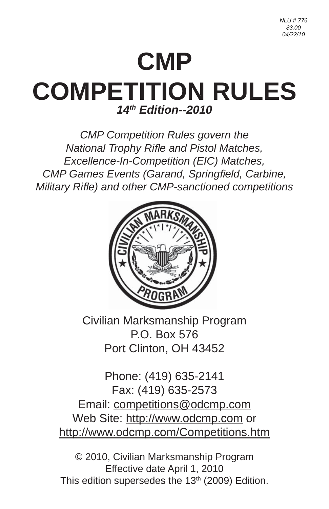# **CMP COMPETITION RULES** *14th Edition--2010*

*CMP Competition Rules govern the National Trophy Rifl e and Pistol Matches, Excellence-In-Competition (EIC) Matches, CMP Games Events (Garand, Springfield, Carbine, Military Rifl e) and other CMP-sanctioned competitions*



Civilian Marksmanship Program P.O. Box 576 Port Clinton, OH 43452

Phone: (419) 635-2141 Fax: (419) 635-2573 Email: competitions@odcmp.com Web Site: http://www.odcmp.com or http://www.odcmp.com/Competitions.htm

© 2010, Civilian Marksmanship Program Effective date April 1, 2010 This edition supersedes the  $13<sup>th</sup>$  (2009) Edition.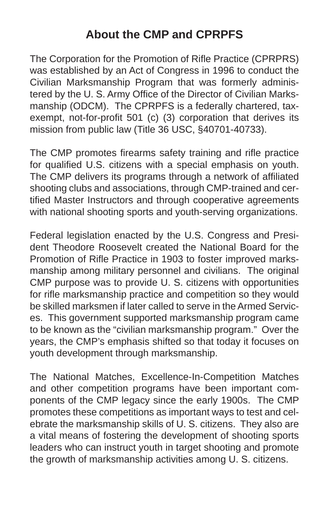## **About the CMP and CPRPFS**

The Corporation for the Promotion of Rifle Practice (CPRPRS) was established by an Act of Congress in 1996 to conduct the Civilian Marksmanship Program that was formerly administered by the U. S. Army Office of the Director of Civilian Marksmanship (ODCM). The CPRPFS is a federally chartered, taxexempt, not-for-profit 501 (c) (3) corporation that derives its mission from public law (Title 36 USC, §40701-40733).

The CMP promotes firearms safety training and rifle practice for qualified U.S. citizens with a special emphasis on youth. The CMP delivers its programs through a network of affiliated shooting clubs and associations, through CMP-trained and certified Master Instructors and through cooperative agreements with national shooting sports and youth-serving organizations.

Federal legislation enacted by the U.S. Congress and President Theodore Roosevelt created the National Board for the Promotion of Rifle Practice in 1903 to foster improved marksmanship among military personnel and civilians. The original CMP purpose was to provide U. S. citizens with opportunities for rifle marksmanship practice and competition so they would be skilled marksmen if later called to serve in the Armed Services. This government supported marksmanship program came to be known as the "civilian marksmanship program." Over the years, the CMP's emphasis shifted so that today it focuses on youth development through marksmanship.

The National Matches, Excellence-In-Competition Matches and other competition programs have been important components of the CMP legacy since the early 1900s. The CMP promotes these competitions as important ways to test and celebrate the marksmanship skills of U. S. citizens. They also are a vital means of fostering the development of shooting sports leaders who can instruct youth in target shooting and promote the growth of marksmanship activities among U. S. citizens.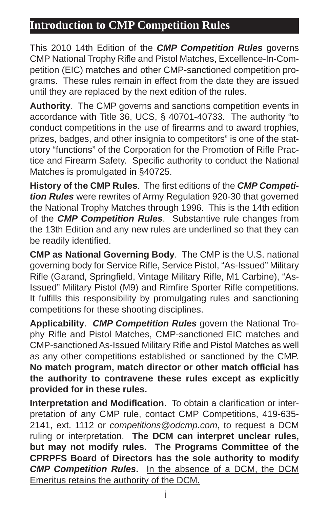## **Introduction to CMP Competition Rules**

This 2010 14th Edition of the *CMP Competition Rules* governs CMP National Trophy Rifle and Pistol Matches, Excellence-In-Competition (EIC) matches and other CMP-sanctioned competition programs. These rules remain in effect from the date they are issued until they are replaced by the next edition of the rules.

**Authority**. The CMP governs and sanctions competition events in accordance with Title 36, UCS, § 40701-40733. The authority "to conduct competitions in the use of firearms and to award trophies. prizes, badges, and other insignia to competitors" is one of the statutory "functions" of the Corporation for the Promotion of Rifle Practice and Firearm Safety. Specific authority to conduct the National Matches is promulgated in §40725.

History of the CMP Rules. The first editions of the *CMP Competition Rules* were rewrites of Army Regulation 920-30 that governed the National Trophy Matches through 1996. This is the 14th edition of the *CMP Competition Rules*. Substantive rule changes from the 13th Edition and any new rules are underlined so that they can be readily identified.

**CMP as National Governing Body**. The CMP is the U.S. national governing body for Service Rifle, Service Pistol, "As-Issued" Military Rifle (Garand, Springfield, Vintage Military Rifle, M1 Carbine), "As-Issued" Military Pistol (M9) and Rimfire Sporter Rifle competitions. It fulfills this responsibility by promulgating rules and sanctioning competitions for these shooting disciplines.

**Applicability**. *CMP Competition Rules* govern the National Trophy Rifle and Pistol Matches, CMP-sanctioned EIC matches and CMP-sanctioned As-Issued Military Rifle and Pistol Matches as well as any other competitions established or sanctioned by the CMP. **No match program, match director or other match offi cial has the authority to contravene these rules except as explicitly provided for in these rules.**

**Interpretation and Modification.** To obtain a clarification or interpretation of any CMP rule, contact CMP Competitions, 419-635- 2141, ext. 1112 or *competitions@odcmp.com*, to request a DCM ruling or interpretation. **The DCM can interpret unclear rules, but may not modify rules. The Programs Committee of the CPRPFS Board of Directors has the sole authority to modify**  *CMP Competition Rules***.** In the absence of a DCM, the DCM Emeritus retains the authority of the DCM.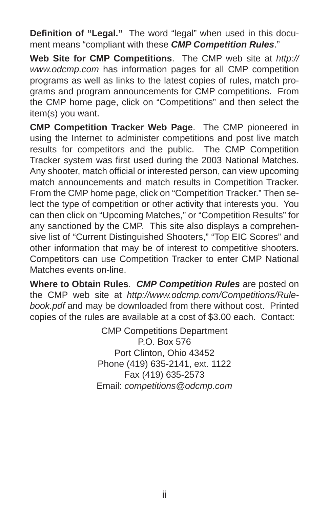**Definition of "Legal."** The word "legal" when used in this document means "compliant with these *CMP Competition Rules*."

**Web Site for CMP Competitions**. The CMP web site at *http:// www.odcmp.com* has information pages for all CMP competition programs as well as links to the latest copies of rules, match programs and program announcements for CMP competitions. From the CMP home page, click on "Competitions" and then select the item(s) you want.

**CMP Competition Tracker Web Page**. The CMP pioneered in using the Internet to administer competitions and post live match results for competitors and the public. The CMP Competition Tracker system was first used during the 2003 National Matches. Any shooter, match official or interested person, can view upcoming match announcements and match results in Competition Tracker. From the CMP home page, click on "Competition Tracker." Then select the type of competition or other activity that interests you. You can then click on "Upcoming Matches," or "Competition Results" for any sanctioned by the CMP. This site also displays a comprehensive list of "Current Distinguished Shooters," "Top EIC Scores" and other information that may be of interest to competitive shooters. Competitors can use Competition Tracker to enter CMP National Matches events on-line.

**Where to Obtain Rules**. *CMP Competition Rules* are posted on the CMP web site at *http://www.odcmp.com/Competitions/Rulebook.pdf* and may be downloaded from there without cost. Printed copies of the rules are available at a cost of \$3.00 each. Contact:

> CMP Competitions Department P.O. Box 576 Port Clinton, Ohio 43452 Phone (419) 635-2141, ext. 1122 Fax (419) 635-2573 Email: *competitions@odcmp.com*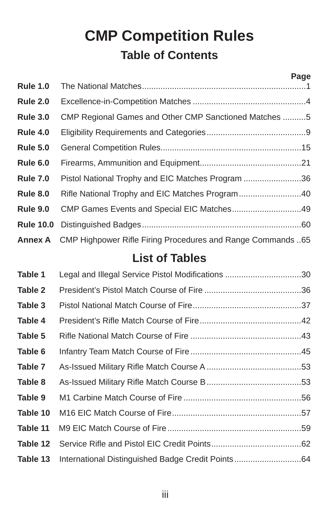## **CMP Competition Rules Table of Contents**

|                  |                                                                     | Page |
|------------------|---------------------------------------------------------------------|------|
| <b>Rule 1.0</b>  |                                                                     |      |
| <b>Rule 2.0</b>  |                                                                     |      |
| <b>Rule 3.0</b>  | CMP Regional Games and Other CMP Sanctioned Matches 5               |      |
| <b>Rule 4.0</b>  |                                                                     |      |
| <b>Rule 5.0</b>  |                                                                     |      |
| <b>Rule 6.0</b>  |                                                                     |      |
| <b>Rule 7.0</b>  | Pistol National Trophy and EIC Matches Program 36                   |      |
| <b>Rule 8.0</b>  | Rifle National Trophy and EIC Matches Program40                     |      |
| <b>Rule 9.0</b>  | CMP Games Events and Special EIC Matches49                          |      |
| <b>Rule 10.0</b> |                                                                     |      |
|                  | Annex A CMP Highpower Rifle Firing Procedures and Range Commands 65 |      |

## **List of Tables**

| Table 1  | Legal and Illegal Service Pistol Modifications 30 |  |
|----------|---------------------------------------------------|--|
| Table 2  |                                                   |  |
| Table 3  |                                                   |  |
| Table 4  |                                                   |  |
| Table 5  |                                                   |  |
| Table 6  |                                                   |  |
| Table 7  |                                                   |  |
| Table 8  |                                                   |  |
| Table 9  |                                                   |  |
| Table 10 |                                                   |  |
| Table 11 |                                                   |  |
| Table 12 |                                                   |  |
| Table 13 | International Distinguished Badge Credit Points64 |  |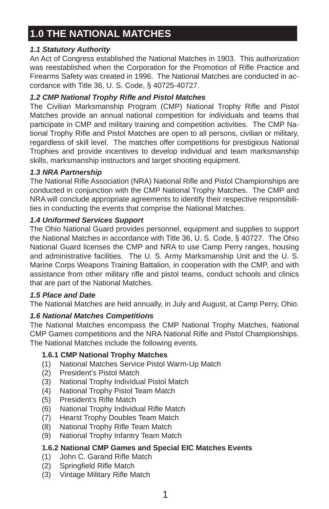## **1.0 THE NATIONAL MATCHES**

#### *1.1 Statutory Authority*

An Act of Congress established the National Matches in 1903. This authorization was reestablished when the Corporation for the Promotion of Rifle Practice and Firearms Safety was created in 1996. The National Matches are conducted in accordance with Title 36, U. S. Code, § 40725-40727.

#### *1.2 CMP National Trophy Rifl e and Pistol Matches*

The Civilian Marksmanship Program (CMP) National Trophy Rifle and Pistol Matches provide an annual national competition for individuals and teams that participate in CMP and military training and competition activities. The CMP National Trophy Rifle and Pistol Matches are open to all persons, civilian or military, regardless of skill level. The matches offer competitions for prestigious National Trophies and provide incentives to develop individual and team marksmanship skills, marksmanship instructors and target shooting equipment.

#### *1.3 NRA Partnership*

The National Rifle Association (NRA) National Rifle and Pistol Championships are conducted in conjunction with the CMP National Trophy Matches. The CMP and NRA will conclude appropriate agreements to identify their respective responsibilities in conducting the events that comprise the National Matches.

#### *1.4 Uniformed Services Support*

The Ohio National Guard provides personnel, equipment and supplies to support the National Matches in accordance with Title 36, U. S. Code, § 40727. The Ohio National Guard licenses the CMP and NRA to use Camp Perry ranges, housing and administrative facilities. The U. S. Army Marksmanship Unit and the U. S. Marine Corps Weapons Training Battalion, in cooperation with the CMP, and with assistance from other military rifle and pistol teams, conduct schools and clinics that are part of the National Matches.

#### *1.5 Place and Date*

The National Matches are held annually, in July and August, at Camp Perry, Ohio.

#### *1.6 National Matches Competitions*

The National Matches encompass the CMP National Trophy Matches, National CMP Games competitions and the NRA National Rifle and Pistol Championships. The National Matches include the following events.

#### **1.6.1 CMP National Trophy Matches**

- (1) National Matches Service Pistol Warm-Up Match
- (2) President's Pistol Match
- (3) National Trophy Individual Pistol Match
- (4) National Trophy Pistol Team Match
- (5) President's Rifle Match
- (6) National Trophy Individual Rifle Match
- (7) Hearst Trophy Doubles Team Match
- (8) National Trophy Rifle Team Match
- (9) National Trophy Infantry Team Match

#### **1.6.2 National CMP Games and Special EIC Matches Events**

- (1) John C. Garand Rifle Match
- (2) Springfield Rifle Match
- (3) Vintage Military Rifle Match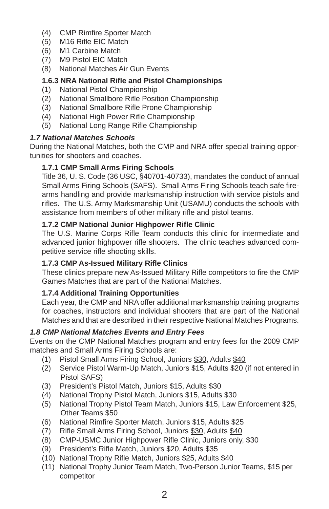- (4) CMP Rimfire Sporter Match
- (5) M16 Rifle EIC Match
- (6) M1 Carbine Match
- (7) M9 Pistol EIC Match
- (8) National Matches Air Gun Events

#### **1.6.3 NRA National Rifl e and Pistol Championships**

- (1) National Pistol Championship
- (2) National Smallbore Rifle Position Championship
- (3) National Smallbore Rifle Prone Championship
- (4) National High Power Rifle Championship
- (5) National Long Range Rifle Championship

#### *1.7 National Matches Schools*

During the National Matches, both the CMP and NRA offer special training opportunities for shooters and coaches.

#### **1.7.1 CMP Small Arms Firing Schools**

Title 36, U. S. Code (36 USC, §40701-40733), mandates the conduct of annual Small Arms Firing Schools (SAFS). Small Arms Firing Schools teach safe firearms handling and provide marksmanship instruction with service pistols and rifles. The U.S. Army Marksmanship Unit (USAMU) conducts the schools with assistance from members of other military rifle and pistol teams.

#### **1.7.2 CMP National Junior Highpower Rifl e Clinic**

The U.S. Marine Corps Rifle Team conducts this clinic for intermediate and advanced junior highpower rifle shooters. The clinic teaches advanced competitive service rifle shooting skills.

#### **1.7.3 CMP As-Issued Military Rifl e Clinics**

These clinics prepare new As-Issued Military Rifle competitors to fire the CMP Games Matches that are part of the National Matches.

#### **1.7.4 Additional Training Opportunities**

Each year, the CMP and NRA offer additional marksmanship training programs for coaches, instructors and individual shooters that are part of the National Matches and that are described in their respective National Matches Programs.

#### *1.8 CMP National Matches Events and Entry Fees*

Events on the CMP National Matches program and entry fees for the 2009 CMP matches and Small Arms Firing Schools are:

- (1) Pistol Small Arms Firing School, Juniors \$30, Adults \$40
- (2) Service Pistol Warm-Up Match, Juniors \$15, Adults \$20 (if not entered in Pistol SAFS)
- (3) President's Pistol Match, Juniors \$15, Adults \$30
- (4) National Trophy Pistol Match, Juniors \$15, Adults \$30
- (5) National Trophy Pistol Team Match, Juniors \$15, Law Enforcement \$25, Other Teams \$50
- (6) National Rimfire Sporter Match, Juniors \$15, Adults \$25
- (7) Rifle Small Arms Firing School, Juniors \$30, Adults \$40
- (8) CMP-USMC Junior Highpower Rifle Clinic, Juniors only, \$30
- (9) President's Rifle Match, Juniors \$20, Adults \$35
- (10) National Trophy Rifle Match, Juniors \$25, Adults \$40
- (11) National Trophy Junior Team Match, Two-Person Junior Teams, \$15 per competitor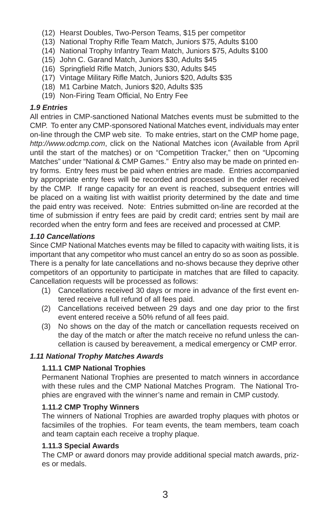- (12) Hearst Doubles, Two-Person Teams, \$15 per competitor
- (13) National Trophy Rifle Team Match, Juniors \$75, Adults \$100
- (14) National Trophy Infantry Team Match, Juniors \$75, Adults \$100
- (15) John C. Garand Match, Juniors \$30, Adults \$45
- (16) Springfield Rifle Match, Juniors \$30, Adults \$45
- (17) Vintage Military Rifle Match, Juniors \$20, Adults \$35
- (18) M1 Carbine Match, Juniors \$20, Adults \$35
- (19) Non-Firing Team Official, No Entry Fee

#### *1.9 Entries*

All entries in CMP-sanctioned National Matches events must be submitted to the CMP. To enter any CMP-sponsored National Matches event, individuals may enter on-line through the CMP web site. To make entries, start on the CMP home page, *http://www.odcmp.com*, click on the National Matches icon (Available from April until the start of the matches) or on "Competition Tracker," then on "Upcoming Matches" under "National & CMP Games." Entry also may be made on printed entry forms. Entry fees must be paid when entries are made. Entries accompanied by appropriate entry fees will be recorded and processed in the order received by the CMP. If range capacity for an event is reached, subsequent entries will be placed on a waiting list with waitlist priority determined by the date and time the paid entry was received. Note: Entries submitted on-line are recorded at the time of submission if entry fees are paid by credit card; entries sent by mail are recorded when the entry form and fees are received and processed at CMP.

#### *1.10 Cancellations*

Since CMP National Matches events may be filled to capacity with waiting lists, it is important that any competitor who must cancel an entry do so as soon as possible. There is a penalty for late cancellations and no-shows because they deprive other competitors of an opportunity to participate in matches that are filled to capacity. Cancellation requests will be processed as follows:

- (1) Cancellations received 30 days or more in advance of the first event entered receive a full refund of all fees paid.
- (2) Cancellations received between 29 days and one day prior to the first event entered receive a 50% refund of all fees paid.
- (3) No shows on the day of the match or cancellation requests received on the day of the match or after the match receive no refund unless the cancellation is caused by bereavement, a medical emergency or CMP error.

#### *1.11 National Trophy Matches Awards*

#### **1.11.1 CMP National Trophies**

Permanent National Trophies are presented to match winners in accordance with these rules and the CMP National Matches Program. The National Trophies are engraved with the winner's name and remain in CMP custody.

#### **1.11.2 CMP Trophy Winners**

The winners of National Trophies are awarded trophy plaques with photos or facsimiles of the trophies. For team events, the team members, team coach and team captain each receive a trophy plaque.

#### **1.11.3 Special Awards**

The CMP or award donors may provide additional special match awards, prizes or medals.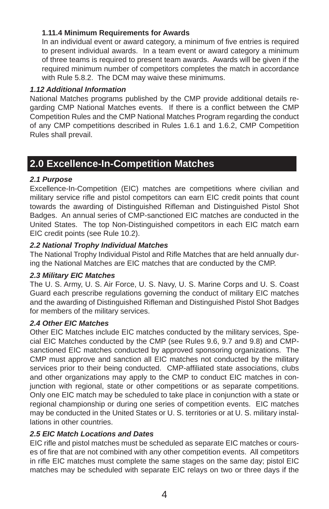#### **1.11.4 Minimum Requirements for Awards**

In an individual event or award category, a minimum of five entries is required to present individual awards. In a team event or award category a minimum of three teams is required to present team awards. Awards will be given if the required minimum number of competitors completes the match in accordance with Rule 5.8.2. The DCM may waive these minimums.

#### *1.12 Additional Information*

National Matches programs published by the CMP provide additional details regarding CMP National Matches events. If there is a conflict between the CMP Competition Rules and the CMP National Matches Program regarding the conduct of any CMP competitions described in Rules 1.6.1 and 1.6.2, CMP Competition Rules shall prevail.

### **2.0 Excellence-In-Competition Matches**

#### *2.1 Purpose*

Excellence-In-Competition (EIC) matches are competitions where civilian and military service rifle and pistol competitors can earn EIC credit points that count towards the awarding of Distinguished Rifleman and Distinguished Pistol Shot Badges. An annual series of CMP-sanctioned EIC matches are conducted in the United States. The top Non-Distinguished competitors in each EIC match earn EIC credit points (see Rule 10.2).

#### *2.2 National Trophy Individual Matches*

The National Trophy Individual Pistol and Rifle Matches that are held annually during the National Matches are EIC matches that are conducted by the CMP.

#### *2.3 Military EIC Matches*

The U. S. Army, U. S. Air Force, U. S. Navy, U. S. Marine Corps and U. S. Coast Guard each prescribe regulations governing the conduct of military EIC matches and the awarding of Distinguished Rifleman and Distinguished Pistol Shot Badges for members of the military services.

#### *2.4 Other EIC Matches*

Other EIC Matches include EIC matches conducted by the military services, Special EIC Matches conducted by the CMP (see Rules 9.6, 9.7 and 9.8) and CMPsanctioned EIC matches conducted by approved sponsoring organizations. The CMP must approve and sanction all EIC matches not conducted by the military services prior to their being conducted. CMP-affiliated state associations, clubs and other organizations may apply to the CMP to conduct EIC matches in conjunction with regional, state or other competitions or as separate competitions. Only one EIC match may be scheduled to take place in conjunction with a state or regional championship or during one series of competition events. EIC matches may be conducted in the United States or U. S. territories or at U. S. military installations in other countries.

#### *2.5 EIC Match Locations and Dates*

EIC rifle and pistol matches must be scheduled as separate EIC matches or courses of fire that are not combined with any other competition events. All competitors in rifle EIC matches must complete the same stages on the same day; pistol EIC matches may be scheduled with separate EIC relays on two or three days if the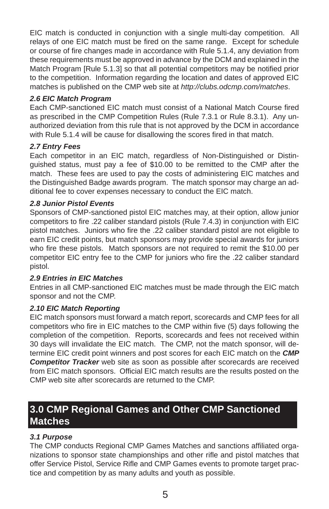EIC match is conducted in conjunction with a single multi-day competition. All relays of one EIC match must be fired on the same range. Except for schedule or course of fire changes made in accordance with Rule 5.1.4, any deviation from these requirements must be approved in advance by the DCM and explained in the Match Program [Rule 5.1.3] so that all potential competitors may be notified prior to the competition. Information regarding the location and dates of approved EIC matches is published on the CMP web site at *http://clubs.odcmp.com/matches*.

#### *2.6 EIC Match Program*

Each CMP-sanctioned EIC match must consist of a National Match Course fired as prescribed in the CMP Competition Rules (Rule 7.3.1 or Rule 8.3.1). Any unauthorized deviation from this rule that is not approved by the DCM in accordance with Rule 5.1.4 will be cause for disallowing the scores fired in that match.

#### *2.7 Entry Fees*

Each competitor in an EIC match, regardless of Non-Distinguished or Distinguished status, must pay a fee of \$10.00 to be remitted to the CMP after the match. These fees are used to pay the costs of administering EIC matches and the Distinguished Badge awards program. The match sponsor may charge an additional fee to cover expenses necessary to conduct the EIC match.

#### *2.8 Junior Pistol Events*

Sponsors of CMP-sanctioned pistol EIC matches may, at their option, allow junior competitors to fire .22 caliber standard pistols (Rule 7.4.3) in conjunction with EIC pistol matches. Juniors who fire the .22 caliber standard pistol are not eligible to earn EIC credit points, but match sponsors may provide special awards for juniors who fire these pistols. Match sponsors are not required to remit the \$10.00 per competitor EIC entry fee to the CMP for juniors who fire the .22 caliber standard pistol.

#### *2.9 Entries in EIC Matches*

Entries in all CMP-sanctioned EIC matches must be made through the EIC match sponsor and not the CMP.

#### *2.10 EIC Match Reporting*

EIC match sponsors must forward a match report, scorecards and CMP fees for all competitors who fire in EIC matches to the CMP within five (5) days following the completion of the competition. Reports, scorecards and fees not received within 30 days will invalidate the EIC match. The CMP, not the match sponsor, will determine EIC credit point winners and post scores for each EIC match on the *CMP Competitor Tracker* web site as soon as possible after scorecards are received from EIC match sponsors. Official EIC match results are the results posted on the CMP web site after scorecards are returned to the CMP.

## **3.0 CMP Regional Games and Other CMP Sanctioned Matches**

#### *3.1 Purpose*

The CMP conducts Regional CMP Games Matches and sanctions affiliated organizations to sponsor state championships and other rifle and pistol matches that offer Service Pistol, Service Rifle and CMP Games events to promote target practice and competition by as many adults and youth as possible.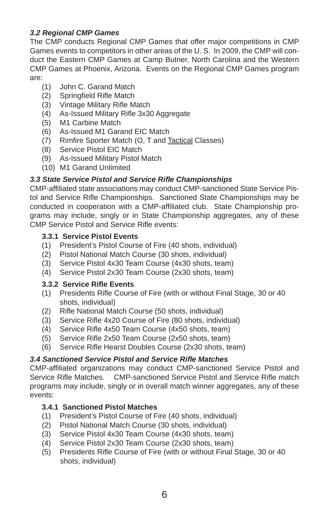#### *3.2 Regional CMP Games*

The CMP conducts Regional CMP Games that offer major competitions in CMP Games events to competitors in other areas of the U. S. In 2009, the CMP will conduct the Eastern CMP Games at Camp Butner, North Carolina and the Western CMP Games at Phoenix, Arizona. Events on the Regional CMP Games program are:

- (1) John C. Garand Match
- (2) Springfield Rifle Match
- (3) Vintage Military Rifle Match
- (4) As-Issued Military Rifle 3x30 Aggregate
- (5) M1 Carbine Match
- (6) As-Issued M1 Garand EIC Match
- (7) Rimfire Sporter Match (O, T and Tactical Classes)
- (8) Service Pistol EIC Match
- (9) As-Issued Military Pistol Match
- (10) M1 Garand Unlimited

#### *3.3 State Service Pistol and Service Rifl e Championships*

CMP-affiliated state associations may conduct CMP-sanctioned State Service Pistol and Service Rifle Championships. Sanctioned State Championships may be conducted in cooperation with a CMP-affiliated club. State Championship programs may include, singly or in State Championship aggregates, any of these CMP Service Pistol and Service Rifle events:

#### **3.3.1 Service Pistol Events**

- (1) President's Pistol Course of Fire (40 shots, individual)
- (2) Pistol National Match Course (30 shots, individual)
- (3) Service Pistol 4x30 Team Course (4x30 shots, team)
- (4) Service Pistol 2x30 Team Course (2x30 shots, team)

#### **3.3.2 Service Rifl e Events**

- (1) Presidents Rifle Course of Fire (with or without Final Stage, 30 or 40 shots, individual)
- (2) Rifle National Match Course (50 shots, individual)
- (3) Service Rifle 4x20 Course of Fire (80 shots, individual)
- (4) Service Rifle 4x50 Team Course (4x50 shots, team)
- (5) Service Rifle 2x50 Team Course (2x50 shots, team)
- (6) Service Rifle Hearst Doubles Course (2x30 shots, team)

#### *3.4 Sanctioned Service Pistol and Service Rifl e Matches*

CMP-affiliated organizations may conduct CMP-sanctioned Service Pistol and Service Rifle Matches. CMP-sanctioned Service Pistol and Service Rifle match programs may include, singly or in overall match winner aggregates, any of these events:

#### **3.4.1 Sanctioned Pistol Matches**

- (1) President's Pistol Course of Fire (40 shots, individual)
- (2) Pistol National Match Course (30 shots, individual)
- (3) Service Pistol 4x30 Team Course (4x30 shots, team)
- (4) Service Pistol 2x30 Team Course (2x30 shots, team)
- (5) Presidents Rifle Course of Fire (with or without Final Stage, 30 or 40 shots, individual)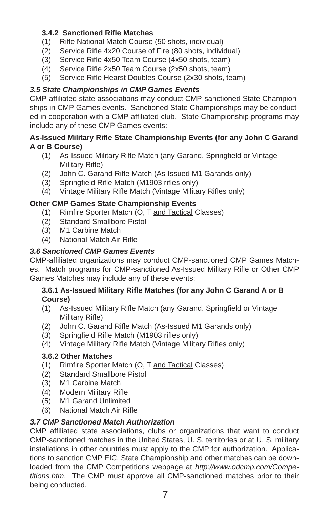#### **3.4.2 Sanctioned Rifl e Matches**

- (1) Rifle National Match Course (50 shots, individual)
- (2) Service Rifle 4x20 Course of Fire (80 shots, individual)
- $(3)$  Service Rifle 4x50 Team Course  $(4x50 \text{ shots}, \text{team})$
- (4) Service Rifle 2x50 Team Course (2x50 shots, team)
- (5) Service Rifle Hearst Doubles Course (2x30 shots, team)

#### *3.5 State Championships in CMP Games Events*

CMP-affiliated state associations may conduct CMP-sanctioned State Championships in CMP Games events. Sanctioned State Championships may be conducted in cooperation with a CMP-affiliated club. State Championship programs may include any of these CMP Games events:

#### **As-Issued Military Rifl e State Championship Events (for any John C Garand A or B Course)**

- (1) As-Issued Military Rifle Match (any Garand, Springfield or Vintage Military Rifle)
- (2) John C. Garand Rifle Match (As-Issued M1 Garands only)
- (3) Springfield Rifle Match (M1903 rifles only)
- (4) Vintage Military Rifle Match (Vintage Military Rifles only)

#### **Other CMP Games State Championship Events**

- (1) Rimfire Sporter Match (O, T and Tactical Classes)
- (2) Standard Smallbore Pistol
- (3) M1 Carbine Match
- (4) National Match Air Rifle

#### *3.6 Sanctioned CMP Games Events*

CMP-affiliated organizations may conduct CMP-sanctioned CMP Games Matches. Match programs for CMP-sanctioned As-Issued Military Rifle or Other CMP Games Matches may include any of these events:

#### **3.6.1 As-Issued Military Rifl e Matches (for any John C Garand A or B Course)**

- (1) As-Issued Military Rifle Match (any Garand, Springfield or Vintage Military Rifle)
- (2) John C. Garand Rifle Match (As-Issued M1 Garands only)
- (3) Springfield Rifle Match (M1903 rifles only)
- (4) Vintage Military Rifle Match (Vintage Military Rifles only)

#### **3.6.2 Other Matches**

- (1) Rimfire Sporter Match (O, T and Tactical Classes)
- (2) Standard Smallbore Pistol
- (3) M1 Carbine Match
- (4) Modern Military Rifle
- (5) M1 Garand Unlimited
- (6) National Match Air Rifle

#### *3.7 CMP Sanctioned Match Authorization*

CMP affiliated state associations, clubs or organizations that want to conduct CMP-sanctioned matches in the United States, U. S. territories or at U. S. military installations in other countries must apply to the CMP for authorization. Applications to sanction CMP EIC, State Championship and other matches can be downloaded from the CMP Competitions webpage at *http://www.odcmp.com/Competitions.htm*. The CMP must approve all CMP-sanctioned matches prior to their being conducted.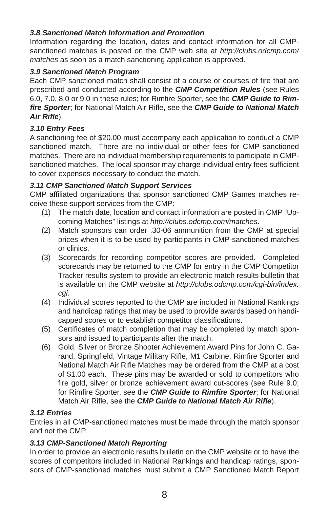#### *3.8 Sanctioned Match Information and Promotion*

Information regarding the location, dates and contact information for all CMPsanctioned matches is posted on the CMP web site at *http://clubs.odcmp.com/ matches* as soon as a match sanctioning application is approved.

#### *3.9 Sanctioned Match Program*

Each CMP sanctioned match shall consist of a course or courses of fire that are prescribed and conducted according to the *CMP Competition Rules* (see Rules 6.0, 7.0, 8.0 or 9.0 in these rules; for Rimfire Sporter, see the **CMP Guide to Rim**fire Sporter; for National Match Air Rifle, see the *CMP Guide to National Match* Air Rifle).

#### *3.10 Entry Fees*

A sanctioning fee of \$20.00 must accompany each application to conduct a CMP sanctioned match. There are no individual or other fees for CMP sanctioned matches. There are no individual membership requirements to participate in CMPsanctioned matches. The local sponsor may charge individual entry fees sufficient to cover expenses necessary to conduct the match.

#### *3.11 CMP Sanctioned Match Support Services*

CMP affiliated organizations that sponsor sanctioned CMP Games matches receive these support services from the CMP:

- (1) The match date, location and contact information are posted in CMP "Upcoming Matches" listings at *http://clubs.odcmp.com/matches*.
- (2) Match sponsors can order .30-06 ammunition from the CMP at special prices when it is to be used by participants in CMP-sanctioned matches or clinics.
- (3) Scorecards for recording competitor scores are provided. Completed scorecards may be returned to the CMP for entry in the CMP Competitor Tracker results system to provide an electronic match results bulletin that is available on the CMP website at *http://clubs.odcmp.com/cgi-bin/index. cgi*.
- (4) Individual scores reported to the CMP are included in National Rankings and handicap ratings that may be used to provide awards based on handicapped scores or to establish competitor classifications.
- (5) Certificates of match completion that may be completed by match sponsors and issued to participants after the match.
- (6) Gold, Silver or Bronze Shooter Achievement Award Pins for John C. Garand, Springfield, Vintage Military Rifle, M1 Carbine, Rimfire Sporter and National Match Air Rifle Matches may be ordered from the CMP at a cost of \$1.00 each. These pins may be awarded or sold to competitors who fire gold, silver or bronze achievement award cut-scores (see Rule 9.0; for Rimfire Sporter, see the **CMP Guide to Rimfire Sporter**; for National Match Air Rifle, see the **CMP Guide to National Match Air Rifle**).

#### *3.12 Entries*

Entries in all CMP-sanctioned matches must be made through the match sponsor and not the CMP.

#### *3.13 CMP-Sanctioned Match Reporting*

In order to provide an electronic results bulletin on the CMP website or to have the scores of competitors included in National Rankings and handicap ratings, sponsors of CMP-sanctioned matches must submit a CMP Sanctioned Match Report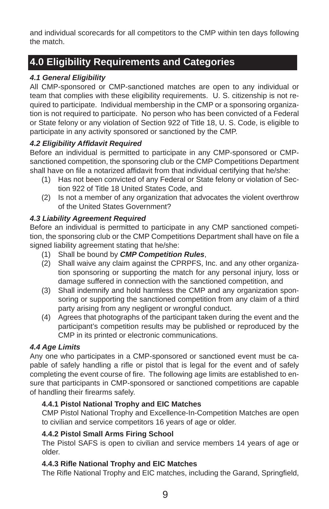and individual scorecards for all competitors to the CMP within ten days following the match.

## **4.0 Eligibility Requirements and Categories**

#### *4.1 General Eligibility*

All CMP-sponsored or CMP-sanctioned matches are open to any individual or team that complies with these eligibility requirements. U. S. citizenship is not required to participate. Individual membership in the CMP or a sponsoring organization is not required to participate. No person who has been convicted of a Federal or State felony or any violation of Section 922 of Title 18, U. S. Code, is eligible to participate in any activity sponsored or sanctioned by the CMP.

#### *4.2 Eligibility Affi davit Required*

Before an individual is permitted to participate in any CMP-sponsored or CMPsanctioned competition, the sponsoring club or the CMP Competitions Department shall have on file a notarized affidavit from that individual certifying that he/she:

- (1) Has not been convicted of any Federal or State felony or violation of Section 922 of Title 18 United States Code, and
- (2) Is not a member of any organization that advocates the violent overthrow of the United States Government?

#### *4.3 Liability Agreement Required*

Before an individual is permitted to participate in any CMP sanctioned competition, the sponsoring club or the CMP Competitions Department shall have on file a signed liability agreement stating that he/she:

- (1) Shall be bound by *CMP Competition Rules*,
- (2) Shall waive any claim against the CPRPFS, Inc. and any other organization sponsoring or supporting the match for any personal injury, loss or damage suffered in connection with the sanctioned competition, and
- (3) Shall indemnify and hold harmless the CMP and any organization sponsoring or supporting the sanctioned competition from any claim of a third party arising from any negligent or wrongful conduct.
- (4) Agrees that photographs of the participant taken during the event and the participant's competition results may be published or reproduced by the CMP in its printed or electronic communications.

#### *4.4 Age Limits*

Any one who participates in a CMP-sponsored or sanctioned event must be capable of safely handling a rifle or pistol that is legal for the event and of safely completing the event course of fire. The following age limits are established to ensure that participants in CMP-sponsored or sanctioned competitions are capable of handling their firearms safely.

#### **4.4.1 Pistol National Trophy and EIC Matches**

CMP Pistol National Trophy and Excellence-In-Competition Matches are open to civilian and service competitors 16 years of age or older.

#### **4.4.2 Pistol Small Arms Firing School**

The Pistol SAFS is open to civilian and service members 14 years of age or older.

#### **4.4.3 Rifl e National Trophy and EIC Matches**

The Rifle National Trophy and EIC matches, including the Garand, Springfield,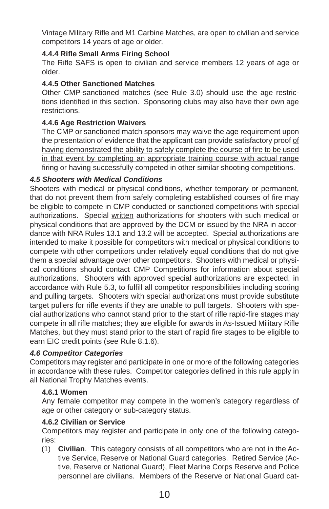Vintage Military Rifle and M1 Carbine Matches, are open to civilian and service competitors 14 years of age or older.

#### **4.4.4 Rifl e Small Arms Firing School**

The Rifle SAFS is open to civilian and service members 12 years of age or older.

#### **4.4.5 Other Sanctioned Matches**

Other CMP-sanctioned matches (see Rule 3.0) should use the age restrictions identified in this section. Sponsoring clubs may also have their own age restrictions.

#### **4.4.6 Age Restriction Waivers**

The CMP or sanctioned match sponsors may waive the age requirement upon the presentation of evidence that the applicant can provide satisfactory proof of having demonstrated the ability to safely complete the course of fire to be used in that event by completing an appropriate training course with actual range firing or having successfully competed in other similar shooting competitions.

#### *4.5 Shooters with Medical Conditions*

Shooters with medical or physical conditions, whether temporary or permanent, that do not prevent them from safely completing established courses of fire may be eligible to compete in CMP conducted or sanctioned competitions with special authorizations. Special written authorizations for shooters with such medical or physical conditions that are approved by the DCM or issued by the NRA in accordance with NRA Rules 13.1 and 13.2 will be accepted. Special authorizations are intended to make it possible for competitors with medical or physical conditions to compete with other competitors under relatively equal conditions that do not give them a special advantage over other competitors. Shooters with medical or physical conditions should contact CMP Competitions for information about special authorizations. Shooters with approved special authorizations are expected, in accordance with Rule 5.3, to fulfill all competitor responsibilities including scoring and pulling targets. Shooters with special authorizations must provide substitute target pullers for rifle events if they are unable to pull targets. Shooters with special authorizations who cannot stand prior to the start of rifle rapid-fire stages may compete in all rifle matches; they are eligible for awards in As-Issued Military Rifle Matches, but they must stand prior to the start of rapid fire stages to be eligible to earn EIC credit points (see Rule 8.1.6).

#### *4.6 Competitor Categories*

Competitors may register and participate in one or more of the following categories in accordance with these rules. Competitor categories defined in this rule apply in all National Trophy Matches events.

#### **4.6.1 Women**

Any female competitor may compete in the women's category regardless of age or other category or sub-category status.

#### **4.6.2 Civilian or Service**

Competitors may register and participate in only one of the following categories:

(1) **Civilian**. This category consists of all competitors who are not in the Active Service, Reserve or National Guard categories. Retired Service (Active, Reserve or National Guard), Fleet Marine Corps Reserve and Police personnel are civilians. Members of the Reserve or National Guard cat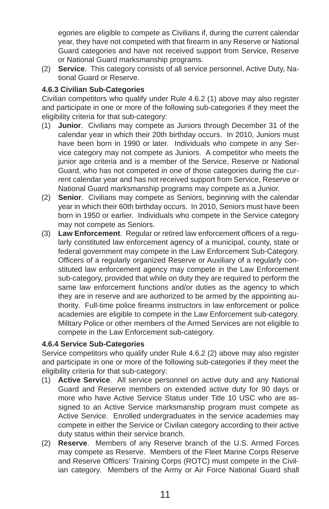egories are eligible to compete as Civilians if, during the current calendar year, they have not competed with that firearm in any Reserve or National Guard categories and have not received support from Service, Reserve or National Guard marksmanship programs.

(2) **Service**. This category consists of all service personnel, Active Duty, National Guard or Reserve.

#### **4.6.3 Civilian Sub-Categories**

Civilian competitors who qualify under Rule 4.6.2 (1) above may also register and participate in one or more of the following sub-categories if they meet the eligibility criteria for that sub-category:

- (1) **Junior**. Civilians may compete as Juniors through December 31 of the calendar year in which their 20th birthday occurs. In 2010, Juniors must have been born in 1990 or later. Individuals who compete in any Service category may not compete as Juniors. A competitor who meets the junior age criteria and is a member of the Service, Reserve or National Guard, who has not competed in one of those categories during the current calendar year and has not received support from Service, Reserve or National Guard marksmanship programs may compete as a Junior.
- (2) **Senior**. Civilians may compete as Seniors, beginning with the calendar year in which their 60th birthday occurs. In 2010, Seniors must have been born in 1950 or earlier. Individuals who compete in the Service category may not compete as Seniors.
- (3) Law Enforcement. Regular or retired law enforcement officers of a regularly constituted law enforcement agency of a municipal, county, state or federal government may compete in the Law Enforcement Sub-Category. Officers of a regularly organized Reserve or Auxiliary of a regularly constituted law enforcement agency may compete in the Law Enforcement sub-category, provided that while on duty they are required to perform the same law enforcement functions and/or duties as the agency to which they are in reserve and are authorized to be armed by the appointing authority. Full-time police firearms instructors in law enforcement or police academies are eligible to compete in the Law Enforcement sub-category. Military Police or other members of the Armed Services are not eligible to compete in the Law Enforcement sub-category.

#### **4.6.4 Service Sub-Categories**

Service competitors who qualify under Rule 4.6.2 (2) above may also register and participate in one or more of the following sub-categories if they meet the eligibility criteria for that sub-category:

- (1) **Active Service**. All service personnel on active duty and any National Guard and Reserve members on extended active duty for 90 days or more who have Active Service Status under Title 10 USC who are assigned to an Active Service marksmanship program must compete as Active Service. Enrolled undergraduates in the service academies may compete in either the Service or Civilian category according to their active duty status within their service branch.
- (2) **Reserve**. Members of any Reserve branch of the U.S. Armed Forces may compete as Reserve. Members of the Fleet Marine Corps Reserve and Reserve Officers' Training Corps (ROTC) must compete in the Civilian category. Members of the Army or Air Force National Guard shall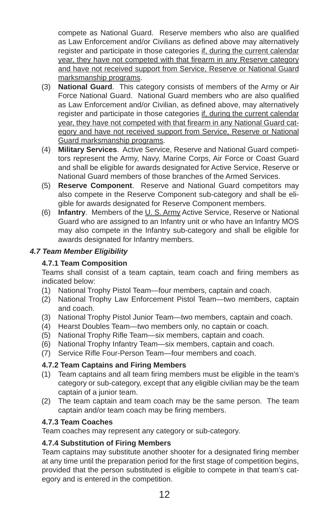compete as National Guard. Reserve members who also are qualified as Law Enforcement and/or Civilians as defined above may alternatively register and participate in those categories if, during the current calendar year, they have not competed with that firearm in any Reserve category and have not received support from Service, Reserve or National Guard marksmanship programs.

- (3) **National Guard**. This category consists of members of the Army or Air Force National Guard. National Guard members who are also qualified as Law Enforcement and/or Civilian, as defined above, may alternatively register and participate in those categories if, during the current calendar year, they have not competed with that firearm in any National Guard category and have not received support from Service, Reserve or National Guard marksmanship programs.
- (4) **Military Services**. Active Service, Reserve and National Guard competitors represent the Army, Navy, Marine Corps, Air Force or Coast Guard and shall be eligible for awards designated for Active Service, Reserve or National Guard members of those branches of the Armed Services.
- (5) **Reserve Component**. Reserve and National Guard competitors may also compete in the Reserve Component sub-category and shall be eligible for awards designated for Reserve Component members.
- (6) **Infantry**. Members of the U. S. Army Active Service, Reserve or National Guard who are assigned to an Infantry unit or who have an Infantry MOS may also compete in the Infantry sub-category and shall be eligible for awards designated for Infantry members.

#### *4.7 Team Member Eligibility*

#### **4.7.1 Team Composition**

Teams shall consist of a team captain, team coach and firing members as indicated below:

- (1) National Trophy Pistol Team—four members, captain and coach.
- (2) National Trophy Law Enforcement Pistol Team—two members, captain and coach.
- (3) National Trophy Pistol Junior Team—two members, captain and coach.
- (4) Hearst Doubles Team—two members only, no captain or coach.
- (5) National Trophy Rifle Team-six members, captain and coach.
- (6) National Trophy Infantry Team—six members, captain and coach.
- (7) Service Rifle Four-Person Team—four members and coach.

#### **4.7.2 Team Captains and Firing Members**

- (1) Team captains and all team firing members must be eligible in the team's category or sub-category, except that any eligible civilian may be the team captain of a junior team.
- (2) The team captain and team coach may be the same person. The team captain and/or team coach may be firing members.

#### **4.7.3 Team Coaches**

Team coaches may represent any category or sub-category.

#### **4.7.4 Substitution of Firing Members**

Team captains may substitute another shooter for a designated firing member at any time until the preparation period for the first stage of competition begins, provided that the person substituted is eligible to compete in that team's category and is entered in the competition.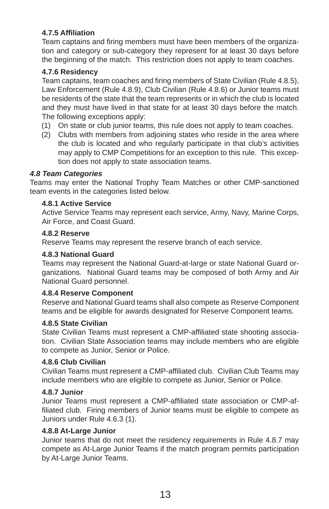#### **4.7.5 Affi liation**

Team captains and firing members must have been members of the organization and category or sub-category they represent for at least 30 days before the beginning of the match. This restriction does not apply to team coaches.

#### **4.7.6 Residency**

Team captains, team coaches and firing members of State Civilian (Rule 4.8.5), Law Enforcement (Rule 4.8.9), Club Civilian (Rule 4.8.6) or Junior teams must be residents of the state that the team represents or in which the club is located and they must have lived in that state for at least 30 days before the match. The following exceptions apply:

- (1) On state or club junior teams, this rule does not apply to team coaches.
- (2) Clubs with members from adjoining states who reside in the area where the club is located and who regularly participate in that club's activities may apply to CMP Competitions for an exception to this rule. This exception does not apply to state association teams.

#### *4.8 Team Categories*

Teams may enter the National Trophy Team Matches or other CMP-sanctioned team events in the categories listed below.

#### **4.8.1 Active Service**

Active Service Teams may represent each service, Army, Navy, Marine Corps, Air Force, and Coast Guard.

#### **4.8.2 Reserve**

Reserve Teams may represent the reserve branch of each service.

#### **4.8.3 National Guard**

Teams may represent the National Guard-at-large or state National Guard organizations. National Guard teams may be composed of both Army and Air National Guard personnel.

#### **4.8.4 Reserve Component**

Reserve and National Guard teams shall also compete as Reserve Component teams and be eligible for awards designated for Reserve Component teams.

#### **4.8.5 State Civilian**

State Civilian Teams must represent a CMP-affiliated state shooting association. Civilian State Association teams may include members who are eligible to compete as Junior, Senior or Police.

#### **4.8.6 Club Civilian**

Civilian Teams must represent a CMP-affiliated club. Civilian Club Teams may include members who are eligible to compete as Junior, Senior or Police.

#### **4.8.7 Junior**

Junior Teams must represent a CMP-affiliated state association or CMP-affiliated club. Firing members of Junior teams must be eligible to compete as Juniors under Rule 4.6.3 (1).

#### **4.8.8 At-Large Junior**

Junior teams that do not meet the residency requirements in Rule 4.8.7 may compete as At-Large Junior Teams if the match program permits participation by At-Large Junior Teams.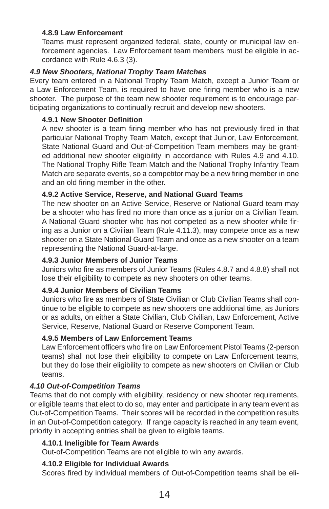#### **4.8.9 Law Enforcement**

Teams must represent organized federal, state, county or municipal law enforcement agencies. Law Enforcement team members must be eligible in accordance with Rule 4.6.3 (3).

#### *4.9 New Shooters, National Trophy Team Matches*

Every team entered in a National Trophy Team Match, except a Junior Team or a Law Enforcement Team, is required to have one firing member who is a new shooter. The purpose of the team new shooter requirement is to encourage participating organizations to continually recruit and develop new shooters.

#### **4.9.1 New Shooter Definition**

A new shooter is a team firing member who has not previously fired in that particular National Trophy Team Match, except that Junior, Law Enforcement, State National Guard and Out-of-Competition Team members may be granted additional new shooter eligibility in accordance with Rules 4.9 and 4.10. The National Trophy Rifle Team Match and the National Trophy Infantry Team Match are separate events, so a competitor may be a new firing member in one and an old firing member in the other.

#### **4.9.2 Active Service, Reserve, and National Guard Teams**

The new shooter on an Active Service, Reserve or National Guard team may be a shooter who has fired no more than once as a junior on a Civilian Team. A National Guard shooter who has not competed as a new shooter while firing as a Junior on a Civilian Team (Rule 4.11.3), may compete once as a new shooter on a State National Guard Team and once as a new shooter on a team representing the National Guard-at-large.

#### **4.9.3 Junior Members of Junior Teams**

Juniors who fire as members of Junior Teams (Rules 4.8.7 and 4.8.8) shall not lose their eligibility to compete as new shooters on other teams.

#### **4.9.4 Junior Members of Civilian Teams**

Juniors who fire as members of State Civilian or Club Civilian Teams shall continue to be eligible to compete as new shooters one additional time, as Juniors or as adults, on either a State Civilian, Club Civilian, Law Enforcement, Active Service, Reserve, National Guard or Reserve Component Team.

#### **4.9.5 Members of Law Enforcement Teams**

Law Enforcement officers who fire on Law Enforcement Pistol Teams (2-person teams) shall not lose their eligibility to compete on Law Enforcement teams, but they do lose their eligibility to compete as new shooters on Civilian or Club teams.

#### *4.10 Out-of-Competition Teams*

Teams that do not comply with eligibility, residency or new shooter requirements, or eligible teams that elect to do so, may enter and participate in any team event as Out-of-Competition Teams. Their scores will be recorded in the competition results in an Out-of-Competition category. If range capacity is reached in any team event, priority in accepting entries shall be given to eligible teams.

#### **4.10.1 Ineligible for Team Awards**

Out-of-Competition Teams are not eligible to win any awards.

#### **4.10.2 Eligible for Individual Awards**

Scores fired by individual members of Out-of-Competition teams shall be eli-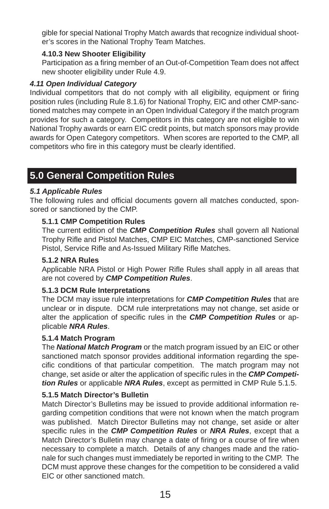gible for special National Trophy Match awards that recognize individual shooter's scores in the National Trophy Team Matches.

#### **4.10.3 New Shooter Eligibility**

Participation as a firing member of an Out-of-Competition Team does not affect new shooter eligibility under Rule 4.9.

#### *4.11 Open Individual Category*

Individual competitors that do not comply with all eligibility, equipment or firing position rules (including Rule 8.1.6) for National Trophy, EIC and other CMP-sanctioned matches may compete in an Open Individual Category if the match program provides for such a category. Competitors in this category are not eligible to win National Trophy awards or earn EIC credit points, but match sponsors may provide awards for Open Category competitors. When scores are reported to the CMP, all competitors who fire in this category must be clearly identified.

## **5.0 General Competition Rules**

#### *5.1 Applicable Rules*

The following rules and official documents govern all matches conducted, sponsored or sanctioned by the CMP.

#### **5.1.1 CMP Competition Rules**

The current edition of the *CMP Competition Rules* shall govern all National Trophy Rifle and Pistol Matches, CMP EIC Matches, CMP-sanctioned Service Pistol, Service Rifle and As-Issued Military Rifle Matches.

#### **5.1.2 NRA Rules**

Applicable NRA Pistol or High Power Rifle Rules shall apply in all areas that are not covered by *CMP Competition Rules*.

#### **5.1.3 DCM Rule Interpretations**

The DCM may issue rule interpretations for *CMP Competition Rules* that are unclear or in dispute. DCM rule interpretations may not change, set aside or alter the application of specific rules in the **CMP Competition Rules** or applicable *NRA Rules*.

#### **5.1.4 Match Program**

The *National Match Program* or the match program issued by an EIC or other sanctioned match sponsor provides additional information regarding the specific conditions of that particular competition. The match program may not change, set aside or alter the application of specific rules in the **CMP Competi***tion Rules* or applicable *NRA Rules*, except as permitted in CMP Rule 5.1.5.

#### **5.1.5 Match Director's Bulletin**

Match Director's Bulletins may be issued to provide additional information regarding competition conditions that were not known when the match program was published. Match Director Bulletins may not change, set aside or alter specific rules in the **CMP Competition Rules** or **NRA Rules**, except that a Match Director's Bulletin may change a date of firing or a course of fire when necessary to complete a match. Details of any changes made and the rationale for such changes must immediately be reported in writing to the CMP. The DCM must approve these changes for the competition to be considered a valid EIC or other sanctioned match.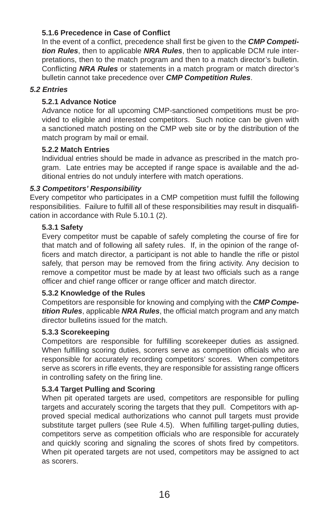#### **5.1.6 Precedence in Case of Confl ict**

In the event of a conflict, precedence shall first be given to the **CMP Competi***tion Rules*, then to applicable *NRA Rules*, then to applicable DCM rule interpretations, then to the match program and then to a match director's bulletin. Conflicting **NRA Rules** or statements in a match program or match director's bulletin cannot take precedence over *CMP Competition Rules*.

#### *5.2 Entries*

#### **5.2.1 Advance Notice**

Advance notice for all upcoming CMP-sanctioned competitions must be provided to eligible and interested competitors. Such notice can be given with a sanctioned match posting on the CMP web site or by the distribution of the match program by mail or email.

#### **5.2.2 Match Entries**

Individual entries should be made in advance as prescribed in the match program. Late entries may be accepted if range space is available and the additional entries do not unduly interfere with match operations.

#### *5.3 Competitors' Responsibility*

Every competitor who participates in a CMP competition must fulfill the following responsibilities. Failure to fulfill all of these responsibilities may result in disqualification in accordance with Rule 5.10.1 (2).

#### **5.3.1 Safety**

Every competitor must be capable of safely completing the course of fire for that match and of following all safety rules. If, in the opinion of the range officers and match director, a participant is not able to handle the rifle or pistol safely, that person may be removed from the firing activity. Any decision to remove a competitor must be made by at least two officials such as a range officer and chief range officer or range officer and match director.

#### **5.3.2 Knowledge of the Rules**

Competitors are responsible for knowing and complying with the *CMP Competition Rules*, applicable *NRA Rules*, the official match program and any match director bulletins issued for the match.

#### **5.3.3 Scorekeeping**

Competitors are responsible for fulfilling scorekeeper duties as assigned. When fulfilling scoring duties, scorers serve as competition officials who are responsible for accurately recording competitors' scores. When competitors serve as scorers in rifle events, they are responsible for assisting range officers in controlling safety on the firing line.

#### **5.3.4 Target Pulling and Scoring**

When pit operated targets are used, competitors are responsible for pulling targets and accurately scoring the targets that they pull. Competitors with approved special medical authorizations who cannot pull targets must provide substitute target pullers (see Rule 4.5). When fulfilling target-pulling duties, competitors serve as competition officials who are responsible for accurately and quickly scoring and signaling the scores of shots fired by competitors. When pit operated targets are not used, competitors may be assigned to act as scorers.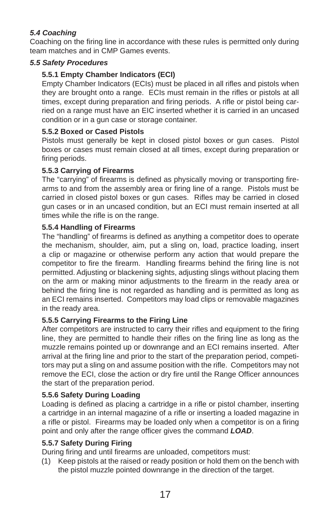#### *5.4 Coaching*

Coaching on the firing line in accordance with these rules is permitted only during team matches and in CMP Games events.

#### *5.5 Safety Procedures*

#### **5.5.1 Empty Chamber Indicators (ECI)**

Empty Chamber Indicators (ECIs) must be placed in all rifles and pistols when they are brought onto a range. ECIs must remain in the rifles or pistols at all times, except during preparation and firing periods. A rifle or pistol being carried on a range must have an EIC inserted whether it is carried in an uncased condition or in a gun case or storage container.

#### **5.5.2 Boxed or Cased Pistols**

Pistols must generally be kept in closed pistol boxes or gun cases. Pistol boxes or cases must remain closed at all times, except during preparation or firing periods.

#### **5.5.3 Carrying of Firearms**

The "carrying" of firearms is defined as physically moving or transporting firearms to and from the assembly area or firing line of a range. Pistols must be carried in closed pistol boxes or gun cases. Rifles may be carried in closed gun cases or in an uncased condition, but an ECI must remain inserted at all times while the rifle is on the range.

#### **5.5.4 Handling of Firearms**

The "handling" of firearms is defined as anything a competitor does to operate the mechanism, shoulder, aim, put a sling on, load, practice loading, insert a clip or magazine or otherwise perform any action that would prepare the competitor to fire the firearm. Handling firearms behind the firing line is not permitted. Adjusting or blackening sights, adjusting slings without placing them on the arm or making minor adjustments to the firearm in the ready area or behind the firing line is not regarded as handling and is permitted as long as an ECI remains inserted. Competitors may load clips or removable magazines in the ready area.

#### **5.5.5 Carrying Firearms to the Firing Line**

After competitors are instructed to carry their rifles and equipment to the firing line, they are permitted to handle their rifles on the firing line as long as the muzzle remains pointed up or downrange and an ECI remains inserted. After arrival at the firing line and prior to the start of the preparation period, competitors may put a sling on and assume position with the rifle. Competitors may not remove the ECI, close the action or dry fire until the Range Officer announces the start of the preparation period.

#### **5.5.6 Safety During Loading**

Loading is defined as placing a cartridge in a rifle or pistol chamber, inserting a cartridge in an internal magazine of a rifle or inserting a loaded magazine in a rifle or pistol. Firearms may be loaded only when a competitor is on a firing point and only after the range officer gives the command **LOAD**.

#### **5.5.7 Safety During Firing**

During firing and until firearms are unloaded, competitors must:

(1) Keep pistols at the raised or ready position or hold them on the bench with the pistol muzzle pointed downrange in the direction of the target.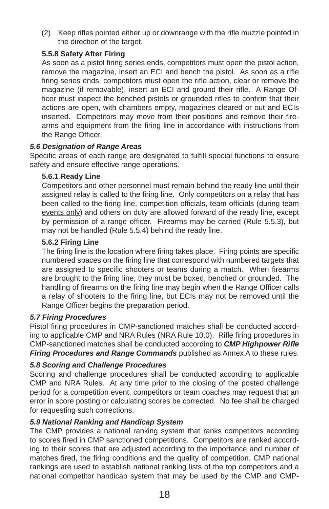(2) Keep rifles pointed either up or downrange with the rifle muzzle pointed in the direction of the target.

#### **5.5.8 Safety After Firing**

As soon as a pistol firing series ends, competitors must open the pistol action, remove the magazine, insert an ECI and bench the pistol. As soon as a rifle firing series ends, competitors must open the rifle action, clear or remove the magazine (if removable), insert an ECI and ground their rifle. A Range Officer must inspect the benched pistols or grounded rifles to confirm that their actions are open, with chambers empty, magazines cleared or out and ECIs inserted. Competitors may move from their positions and remove their firearms and equipment from the firing line in accordance with instructions from the Range Officer.

#### *5.6 Designation of Range Areas*

Specific areas of each range are designated to fulfill special functions to ensure safety and ensure effective range operations.

#### **5.6.1 Ready Line**

Competitors and other personnel must remain behind the ready line until their assigned relay is called to the firing line. Only competitors on a relay that has been called to the firing line, competition officials, team officials (during team events only) and others on duty are allowed forward of the ready line, except by permission of a range officer. Firearms may be carried (Rule 5.5.3), but may not be handled (Rule 5.5.4) behind the ready line.

#### **5.6.2 Firing Line**

The firing line is the location where firing takes place. Firing points are specific numbered spaces on the firing line that correspond with numbered targets that are assigned to specific shooters or teams during a match. When firearms are brought to the firing line, they must be boxed, benched or grounded. The handling of firearms on the firing line may begin when the Range Officer calls a relay of shooters to the firing line, but ECIs may not be removed until the Range Officer begins the preparation period.

#### *5.7 Firing Procedures*

Pistol firing procedures in CMP-sanctioned matches shall be conducted according to applicable CMP and NRA Rules (NRA Rule 10.0). Rifle firing procedures in CMP-sanctioned matches shall be conducted according to *CMP Highpower Rifl e Firing Procedures and Range Commands* published as Annex A to these rules.

#### *5.8 Scoring and Challenge Procedures*

Scoring and challenge procedures shall be conducted according to applicable CMP and NRA Rules. At any time prior to the closing of the posted challenge period for a competition event, competitors or team coaches may request that an error in score posting or calculating scores be corrected. No fee shall be charged for requesting such corrections.

#### *5.9 National Ranking and Handicap System*

The CMP provides a national ranking system that ranks competitors according to scores fired in CMP sanctioned competitions. Competitors are ranked according to their scores that are adjusted according to the importance and number of matches fired, the firing conditions and the quality of competition. CMP national rankings are used to establish national ranking lists of the top competitors and a national competitor handicap system that may be used by the CMP and CMP-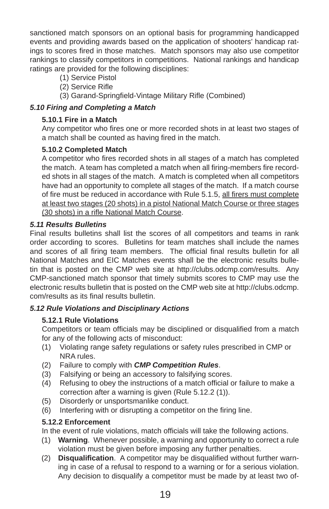sanctioned match sponsors on an optional basis for programming handicapped events and providing awards based on the application of shooters' handicap ratings to scores fired in those matches. Match sponsors may also use competitor rankings to classify competitors in competitions. National rankings and handicap ratings are provided for the following disciplines:

- (1) Service Pistol
- (2) Service Rifle
- (3) Garand-Springfield-Vintage Military Rifle (Combined)

#### *5.10 Firing and Completing a Match*

#### **5.10.1 Fire in a Match**

Any competitor who fires one or more recorded shots in at least two stages of a match shall be counted as having fired in the match.

#### **5.10.2 Completed Match**

A competitor who fires recorded shots in all stages of a match has completed the match. A team has completed a match when all firing-members fire recorded shots in all stages of the match. A match is completed when all competitors have had an opportunity to complete all stages of the match. If a match course of fire must be reduced in accordance with Rule 5.1.5, all firers must complete at least two stages (20 shots) in a pistol National Match Course or three stages (30 shots) in a rifle National Match Course.

#### *5.11 Results Bulletins*

Final results bulletins shall list the scores of all competitors and teams in rank order according to scores. Bulletins for team matches shall include the names and scores of all firing team members. The official final results bulletin for all National Matches and EIC Matches events shall be the electronic results bulletin that is posted on the CMP web site at http://clubs.odcmp.com/results. Any CMP-sanctioned match sponsor that timely submits scores to CMP may use the electronic results bulletin that is posted on the CMP web site at http://clubs.odcmp. com/results as its final results bulletin.

#### *5.12 Rule Violations and Disciplinary Actions*

#### **5.12.1 Rule Violations**

Competitors or team officials may be disciplined or disqualified from a match for any of the following acts of misconduct:

- (1) Violating range safety regulations or safety rules prescribed in CMP or NRA rules.
- (2) Failure to comply with *CMP Competition Rules*.
- (3) Falsifying or being an accessory to falsifying scores.
- (4) Refusing to obey the instructions of a match official or failure to make a correction after a warning is given (Rule 5.12.2 (1)).
- (5) Disorderly or unsportsmanlike conduct.
- (6) Interfering with or disrupting a competitor on the firing line.

#### **5.12.2 Enforcement**

In the event of rule violations, match officials will take the following actions.

- (1) **Warning**. Whenever possible, a warning and opportunity to correct a rule violation must be given before imposing any further penalties.
- (2) **Disqualification**. A competitor may be disqualified without further warning in case of a refusal to respond to a warning or for a serious violation. Any decision to disqualify a competitor must be made by at least two of-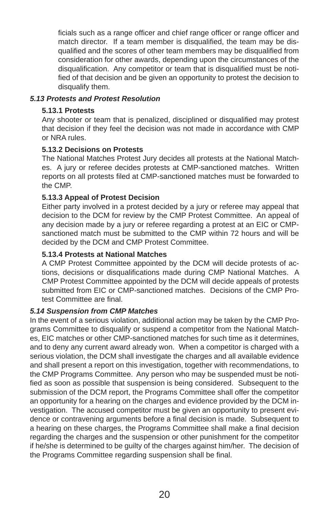ficials such as a range officer and chief range officer or range officer and match director. If a team member is disqualified, the team may be disqualified and the scores of other team members may be disqualified from consideration for other awards, depending upon the circumstances of the disqualification. Any competitor or team that is disqualified must be notified of that decision and be given an opportunity to protest the decision to disqualify them.

#### *5.13 Protests and Protest Resolution*

#### **5.13.1 Protests**

Any shooter or team that is penalized, disciplined or disqualified may protest that decision if they feel the decision was not made in accordance with CMP or NRA rules.

#### **5.13.2 Decisions on Protests**

The National Matches Protest Jury decides all protests at the National Matches. A jury or referee decides protests at CMP-sanctioned matches. Written reports on all protests filed at CMP-sanctioned matches must be forwarded to the CMP.

#### **5.13.3 Appeal of Protest Decision**

Either party involved in a protest decided by a jury or referee may appeal that decision to the DCM for review by the CMP Protest Committee. An appeal of any decision made by a jury or referee regarding a protest at an EIC or CMPsanctioned match must be submitted to the CMP within 72 hours and will be decided by the DCM and CMP Protest Committee.

#### **5.13.4 Protests at National Matches**

A CMP Protest Committee appointed by the DCM will decide protests of actions, decisions or disqualifications made during CMP National Matches. A CMP Protest Committee appointed by the DCM will decide appeals of protests submitted from EIC or CMP-sanctioned matches. Decisions of the CMP Protest Committee are final

#### *5.14 Suspension from CMP Matches*

In the event of a serious violation, additional action may be taken by the CMP Programs Committee to disqualify or suspend a competitor from the National Matches, EIC matches or other CMP-sanctioned matches for such time as it determines, and to deny any current award already won. When a competitor is charged with a serious violation, the DCM shall investigate the charges and all available evidence and shall present a report on this investigation, together with recommendations, to the CMP Programs Committee. Any person who may be suspended must be notified as soon as possible that suspension is being considered. Subsequent to the submission of the DCM report, the Programs Committee shall offer the competitor an opportunity for a hearing on the charges and evidence provided by the DCM investigation. The accused competitor must be given an opportunity to present evidence or contravening arguments before a final decision is made. Subsequent to a hearing on these charges, the Programs Committee shall make a final decision regarding the charges and the suspension or other punishment for the competitor if he/she is determined to be guilty of the charges against him/her. The decision of the Programs Committee regarding suspension shall be final.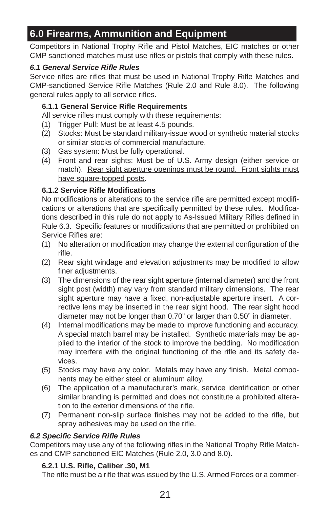## **6.0 Firearms, Ammunition and Equipment**

Competitors in National Trophy Rifle and Pistol Matches, EIC matches or other CMP sanctioned matches must use rifles or pistols that comply with these rules.

#### *6.1 General Service Rifl e Rules*

Service rifles are rifles that must be used in National Trophy Rifle Matches and CMP-sanctioned Service Rifle Matches (Rule 2.0 and Rule 8.0). The following general rules apply to all service rifles.

#### **6.1.1 General Service Rifl e Requirements**

All service rifles must comply with these requirements:

- (1) Trigger Pull: Must be at least 4.5 pounds.
- (2) Stocks: Must be standard military-issue wood or synthetic material stocks or similar stocks of commercial manufacture.
- (3) Gas system: Must be fully operational.
- (4) Front and rear sights: Must be of U.S. Army design (either service or match). Rear sight aperture openings must be round. Front sights must have square-topped posts.

#### **6.1.2 Service Rifl e Modifi cations**

No modifications or alterations to the service rifle are permitted except modifications or alterations that are specifically permitted by these rules. Modifications described in this rule do not apply to As-Issued Military Rifles defined in Rule 6.3. Specific features or modifications that are permitted or prohibited on Service Rifles are:

- (1) No alteration or modification may change the external configuration of the rifle.
- (2) Rear sight windage and elevation adjustments may be modified to allow finer adiustments.
- (3) The dimensions of the rear sight aperture (internal diameter) and the front sight post (width) may vary from standard military dimensions. The rear sight aperture may have a fixed, non-adjustable aperture insert. A corrective lens may be inserted in the rear sight hood. The rear sight hood diameter may not be longer than 0.70" or larger than 0.50" in diameter.
- (4) Internal modifications may be made to improve functioning and accuracy. A special match barrel may be installed. Synthetic materials may be applied to the interior of the stock to improve the bedding. No modification may interfere with the original functioning of the rifle and its safety devices.
- (5) Stocks may have any color. Metals may have any finish. Metal components may be either steel or aluminum alloy.
- (6) The application of a manufacturer's mark, service identification or other similar branding is permitted and does not constitute a prohibited alteration to the exterior dimensions of the rifle.
- (7) Permanent non-slip surface finishes may not be added to the rifle, but spray adhesives may be used on the rifle.

#### *6.2 Specifi c Service Rifl e Rules*

Competitors may use any of the following rifles in the National Trophy Rifle Matches and CMP sanctioned EIC Matches (Rule 2.0, 3.0 and 8.0).

#### **6.2.1 U.S. Rifl e, Caliber .30, M1**

The rifle must be a rifle that was issued by the U.S. Armed Forces or a commer-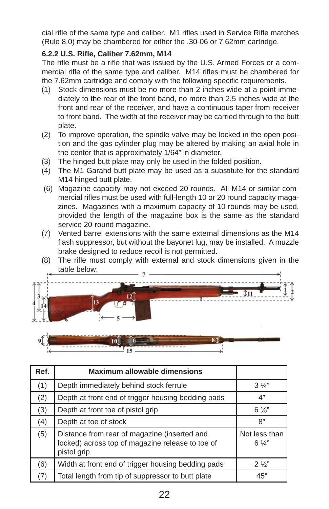cial rifle of the same type and caliber. M1 rifles used in Service Rifle matches (Rule 8.0) may be chambered for either the .30-06 or 7.62mm cartridge.

#### **6.2.2 U.S. Rifl e, Caliber 7.62mm, M14**

The rifle must be a rifle that was issued by the U.S. Armed Forces or a commercial rifle of the same type and caliber. M14 rifles must be chambered for the 7.62mm cartridge and comply with the following specific requirements.

- (1) Stock dimensions must be no more than 2 inches wide at a point immediately to the rear of the front band, no more than 2.5 inches wide at the front and rear of the receiver, and have a continuous taper from receiver to front band. The width at the receiver may be carried through to the butt plate.
- (2) To improve operation, the spindle valve may be locked in the open position and the gas cylinder plug may be altered by making an axial hole in the center that is approximately 1/64" in diameter.
- (3) The hinged butt plate may only be used in the folded position.
- (4) The M1 Garand butt plate may be used as a substitute for the standard M14 hinged butt plate.
- (6) Magazine capacity may not exceed 20 rounds. All M14 or similar commercial rifles must be used with full-length 10 or 20 round capacity magazines. Magazines with a maximum capacity of 10 rounds may be used, provided the length of the magazine box is the same as the standard service 20-round magazine.
- (7) Vented barrel extensions with the same external dimensions as the M14 flash suppressor, but without the bayonet lug, may be installed. A muzzle brake designed to reduce recoil is not permitted.
- (8) The rifle must comply with external and stock dimensions given in the table below: table



15

| Ref. | <b>Maximum allowable dimensions</b>                                                                             |                                 |
|------|-----------------------------------------------------------------------------------------------------------------|---------------------------------|
| (1)  | Depth immediately behind stock ferrule                                                                          | $3\frac{1}{4}$                  |
| (2)  | Depth at front end of trigger housing bedding pads                                                              | 4"                              |
| (3)  | Depth at front toe of pistol grip                                                                               | $6\frac{1}{8}$                  |
| (4)  | Depth at toe of stock                                                                                           | 8"                              |
| (5)  | Distance from rear of magazine (inserted and<br>locked) across top of magazine release to toe of<br>pistol grip | Not less than<br>$6\frac{1}{4}$ |
| (6)  | Width at front end of trigger housing bedding pads                                                              | $2\frac{1}{2}$                  |
| (7)  | Total length from tip of suppressor to butt plate                                                               | 45"                             |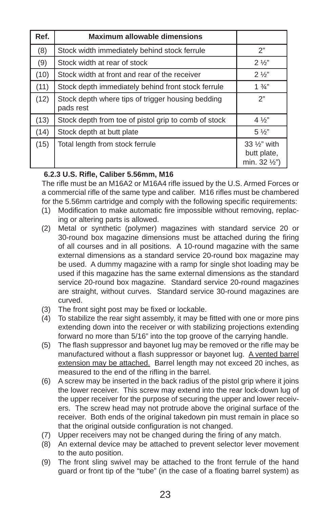| Ref. | <b>Maximum allowable dimensions</b>                            |                                                           |
|------|----------------------------------------------------------------|-----------------------------------------------------------|
| (8)  | Stock width immediately behind stock ferrule                   | 2"                                                        |
| (9)  | Stock width at rear of stock                                   | $2\frac{1}{2}$                                            |
| (10) | Stock width at front and rear of the receiver                  | $2\frac{1}{2}$                                            |
| (11) | Stock depth immediately behind front stock ferrule             | $1\frac{3}{4}$                                            |
| (12) | Stock depth where tips of trigger housing bedding<br>pads rest | 2"                                                        |
| (13) | Stock depth from toe of pistol grip to comb of stock           | $4\frac{1}{2}$                                            |
| (14) | Stock depth at butt plate                                      | $5\frac{1}{2}$                                            |
| (15) | Total length from stock ferrule                                | 33 1/ <sub>2</sub> " with<br>butt plate,<br>min. 32 1/2") |

#### **6.2.3 U.S. Rifl e, Caliber 5.56mm, M16**

The rifle must be an M16A2 or M16A4 rifle issued by the U.S. Armed Forces or a commercial rifle of the same type and caliber. M16 rifles must be chambered for the 5.56mm cartridge and comply with the following specific requirements:

- (1) Modification to make automatic fire impossible without removing, replacing or altering parts is allowed.
- (2) Metal or synthetic (polymer) magazines with standard service 20 or 30-round box magazine dimensions must be attached during the firing of all courses and in all positions. A 10-round magazine with the same external dimensions as a standard service 20-round box magazine may be used. A dummy magazine with a ramp for single shot loading may be used if this magazine has the same external dimensions as the standard service 20-round box magazine. Standard service 20-round magazines are straight, without curves. Standard service 30-round magazines are curved.
- (3) The front sight post may be fixed or lockable.
- (4) To stabilize the rear sight assembly, it may be fitted with one or more pins extending down into the receiver or with stabilizing projections extending forward no more than 5/16" into the top groove of the carrying handle.
- (5) The flash suppressor and bayonet lug may be removed or the rifle may be manufactured without a flash suppressor or bayonet lug. A vented barrel extension may be attached. Barrel length may not exceed 20 inches, as measured to the end of the rifling in the barrel.
- (6) A screw may be inserted in the back radius of the pistol grip where it joins the lower receiver. This screw may extend into the rear lock-down lug of the upper receiver for the purpose of securing the upper and lower receivers. The screw head may not protrude above the original surface of the receiver. Both ends of the original takedown pin must remain in place so that the original outside configuration is not changed.
- (7) Upper receivers may not be changed during the firing of any match.
- (8) An external device may be attached to prevent selector lever movement to the auto position.
- (9) The front sling swivel may be attached to the front ferrule of the hand guard or front tip of the "tube" (in the case of a floating barrel system) as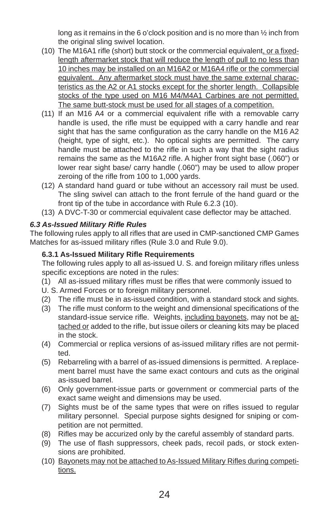long as it remains in the 6 o'clock position and is no more than ½ inch from the original sling swivel location.

- (10) The M16A1 rifle (short) butt stock or the commercial equivalent, or a fixedlength aftermarket stock that will reduce the length of pull to no less than 10 inches may be installed on an M16A2 or M16A4 rifle or the commercial equivalent. Any aftermarket stock must have the same external characteristics as the A2 or A1 stocks except for the shorter length. Collapsible stocks of the type used on M16 M4/M4A1 Carbines are not permitted. The same butt-stock must be used for all stages of a competition.
- $(11)$  If an M16 A4 or a commercial equivalent rifle with a removable carry handle is used, the rifle must be equipped with a carry handle and rear sight that has the same configuration as the carry handle on the M16 A2 (height, type of sight, etc.). No optical sights are permitted. The carry handle must be attached to the rifle in such a way that the sight radius remains the same as the M16A2 rifle. A higher front sight base (.060") or lower rear sight base/ carry handle (.060") may be used to allow proper zeroing of the rifle from 100 to 1,000 yards.
- (12) A standard hand guard or tube without an accessory rail must be used. The sling swivel can attach to the front ferrule of the hand guard or the front tip of the tube in accordance with Rule 6.2.3 (10).
- (13) A DVC-T-30 or commercial equivalent case deflector may be attached.

#### *6.3 As-Issued Military Rifl e Rules*

The following rules apply to all rifles that are used in CMP-sanctioned CMP Games Matches for as-issued military rifles (Rule 3.0 and Rule 9.0).

#### **6.3.1 As-Issued Military Rifl e Requirements**

The following rules apply to all as-issued U. S. and foreign military rifles unless specific exceptions are noted in the rules:

- (1) All as-issued military rifles must be rifles that were commonly issued to
- U. S. Armed Forces or to foreign military personnel.
- (2) The rifle must be in as-issued condition, with a standard stock and sights.
- (3) The rifle must conform to the weight and dimensional specifications of the standard-issue service rifle. Weights, including bayonets, may not be attached or added to the rifle, but issue oilers or cleaning kits may be placed in the stock.
- (4) Commercial or replica versions of as-issued military rifles are not permitted.
- (5) Rebarreling with a barrel of as-issued dimensions is permitted. A replacement barrel must have the same exact contours and cuts as the original as-issued barrel.
- (6) Only government-issue parts or government or commercial parts of the exact same weight and dimensions may be used.
- (7) Sights must be of the same types that were on rifles issued to regular military personnel. Special purpose sights designed for sniping or competition are not permitted.
- (8) Rifles may be accurized only by the careful assembly of standard parts.
- (9) The use of flash suppressors, cheek pads, recoil pads, or stock extensions are prohibited.
- (10) Bayonets may not be attached to As-Issued Military Rifles during competitions.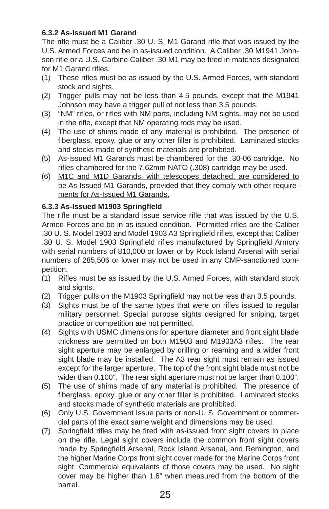#### **6.3.2 As-Issued M1 Garand**

The rifle must be a Caliber .30 U. S. M1 Garand rifle that was issued by the U.S. Armed Forces and be in as-issued condition. A Caliber .30 M1941 Johnson rifle or a U.S. Carbine Caliber .30 M1 may be fired in matches designated for M1 Garand rifles.

- (1) These rifles must be as issued by the U.S. Armed Forces, with standard stock and sights.
- (2) Trigger pulls may not be less than 4.5 pounds, except that the M1941 Johnson may have a trigger pull of not less than 3.5 pounds.
- (3) "NM" rifles, or rifles with NM parts, including NM sights, may not be used in the rifle, except that NM operating rods may be used.
- (4) The use of shims made of any material is prohibited. The presence of fiberglass, epoxy, glue or any other filler is prohibited. Laminated stocks and stocks made of synthetic materials are prohibited.
- (5) As-issued M1 Garands must be chambered for the .30-06 cartridge. No rifles chambered for the 7.62mm NATO (.308) cartridge may be used.
- (6) M1C and M1D Garands, with telescopes detached, are considered to be As-Issued M1 Garands, provided that they comply with other requirements for As-Issued M1 Garands.

#### **6.3.3 As-Issued M1903 Springfi eld**

The rifle must be a standard issue service rifle that was issued by the U.S. Armed Forces and be in as-issued condition. Permitted rifles are the Caliber .30 U. S. Model 1903 and Model 1903 A3 Springfield rifles, except that Caliber .30 U. S. Model 1903 Springfield rifles manufactured by Springfield Armory with serial numbers of 810,000 or lower or by Rock Island Arsenal with serial numbers of 285,506 or lower may not be used in any CMP-sanctioned competition.

- (1) Rifl es must be as issued by the U.S. Armed Forces, with standard stock and sights.
- (2) Trigger pulls on the M1903 Springfield may not be less than 3.5 pounds.
- (3) Sights must be of the same types that were on rifles issued to regular military personnel. Special purpose sights designed for sniping, target practice or competition are not permitted.
- (4) Sights with USMC dimensions for aperture diameter and front sight blade thickness are permitted on both M1903 and M1903A3 rifles. The rear sight aperture may be enlarged by drilling or reaming and a wider front sight blade may be installed. The A3 rear sight must remain as issued except for the larger aperture. The top of the front sight blade must not be wider than 0.100". The rear sight aperture must not be larger than 0.100".
- (5) The use of shims made of any material is prohibited. The presence of fiberglass, epoxy, glue or any other filler is prohibited. Laminated stocks and stocks made of synthetic materials are prohibited.
- (6) Only U.S. Government Issue parts or non-U. S. Government or commercial parts of the exact same weight and dimensions may be used.
- (7) Springfield rifles may be fired with as-issued front sight covers in place on the rifle. Legal sight covers include the common front sight covers made by Springfield Arsenal, Rock Island Arsenal, and Remington, and the higher Marine Corps front sight cover made for the Marine Corps front sight. Commercial equivalents of those covers may be used. No sight cover may be higher than 1.6" when measured from the bottom of the barrel.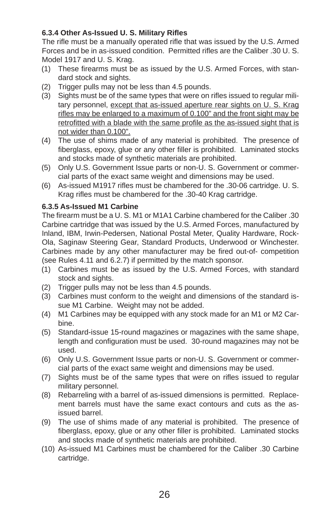#### **6.3.4 Other As-Issued U. S. Military Rifl es**

The rifle must be a manually operated rifle that was issued by the U.S. Armed Forces and be in as-issued condition. Permitted rifles are the Caliber .30 U.S. Model 1917 and U. S. Krag.

- (1) These firearms must be as issued by the U.S. Armed Forces, with standard stock and sights.
- (2) Trigger pulls may not be less than 4.5 pounds.
- (3) Sights must be of the same types that were on rifles issued to regular military personnel, except that as-issued aperture rear sights on U. S. Krag rifles may be enlarged to a maximum of 0.100" and the front sight may be retrofitted with a blade with the same profile as the as-issued sight that is not wider than 0.100".
- (4) The use of shims made of any material is prohibited. The presence of fiberglass, epoxy, glue or any other filler is prohibited. Laminated stocks and stocks made of synthetic materials are prohibited.
- (5) Only U.S. Government Issue parts or non-U. S. Government or commercial parts of the exact same weight and dimensions may be used.
- (6) As-issued M1917 rifles must be chambered for the .30-06 cartridge. U. S. Krag rifles must be chambered for the .30-40 Krag cartridge.

#### **6.3.5 As-Issued M1 Carbine**

The firearm must be a U. S. M1 or M1A1 Carbine chambered for the Caliber .30 Carbine cartridge that was issued by the U.S. Armed Forces, manufactured by Inland, IBM, Irwin-Pedersen, National Postal Meter, Quality Hardware, Rock-Ola, Saginaw Steering Gear, Standard Products, Underwood or Winchester. Carbines made by any other manufacturer may be fired out-of- competition (see Rules 4.11 and 6.2.7) if permitted by the match sponsor.

- (1) Carbines must be as issued by the U.S. Armed Forces, with standard stock and sights.
- (2) Trigger pulls may not be less than 4.5 pounds.
- (3) Carbines must conform to the weight and dimensions of the standard issue M1 Carbine. Weight may not be added.
- (4) M1 Carbines may be equipped with any stock made for an M1 or M2 Carbine.
- (5) Standard-issue 15-round magazines or magazines with the same shape, length and configuration must be used. 30-round magazines may not be used.
- (6) Only U.S. Government Issue parts or non-U. S. Government or commercial parts of the exact same weight and dimensions may be used.
- (7) Sights must be of the same types that were on rifles issued to regular military personnel.
- (8) Rebarreling with a barrel of as-issued dimensions is permitted. Replacement barrels must have the same exact contours and cuts as the asissued barrel.
- (9) The use of shims made of any material is prohibited. The presence of fiberglass, epoxy, glue or any other filler is prohibited. Laminated stocks and stocks made of synthetic materials are prohibited.
- (10) As-issued M1 Carbines must be chambered for the Caliber .30 Carbine cartridge.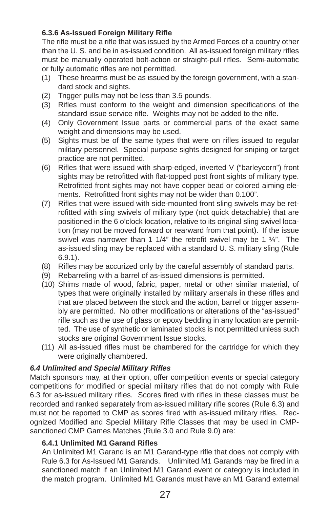#### **6.3.6 As-Issued Foreign Military Rifl e**

The rifle must be a rifle that was issued by the Armed Forces of a country other than the U. S. and be in as-issued condition. All as-issued foreign military rifles must be manually operated bolt-action or straight-pull rifles. Semi-automatic or fully automatic rifles are not permitted.

- (1) These firearms must be as issued by the foreign government, with a standard stock and sights.
- (2) Trigger pulls may not be less than 3.5 pounds.
- (3) Rifles must conform to the weight and dimension specifications of the standard issue service rifle. Weights may not be added to the rifle.
- (4) Only Government Issue parts or commercial parts of the exact same weight and dimensions may be used.
- (5) Sights must be of the same types that were on rifles issued to regular military personnel. Special purpose sights designed for sniping or target practice are not permitted.
- (6) Rifles that were issued with sharp-edged, inverted  $V$  ("barleycorn") front sights may be retrofitted with flat-topped post front sights of military type. Retrofitted front sights may not have copper bead or colored aiming elements. Retrofitted front sights may not be wider than 0.100".
- (7) Rifles that were issued with side-mounted front sling swivels may be retrofitted with sling swivels of military type (not quick detachable) that are positioned in the 6 o'clock location, relative to its original sling swivel location (may not be moved forward or rearward from that point). If the issue swivel was narrower than 1 1/4" the retrofit swivel may be 1  $\frac{1}{4}$ ". The as-issued sling may be replaced with a standard U. S. military sling (Rule 6.9.1).
- (8) Rifles may be accurized only by the careful assembly of standard parts.
- (9) Rebarreling with a barrel of as-issued dimensions is permitted.
- (10) Shims made of wood, fabric, paper, metal or other similar material, of types that were originally installed by military arsenals in these rifles and that are placed between the stock and the action, barrel or trigger assembly are permitted. No other modifications or alterations of the "as-issued" rifle such as the use of glass or epoxy bedding in any location are permitted. The use of synthetic or laminated stocks is not permitted unless such stocks are original Government Issue stocks.
- (11) All as-issued rifles must be chambered for the cartridge for which they were originally chambered.

#### *6.4 Unlimited and Special Military Rifl es*

Match sponsors may, at their option, offer competition events or special category competitions for modified or special military rifles that do not comply with Rule 6.3 for as-issued military rifles. Scores fired with rifles in these classes must be recorded and ranked separately from as-issued military rifle scores (Rule 6.3) and must not be reported to CMP as scores fired with as-issued military rifles. Recognized Modified and Special Military Rifle Classes that may be used in CMPsanctioned CMP Games Matches (Rule 3.0 and Rule 9.0) are:

#### **6.4.1 Unlimited M1 Garand Rifl es**

An Unlimited M1 Garand is an M1 Garand-type rifle that does not comply with Rule 6.3 for As-Issued M1 Garands. Unlimited M1 Garands may be fired in a sanctioned match if an Unlimited M1 Garand event or category is included in the match program. Unlimited M1 Garands must have an M1 Garand external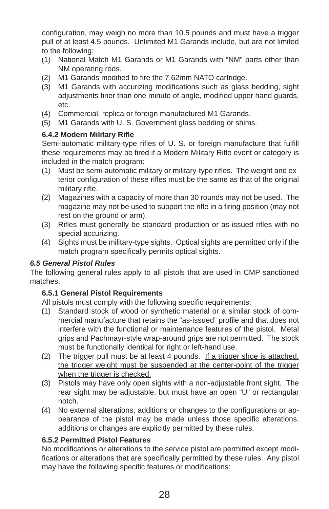configuration, may weigh no more than 10.5 pounds and must have a trigger pull of at least 4.5 pounds. Unlimited M1 Garands include, but are not limited to the following:

- (1) National Match M1 Garands or M1 Garands with "NM" parts other than NM operating rods.
- (2) M1 Garands modified to fire the 7.62mm NATO cartridge.
- (3) M1 Garands with accurizing modifications such as glass bedding, sight adjustments finer than one minute of angle, modified upper hand guards, etc.
- (4) Commercial, replica or foreign manufactured M1 Garands.
- (5) M1 Garands with U. S. Government glass bedding or shims.

#### **6.4.2 Modern Military Rifl e**

Semi-automatic military-type rifles of U. S. or foreign manufacture that fulfill these requirements may be fired if a Modern Military Rifle event or category is included in the match program:

- (1) Must be semi-automatic military or military-type rifles. The weight and exterior configuration of these rifles must be the same as that of the original military rifle.
- (2) Magazines with a capacity of more than 30 rounds may not be used. The magazine may not be used to support the rifle in a firing position (may not rest on the ground or arm).
- (3) Rifles must generally be standard production or as-issued rifles with no special accurizing.
- (4) Sights must be military-type sights. Optical sights are permitted only if the match program specifically permits optical sights.

#### *6.5 General Pistol Rules*

The following general rules apply to all pistols that are used in CMP sanctioned matches.

#### **6.5.1 General Pistol Requirements**

All pistols must comply with the following specific requirements:

- (1) Standard stock of wood or synthetic material or a similar stock of commercial manufacture that retains the "as-issued" profile and that does not interfere with the functional or maintenance features of the pistol. Metal grips and Pachmayr-style wrap-around grips are not permitted. The stock must be functionally identical for right or left-hand use.
- (2) The trigger pull must be at least 4 pounds. If a trigger shoe is attached, the trigger weight must be suspended at the center-point of the trigger when the trigger is checked.
- (3) Pistols may have only open sights with a non-adjustable front sight. The rear sight may be adjustable, but must have an open "U" or rectangular notch.
- (4) No external alterations, additions or changes to the configurations or appearance of the pistol may be made unless those specific alterations, additions or changes are explicitly permitted by these rules.

#### **6.5.2 Permitted Pistol Features**

No modifications or alterations to the service pistol are permitted except modifications or alterations that are specifically permitted by these rules. Any pistol may have the following specific features or modifications: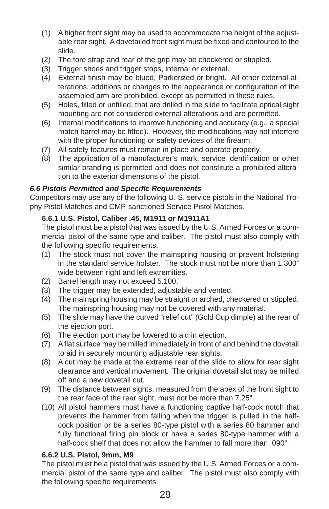- (1) A higher front sight may be used to accommodate the height of the adjustable rear sight. A dovetailed front sight must be fixed and contoured to the slide.
- (2) The fore strap and rear of the grip may be checkered or stippled.
- (3) Trigger shoes and trigger stops, internal or external.
- (4) External finish may be blued, Parkerized or bright. All other external alterations, additions or changes to the appearance or configuration of the assembled arm are prohibited, except as permitted in these rules.
- (5) Holes, filled or unfilled, that are drilled in the slide to facilitate optical sight mounting are not considered external alterations and are permitted.
- (6) Internal modifications to improve functioning and accuracy (e.g., a special match barrel may be fitted). However, the modifications may not interfere with the proper functioning or safety devices of the firearm.
- (7) All safety features must remain in place and operate properly.
- (8) The application of a manufacturer's mark, service identification or other similar branding is permitted and does not constitute a prohibited alteration to the exterior dimensions of the pistol.

#### *6.6 Pistols Permitted and Specifi c Requirements*

Competitors may use any of the following U. S. service pistols in the National Trophy Pistol Matches and CMP-sanctioned Service Pistol Matches.

#### **6.6.1 U.S. Pistol, Caliber .45, M1911 or M1911A1**

The pistol must be a pistol that was issued by the U.S. Armed Forces or a commercial pistol of the same type and caliber. The pistol must also comply with the following specific requirements.

- (1) The stock must not cover the mainspring housing or prevent holstering in the standard service holster. The stock must not be more than 1.300" wide between right and left extremities.
- (2) Barrel length may not exceed 5.100."
- (3) The trigger may be extended, adjustable and vented.
- (4) The mainspring housing may be straight or arched, checkered or stippled. The mainspring housing may not be covered with any material.
- (5) The slide may have the curved "relief cut" (Gold Cup dimple) at the rear of the ejection port.
- (6) The ejection port may be lowered to aid in ejection.
- (7) A flat surface may be milled immediately in front of and behind the dovetail to aid in securely mounting adjustable rear sights.
- (8) A cut may be made at the extreme rear of the slide to allow for rear sight clearance and vertical movement. The original dovetail slot may be milled off and a new dovetail cut.
- (9) The distance between sights, measured from the apex of the front sight to the rear face of the rear sight, must not be more than 7.25".
- (10) All pistol hammers must have a functioning captive half-cock notch that prevents the hammer from falling when the trigger is pulled in the halfcock position or be a series 80-type pistol with a series 80 hammer and fully functional firing pin block or have a series 80-type hammer with a half-cock shelf that does not allow the hammer to fall more than .090".

#### **6.6.2 U.S. Pistol, 9mm, M9**

The pistol must be a pistol that was issued by the U.S. Armed Forces or a commercial pistol of the same type and caliber. The pistol must also comply with the following specific requirements.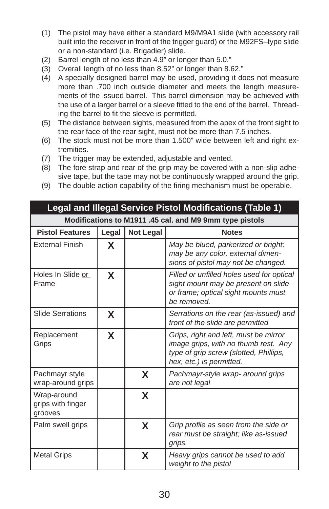- (1) The pistol may have either a standard M9/M9A1 slide (with accessory rail built into the receiver in front of the trigger guard) or the M92FS–type slide or a non-standard (i.e. Brigadier) slide.
- (2) Barrel length of no less than 4.9" or longer than 5.0."
- (3) Overall length of no less than 8.52" or longer than 8.62."
- (4) A specially designed barrel may be used, providing it does not measure more than .700 inch outside diameter and meets the length measurements of the issued barrel. This barrel dimension may be achieved with the use of a larger barrel or a sleeve fitted to the end of the barrel. Threading the barrel to fit the sleeve is permitted.
- (5) The distance between sights, measured from the apex of the front sight to the rear face of the rear sight, must not be more than 7.5 inches.
- (6) The stock must not be more than 1.500" wide between left and right extremities.
- (7) The trigger may be extended, adjustable and vented.
- (8) The fore strap and rear of the grip may be covered with a non-slip adhesive tape, but the tape may not be continuously wrapped around the grip.
- (9) The double action capability of the firing mechanism must be operable.

| Legal and Illegal Service Pistol Modifications (Table 1) |       |                  |                                                                                                                                                     |  |
|----------------------------------------------------------|-------|------------------|-----------------------------------------------------------------------------------------------------------------------------------------------------|--|
| Modifications to M1911 .45 cal. and M9 9mm type pistols  |       |                  |                                                                                                                                                     |  |
| <b>Pistol Features</b>                                   | Legal | <b>Not Legal</b> | <b>Notes</b>                                                                                                                                        |  |
| <b>External Finish</b>                                   | X     |                  | May be blued, parkerized or bright;<br>may be any color, external dimen-<br>sions of pistol may not be changed.                                     |  |
| Holes In Slide or<br>Frame                               | X     |                  | Filled or unfilled holes used for optical<br>sight mount may be present on slide<br>or frame; optical sight mounts must<br>be removed.              |  |
| <b>Slide Serrations</b>                                  | X     |                  | Serrations on the rear (as-issued) and<br>front of the slide are permitted                                                                          |  |
| Replacement<br>Grips                                     | X     |                  | Grips, right and left, must be mirror<br>image grips, with no thumb rest. Any<br>type of grip screw (slotted, Phillips,<br>hex, etc.) is permitted. |  |
| Pachmayr style<br>wrap-around grips                      |       | X                | Pachmayr-style wrap- around grips<br>are not legal                                                                                                  |  |
| Wrap-around<br>grips with finger<br>grooves              |       | X                |                                                                                                                                                     |  |
| Palm swell grips                                         |       | X                | Grip profile as seen from the side or<br>rear must be straight; like as-issued<br>grips.                                                            |  |
| <b>Metal Grips</b>                                       |       | X                | Heavy grips cannot be used to add<br>weight to the pistol                                                                                           |  |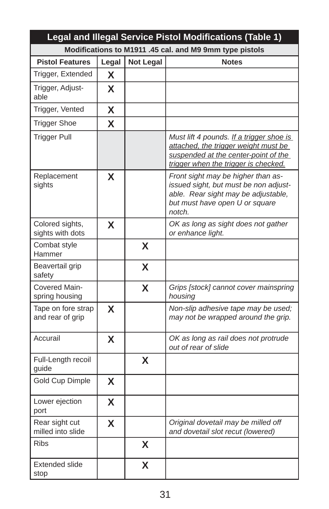| Legal and Illegal Service Pistol Modifications (Table 1) |       |                  |                                                                                                                                                                  |
|----------------------------------------------------------|-------|------------------|------------------------------------------------------------------------------------------------------------------------------------------------------------------|
| Modifications to M1911 .45 cal. and M9 9mm type pistols  |       |                  |                                                                                                                                                                  |
| <b>Pistol Features</b>                                   | Legal | <b>Not Legal</b> | <b>Notes</b>                                                                                                                                                     |
| Trigger, Extended                                        | X     |                  |                                                                                                                                                                  |
| Trigger, Adjust-<br>able                                 | X     |                  |                                                                                                                                                                  |
| Trigger, Vented                                          | X     |                  |                                                                                                                                                                  |
| <b>Trigger Shoe</b>                                      | X     |                  |                                                                                                                                                                  |
| <b>Trigger Pull</b>                                      |       |                  | Must lift 4 pounds. If a trigger shoe is<br>attached, the trigger weight must be<br>suspended at the center-point of the<br>trigger when the trigger is checked. |
| Replacement<br>sights                                    | X     |                  | Front sight may be higher than as-<br>issued sight, but must be non adjust-<br>able. Rear sight may be adjustable,<br>but must have open U or square<br>notch.   |
| Colored sights,<br>sights with dots                      | X     |                  | OK as long as sight does not gather<br>or enhance light.                                                                                                         |
| Combat style<br>Hammer                                   |       | X                |                                                                                                                                                                  |
| Beavertail grip<br>safety                                |       | X                |                                                                                                                                                                  |
| Covered Main-<br>spring housing                          |       | X                | Grips [stock] cannot cover mainspring<br>housing                                                                                                                 |
| Tape on fore strap<br>and rear of grip                   | X     |                  | Non-slip adhesive tape may be used;<br>may not be wrapped around the grip.                                                                                       |
| Accurail                                                 | X     |                  | OK as long as rail does not protrude<br>out of rear of slide                                                                                                     |
| Full-Length recoil<br>guide                              |       | X                |                                                                                                                                                                  |
| Gold Cup Dimple                                          | X     |                  |                                                                                                                                                                  |
| Lower ejection<br>port                                   | X     |                  |                                                                                                                                                                  |
| Rear sight cut<br>milled into slide                      | X     |                  | Original dovetail may be milled off<br>and dovetail slot recut (lowered)                                                                                         |
| <b>Ribs</b>                                              |       | X                |                                                                                                                                                                  |
| <b>Extended slide</b><br>stop                            |       | X                |                                                                                                                                                                  |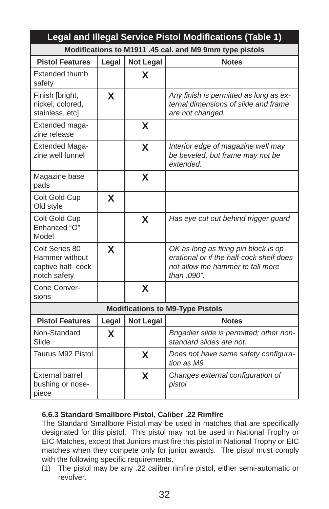|                                                                       | Legal and Illegal Service Pistol Modifications (Table 1) |                  |                                                                                                                                       |  |  |  |  |
|-----------------------------------------------------------------------|----------------------------------------------------------|------------------|---------------------------------------------------------------------------------------------------------------------------------------|--|--|--|--|
|                                                                       |                                                          |                  | Modifications to M1911 .45 cal. and M9 9mm type pistols                                                                               |  |  |  |  |
| <b>Pistol Features</b>                                                | Legal                                                    | <b>Not Legal</b> | <b>Notes</b>                                                                                                                          |  |  |  |  |
| <b>Extended thumb</b><br>safety                                       |                                                          | X                |                                                                                                                                       |  |  |  |  |
| Finish [bright,<br>nickel, colored,<br>stainless, etcl                | X                                                        |                  | Any finish is permitted as long as ex-<br>ternal dimensions of slide and frame<br>are not changed.                                    |  |  |  |  |
| Extended maga-<br>zine release                                        |                                                          | X                |                                                                                                                                       |  |  |  |  |
| <b>Extended Maga-</b><br>zine well funnel                             |                                                          | X                | Interior edge of magazine well may<br>be beveled, but frame may not be<br>extended.                                                   |  |  |  |  |
| Magazine base<br>pads                                                 |                                                          | X                |                                                                                                                                       |  |  |  |  |
| Colt Gold Cup<br>Old style                                            | X                                                        |                  |                                                                                                                                       |  |  |  |  |
| Colt Gold Cup<br>Enhanced "O"<br>Model                                |                                                          | X                | Has eye cut out behind trigger guard                                                                                                  |  |  |  |  |
| Colt Series 80<br>Hammer without<br>captive half-cock<br>notch safety | X                                                        |                  | OK as long as firing pin block is op-<br>erational or if the half-cock shelf does<br>not allow the hammer to fall more<br>than .090". |  |  |  |  |
| Cone Conver-<br>sions                                                 |                                                          | X                |                                                                                                                                       |  |  |  |  |
|                                                                       |                                                          |                  | <b>Modifications to M9-Type Pistols</b>                                                                                               |  |  |  |  |
| <b>Pistol Features</b>                                                | Legal                                                    | <b>Not Legal</b> | <b>Notes</b>                                                                                                                          |  |  |  |  |
| Non-Standard<br>Slide                                                 | X                                                        |                  | Brigadier slide is permitted; other non-<br>standard slides are not.                                                                  |  |  |  |  |
| Taurus M92 Pistol                                                     |                                                          | X                | Does not have same safety configura-<br>tion as M9                                                                                    |  |  |  |  |
| <b>External barrel</b><br>bushing or nose-<br>piece                   |                                                          | X                | Changes external configuration of<br>pistol                                                                                           |  |  |  |  |

## **6.6.3 Standard Smallbore Pistol, Caliber .22 Rimfi re**

The Standard Smallbore Pistol may be used in matches that are specifically designated for this pistol. This pistol may not be used in National Trophy or EIC Matches, except that Juniors must fire this pistol in National Trophy or EIC matches when they compete only for junior awards. The pistol must comply with the following specific requirements.

(1) The pistol may be any .22 caliber rimfire pistol, either semi-automatic or revolver.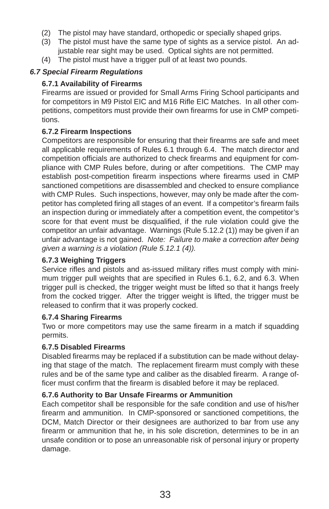- (2) The pistol may have standard, orthopedic or specially shaped grips.
- (3) The pistol must have the same type of sights as a service pistol. An adjustable rear sight may be used. Optical sights are not permitted.
- (4) The pistol must have a trigger pull of at least two pounds.

## *6.7 Special Firearm Regulations*

#### **6.7.1 Availability of Firearms**

Firearms are issued or provided for Small Arms Firing School participants and for competitors in M9 Pistol EIC and M16 Rifle EIC Matches. In all other competitions, competitors must provide their own firearms for use in CMP competitions.

### **6.7.2 Firearm Inspections**

Competitors are responsible for ensuring that their firearms are safe and meet all applicable requirements of Rules 6.1 through 6.4. The match director and competition officials are authorized to check firearms and equipment for compliance with CMP Rules before, during or after competitions. The CMP may establish post-competition firearm inspections where firearms used in CMP sanctioned competitions are disassembled and checked to ensure compliance with CMP Rules. Such inspections, however, may only be made after the competitor has completed firing all stages of an event. If a competitor's firearm fails an inspection during or immediately after a competition event, the competitor's score for that event must be disqualified, if the rule violation could give the competitor an unfair advantage. Warnings (Rule 5.12.2 (1)) may be given if an unfair advantage is not gained. *Note: Failure to make a correction after being given a warning is a violation (Rule 5.12.1 (4)).*

#### **6.7.3 Weighing Triggers**

Service rifles and pistols and as-issued military rifles must comply with minimum trigger pull weights that are specified in Rules 6.1, 6.2, and 6.3. When trigger pull is checked, the trigger weight must be lifted so that it hangs freely from the cocked trigger. After the trigger weight is lifted, the trigger must be released to confirm that it was properly cocked.

#### **6.7.4 Sharing Firearms**

Two or more competitors may use the same firearm in a match if squadding permits.

## **6.7.5 Disabled Firearms**

Disabled firearms may be replaced if a substitution can be made without delaying that stage of the match. The replacement firearm must comply with these rules and be of the same type and caliber as the disabled firearm. A range officer must confirm that the firearm is disabled before it may be replaced.

#### **6.7.6 Authority to Bar Unsafe Firearms or Ammunition**

Each competitor shall be responsible for the safe condition and use of his/her firearm and ammunition. In CMP-sponsored or sanctioned competitions, the DCM, Match Director or their designees are authorized to bar from use any firearm or ammunition that he, in his sole discretion, determines to be in an unsafe condition or to pose an unreasonable risk of personal injury or property damage.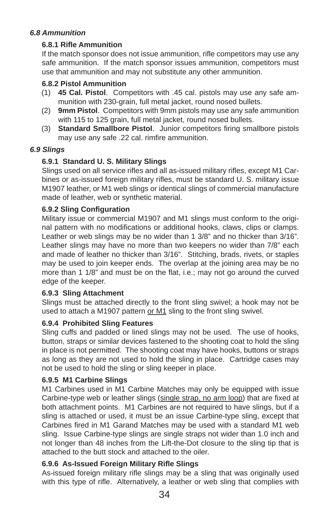## *6.8 Ammunition*

### **6.8.1 Rifl e Ammunition**

If the match sponsor does not issue ammunition, rifle competitors may use any safe ammunition. If the match sponsor issues ammunition, competitors must use that ammunition and may not substitute any other ammunition.

### **6.8.2 Pistol Ammunition**

- (1) **45 Cal. Pistol**. Competitors with .45 cal. pistols may use any safe ammunition with 230-grain, full metal jacket, round nosed bullets.
- (2) **9mm Pistol**. Competitors with 9mm pistols may use any safe ammunition with 115 to 125 grain, full metal jacket, round nosed bullets.
- (3) **Standard Smallbore Pistol**. Junior competitors firing smallbore pistols may use any safe .22 cal. rimfire ammunition.

#### *6.9 Slings*

## **6.9.1 Standard U. S. Military Slings**

Slings used on all service rifles and all as-issued military rifles, except M1 Carbines or as-issued foreign military rifles, must be standard U. S. military issue M1907 leather, or M1 web slings or identical slings of commercial manufacture made of leather, web or synthetic material.

#### **6.9.2 Sling Confi guration**

Military issue or commercial M1907 and M1 slings must conform to the original pattern with no modifications or additional hooks, claws, clips or clamps. Leather or web slings may be no wider than 1 3/8" and no thicker than 3/16". Leather slings may have no more than two keepers no wider than 7/8" each and made of leather no thicker than 3/16". Stitching, brads, rivets, or staples may be used to join keeper ends. The overlap at the joining area may be no more than 1  $1/8$ " and must be on the flat, i.e.; may not go around the curved edge of the keeper.

#### **6.9.3 Sling Attachment**

Slings must be attached directly to the front sling swivel; a hook may not be used to attach a M1907 pattern or M1 sling to the front sling swivel.

## **6.9.4 Prohibited Sling Features**

Sling cuffs and padded or lined slings may not be used. The use of hooks, button, straps or similar devices fastened to the shooting coat to hold the sling in place is not permitted. The shooting coat may have hooks, buttons or straps as long as they are not used to hold the sling in place. Cartridge cases may not be used to hold the sling or sling keeper in place.

#### **6.9.5 M1 Carbine Slings**

M1 Carbines used in M1 Carbine Matches may only be equipped with issue Carbine-type web or leather slings (single strap, no arm loop) that are fixed at both attachment points. M1 Carbines are not required to have slings, but if a sling is attached or used, it must be an issue Carbine-type sling, except that Carbines fired in M1 Garand Matches may be used with a standard M1 web sling. Issue Carbine-type slings are single straps not wider than 1.0 inch and not longer than 48 inches from the Lift-the-Dot closure to the sling tip that is attached to the butt stock and attached to the oiler.

## **6.9.6 As-Issued Foreign Military Rifl e Slings**

As-issued foreign military rifle slings may be a sling that was originally used with this type of rifle. Alternatively, a leather or web sling that complies with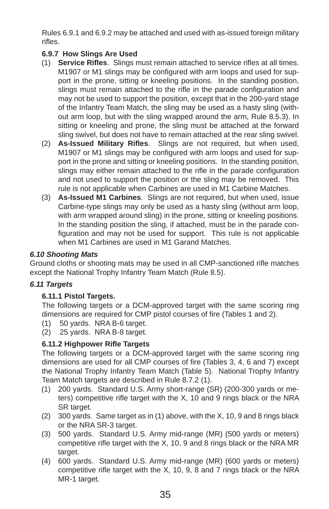Rules 6.9.1 and 6.9.2 may be attached and used with as-issued foreign military rifles.

# **6.9.7 How Slings Are Used**

- (1) **Service Rifles**. Slings must remain attached to service rifles at all times. M1907 or M1 slings may be configured with arm loops and used for support in the prone, sitting or kneeling positions. In the standing position, slings must remain attached to the rifle in the parade configuration and may not be used to support the position, except that in the 200-yard stage of the Infantry Team Match, the sling may be used as a hasty sling (without arm loop, but with the sling wrapped around the arm, Rule 8.5.3). In sitting or kneeling and prone, the sling must be attached at the forward sling swivel, but does not have to remain attached at the rear sling swivel.
- (2) **As-Issued Military Rifl es**. Slings are not required, but when used, M1907 or M1 slings may be configured with arm loops and used for support in the prone and sitting or kneeling positions. In the standing position, slings may either remain attached to the rifle in the parade configuration and not used to support the position or the sling may be removed. This rule is not applicable when Carbines are used in M1 Carbine Matches.
- (3) **As-Issued M1 Carbines**. Slings are not required, but when used, issue Carbine-type slings may only be used as a hasty sling (without arm loop, with arm wrapped around sling) in the prone, sitting or kneeling positions. In the standing position the sling, if attached, must be in the parade configuration and may not be used for support. This rule is not applicable when M1 Carbines are used in M1 Garand Matches.

## *6.10 Shooting Mats*

Ground cloths or shooting mats may be used in all CMP-sanctioned rifle matches except the National Trophy Infantry Team Match (Rule 8.5).

## *6.11 Targets*

#### **6.11.1 Pistol Targets.**

The following targets or a DCM-approved target with the same scoring ring dimensions are required for CMP pistol courses of fire (Tables 1 and 2).

- (1) 50 yards. NRA B-6 target.
- (2) 25 yards. NRA B-8 target.

#### **6.11.2 Highpower Rifle Targets**

The following targets or a DCM-approved target with the same scoring ring dimensions are used for all CMP courses of fire (Tables 3, 4, 6 and 7) except the National Trophy Infantry Team Match (Table 5). National Trophy Infantry Team Match targets are described in Rule 8.7.2 (1).

- (1) 200 yards. Standard U.S. Army short-range (SR) (200-300 yards or meters) competitive rifle target with the  $X$ , 10 and 9 rings black or the NRA SR target.
- (2) 300 yards. Same target as in (1) above, with the X, 10, 9 and 8 rings black or the NRA SR-3 target.
- (3) 500 yards. Standard U.S. Army mid-range (MR) (500 yards or meters) competitive rifle target with the  $X$ , 10, 9 and 8 rings black or the NRA MR target.
- (4) 600 yards. Standard U.S. Army mid-range (MR) (600 yards or meters) competitive rifle target with the  $X$ , 10, 9, 8 and 7 rings black or the NRA MR-1 target.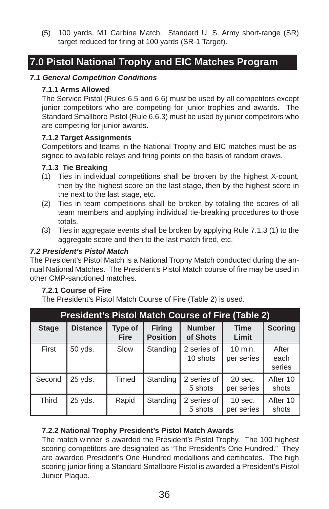(5) 100 yards, M1 Carbine Match. Standard U. S. Army short-range (SR) target reduced for firing at 100 yards (SR-1 Target).

# **7.0 Pistol National Trophy and EIC Matches Program**

#### *7.1 General Competition Conditions*

#### **7.1.1 Arms Allowed**

The Service Pistol (Rules 6.5 and 6.6) must be used by all competitors except junior competitors who are competing for junior trophies and awards. The Standard Smallbore Pistol (Rule 6.6.3) must be used by junior competitors who are competing for junior awards.

### **7.1.2 Target Assignments**

Competitors and teams in the National Trophy and EIC matches must be assigned to available relays and firing points on the basis of random draws.

## **7.1.3 Tie Breaking**

- (1) Ties in individual competitions shall be broken by the highest X-count, then by the highest score on the last stage, then by the highest score in the next to the last stage, etc.
- (2) Ties in team competitions shall be broken by totaling the scores of all team members and applying individual tie-breaking procedures to those totals.
- (3) Ties in aggregate events shall be broken by applying Rule 7.1.3 (1) to the aggregate score and then to the last match fired, etc.

## *7.2 President's Pistol Match*

The President's Pistol Match is a National Trophy Match conducted during the annual National Matches. The President's Pistol Match course of fire may be used in other CMP-sanctioned matches.

#### **7.2.1 Course of Fire**

The President's Pistol Match Course of Fire (Table 2) is used.

| <b>President's Pistol Match Course of Fire (Table 2)</b> |                 |                        |                                  |                           |                         |                         |
|----------------------------------------------------------|-----------------|------------------------|----------------------------------|---------------------------|-------------------------|-------------------------|
| <b>Stage</b>                                             | <b>Distance</b> | Type of<br><b>Fire</b> | <b>Firing</b><br><b>Position</b> | <b>Number</b><br>of Shots | <b>Time</b><br>Limit    | <b>Scoring</b>          |
| First                                                    | 50 vds.         | Slow                   | Standing                         | 2 series of<br>10 shots   | 10 min.<br>per series   | After<br>each<br>series |
| Second                                                   | 25 yds.         | Timed                  | Standing                         | 2 series of<br>5 shots    | $20$ sec.<br>per series | After 10<br>shots       |
| <b>Third</b>                                             | 25 vds.         | Rapid                  | Standing                         | 2 series of<br>5 shots    | $10$ sec.<br>per series | After 10<br>shots       |

## **7.2.2 National Trophy President's Pistol Match Awards**

The match winner is awarded the President's Pistol Trophy. The 100 highest scoring competitors are designated as "The President's One Hundred." They are awarded President's One Hundred medallions and certificates. The high scoring junior firing a Standard Smallbore Pistol is awarded a President's Pistol Junior Plaque.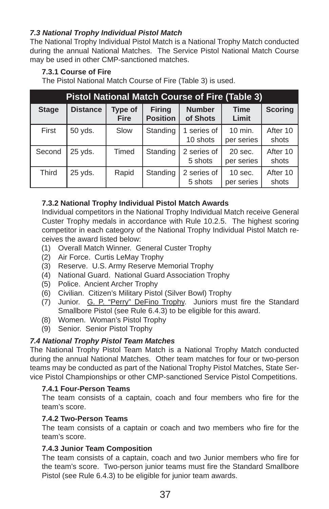## *7.3 National Trophy Individual Pistol Match*

The National Trophy Individual Pistol Match is a National Trophy Match conducted during the annual National Matches. The Service Pistol National Match Course may be used in other CMP-sanctioned matches.

## **7.3.1 Course of Fire**

The Pistol National Match Course of Fire (Table 3) is used.

| <b>Pistol National Match Course of Fire (Table 3)</b> |                 |                        |                                  |                           |                         |                   |
|-------------------------------------------------------|-----------------|------------------------|----------------------------------|---------------------------|-------------------------|-------------------|
| <b>Stage</b>                                          | <b>Distance</b> | Type of<br><b>Fire</b> | <b>Firing</b><br><b>Position</b> | <b>Number</b><br>of Shots | <b>Time</b><br>Limit    | <b>Scoring</b>    |
| First                                                 | 50 yds.         | Slow                   | Standing                         | 1 series of<br>10 shots   | 10 min.<br>per series   | After 10<br>shots |
| Second                                                | 25 vds.         | Timed                  | Standing                         | 2 series of<br>5 shots    | 20 sec.<br>per series   | After 10<br>shots |
| <b>Third</b>                                          | 25 vds.         | Rapid                  | Standing                         | 2 series of<br>5 shots    | $10$ sec.<br>per series | After 10<br>shots |

### **7.3.2 National Trophy Individual Pistol Match Awards**

Individual competitors in the National Trophy Individual Match receive General Custer Trophy medals in accordance with Rule 10.2.5. The highest scoring competitor in each category of the National Trophy Individual Pistol Match receives the award listed below:

- (1) Overall Match Winner. General Custer Trophy
- (2) Air Force. Curtis LeMay Trophy
- (3) Reserve. U.S. Army Reserve Memorial Trophy
- (4) National Guard. National Guard Association Trophy
- (5) Police. Ancient Archer Trophy
- (6) Civilian. Citizen's Military Pistol (Silver Bowl) Trophy
- (7) Junior. G. P. "Perry" DeFino Trophy. Juniors must fire the Standard Smallbore Pistol (see Rule 6.4.3) to be eligible for this award.
- (8) Women. Woman's Pistol Trophy
- (9) Senior. Senior Pistol Trophy

## *7.4 National Trophy Pistol Team Matches*

The National Trophy Pistol Team Match is a National Trophy Match conducted during the annual National Matches. Other team matches for four or two-person teams may be conducted as part of the National Trophy Pistol Matches, State Service Pistol Championships or other CMP-sanctioned Service Pistol Competitions.

#### **7.4.1 Four-Person Teams**

The team consists of a captain, coach and four members who fire for the team's score.

#### **7.4.2 Two-Person Teams**

The team consists of a captain or coach and two members who fire for the team's score.

## **7.4.3 Junior Team Composition**

The team consists of a captain, coach and two Junior members who fire for the team's score. Two-person junior teams must fire the Standard Smallbore Pistol (see Rule 6.4.3) to be eligible for junior team awards.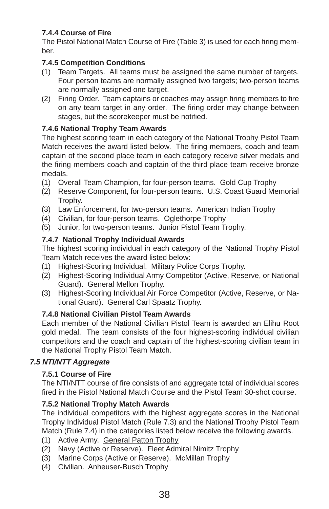# **7.4.4 Course of Fire**

The Pistol National Match Course of Fire (Table 3) is used for each firing member.

# **7.4.5 Competition Conditions**

- (1) Team Targets. All teams must be assigned the same number of targets. Four person teams are normally assigned two targets; two-person teams are normally assigned one target.
- (2) Firing Order. Team captains or coaches may assign firing members to fire on any team target in any order. The firing order may change between stages, but the scorekeeper must be notified.

## **7.4.6 National Trophy Team Awards**

The highest scoring team in each category of the National Trophy Pistol Team Match receives the award listed below. The firing members, coach and team captain of the second place team in each category receive silver medals and the firing members coach and captain of the third place team receive bronze medals.

- (1) Overall Team Champion, for four-person teams. Gold Cup Trophy
- (2) Reserve Component, for four-person teams. U.S. Coast Guard Memorial Trophy.
- (3) Law Enforcement, for two-person teams. American Indian Trophy
- (4) Civilian, for four-person teams. Oglethorpe Trophy
- (5) Junior, for two-person teams. Junior Pistol Team Trophy.

# **7.4.7 National Trophy Individual Awards**

The highest scoring individual in each category of the National Trophy Pistol Team Match receives the award listed below:

- (1) Highest-Scoring Individual. Military Police Corps Trophy.
- (2) Highest-Scoring Individual Army Competitor (Active, Reserve, or National Guard). General Mellon Trophy.
- (3) Highest-Scoring Individual Air Force Competitor (Active, Reserve, or National Guard). General Carl Spaatz Trophy.

# **7.4.8 National Civilian Pistol Team Awards**

Each member of the National Civilian Pistol Team is awarded an Elihu Root gold medal. The team consists of the four highest-scoring individual civilian competitors and the coach and captain of the highest-scoring civilian team in the National Trophy Pistol Team Match.

# *7.5 NTI/NTT Aggregate*

# **7.5.1 Course of Fire**

The NTI/NTT course of fire consists of and aggregate total of individual scores fired in the Pistol National Match Course and the Pistol Team 30-shot course.

# **7.5.2 National Trophy Match Awards**

The individual competitors with the highest aggregate scores in the National Trophy Individual Pistol Match (Rule 7.3) and the National Trophy Pistol Team Match (Rule 7.4) in the categories listed below receive the following awards.

- (1) Active Army. General Patton Trophy
- (2) Navy (Active or Reserve). Fleet Admiral Nimitz Trophy
- (3) Marine Corps (Active or Reserve). McMillan Trophy
- (4) Civilian. Anheuser-Busch Trophy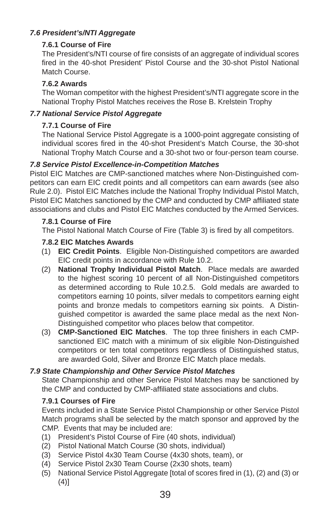# *7.6 President's/NTI Aggregate*

## **7.6.1 Course of Fire**

The President's/NTI course of fire consists of an aggregate of individual scores fired in the 40-shot President' Pistol Course and the 30-shot Pistol National Match Course.

# **7.6.2 Awards**

The Woman competitor with the highest President's/NTI aggregate score in the National Trophy Pistol Matches receives the Rose B. Krelstein Trophy

# *7.7 National Service Pistol Aggregate*

## **7.7.1 Course of Fire**

The National Service Pistol Aggregate is a 1000-point aggregate consisting of individual scores fired in the 40-shot President's Match Course, the 30-shot National Trophy Match Course and a 30-shot two or four-person team course.

# *7.8 Service Pistol Excellence-in-Competition Matches*

Pistol EIC Matches are CMP-sanctioned matches where Non-Distinguished competitors can earn EIC credit points and all competitors can earn awards (see also Rule 2.0). Pistol EIC Matches include the National Trophy Individual Pistol Match, Pistol EIC Matches sanctioned by the CMP and conducted by CMP affiliated state associations and clubs and Pistol EIC Matches conducted by the Armed Services.

## **7.8.1 Course of Fire**

The Pistol National Match Course of Fire (Table 3) is fired by all competitors.

## **7.8.2 EIC Matches Awards**

- (1) **EIC Credit Points**. Eligible Non-Distinguished competitors are awarded EIC credit points in accordance with Rule 10.2.
- (2) **National Trophy Individual Pistol Match**. Place medals are awarded to the highest scoring 10 percent of all Non-Distinguished competitors as determined according to Rule 10.2.5. Gold medals are awarded to competitors earning 10 points, silver medals to competitors earning eight points and bronze medals to competitors earning six points. A Distinguished competitor is awarded the same place medal as the next Non-Distinguished competitor who places below that competitor.
- (3) **CMP-Sanctioned EIC Matches**. The top three finishers in each CMPsanctioned EIC match with a minimum of six eligible Non-Distinguished competitors or ten total competitors regardless of Distinguished status, are awarded Gold, Silver and Bronze EIC Match place medals.

## *7.9 State Championship and Other Service Pistol Matches*

State Championship and other Service Pistol Matches may be sanctioned by the CMP and conducted by CMP-affiliated state associations and clubs.

## **7.9.1 Courses of Fire**

Events included in a State Service Pistol Championship or other Service Pistol Match programs shall be selected by the match sponsor and approved by the CMP. Events that may be included are:

- (1) President's Pistol Course of Fire (40 shots, individual)
- (2) Pistol National Match Course (30 shots, individual)
- (3) Service Pistol 4x30 Team Course (4x30 shots, team), or
- (4) Service Pistol 2x30 Team Course (2x30 shots, team)
- (5) National Service Pistol Aggregate [total of scores fired in (1), (2) and (3) or (4)]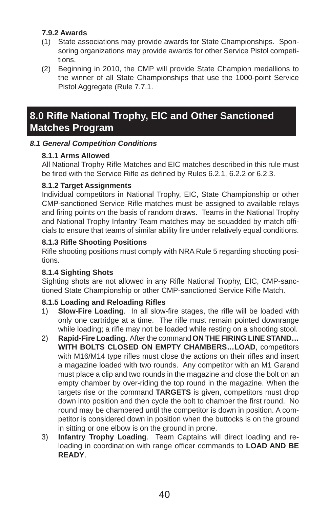# **7.9.2 Awards**

- (1) State associations may provide awards for State Championships. Sponsoring organizations may provide awards for other Service Pistol competitions.
- (2) Beginning in 2010, the CMP will provide State Champion medallions to the winner of all State Championships that use the 1000-point Service Pistol Aggregate (Rule 7.7.1.

# **8.0 Rifl e National Trophy, EIC and Other Sanctioned Matches Program**

### *8.1 General Competition Conditions*

#### **8.1.1 Arms Allowed**

All National Trophy Rifle Matches and EIC matches described in this rule must be fired with the Service Rifle as defined by Rules 6.2.1, 6.2.2 or 6.2.3.

### **8.1.2 Target Assignments**

Individual competitors in National Trophy, EIC, State Championship or other CMP-sanctioned Service Rifle matches must be assigned to available relays and firing points on the basis of random draws. Teams in the National Trophy and National Trophy Infantry Team matches may be squadded by match officials to ensure that teams of similar ability fire under relatively equal conditions.

### **8.1.3 Rifl e Shooting Positions**

Rifle shooting positions must comply with NRA Rule 5 regarding shooting positions.

## **8.1.4 Sighting Shots**

Sighting shots are not allowed in any Rifle National Trophy, EIC, CMP-sanctioned State Championship or other CMP-sanctioned Service Rifle Match.

## **8.1.5 Loading and Reloading Rifl es**

- 1) **Slow-Fire Loading**. In all slow-fire stages, the rifle will be loaded with only one cartridge at a time. The rifle must remain pointed downrange while loading; a rifle may not be loaded while resting on a shooting stool.
- 2) **Rapid-Fire Loading**. After the command **ON THE FIRING LINE STAND… WITH BOLTS CLOSED ON EMPTY CHAMBERS…LOAD**, competitors with M16/M14 type rifles must close the actions on their rifles and insert a magazine loaded with two rounds. Any competitor with an M1 Garand must place a clip and two rounds in the magazine and close the bolt on an empty chamber by over-riding the top round in the magazine. When the targets rise or the command **TARGETS** is given, competitors must drop down into position and then cycle the bolt to chamber the first round. No round may be chambered until the competitor is down in position. A competitor is considered down in position when the buttocks is on the ground in sitting or one elbow is on the ground in prone.
- 3) **Infantry Trophy Loading**. Team Captains will direct loading and reloading in coordination with range officer commands to **LOAD AND BE READY**.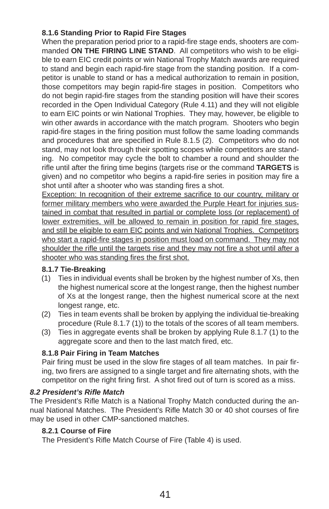## **8.1.6 Standing Prior to Rapid Fire Stages**

When the preparation period prior to a rapid-fire stage ends, shooters are commanded **ON THE FIRING LINE STAND**. All competitors who wish to be eligible to earn EIC credit points or win National Trophy Match awards are required to stand and begin each rapid-fire stage from the standing position. If a competitor is unable to stand or has a medical authorization to remain in position, those competitors may begin rapid-fire stages in position. Competitors who do not begin rapid-fire stages from the standing position will have their scores recorded in the Open Individual Category (Rule 4.11) and they will not eligible to earn EIC points or win National Trophies. They may, however, be eligible to win other awards in accordance with the match program. Shooters who begin rapid-fire stages in the firing position must follow the same loading commands and procedures that are specified in Rule  $8.1.5$  (2). Competitors who do not stand, may not look through their spotting scopes while competitors are standing. No competitor may cycle the bolt to chamber a round and shoulder the rifle until after the firing time begins (targets rise or the command TARGETS is given) and no competitor who begins a rapid-fire series in position may fire a shot until after a shooter who was standing fires a shot.

Exception: In recognition of their extreme sacrifice to our country, military or former military members who were awarded the Purple Heart for injuries sustained in combat that resulted in partial or complete loss (or replacement) of lower extremities, will be allowed to remain in position for rapid fire stages, and still be eligible to earn EIC points and win National Trophies. Competitors who start a rapid-fire stages in position must load on command. They may not shoulder the rifle until the targets rise and they may not fire a shot until after a shooter who was standing fires the first shot.

## **8.1.7 Tie-Breaking**

- (1) Ties in individual events shall be broken by the highest number of Xs, then the highest numerical score at the longest range, then the highest number of Xs at the longest range, then the highest numerical score at the next longest range, etc.
- (2) Ties in team events shall be broken by applying the individual tie-breaking procedure (Rule 8.1.7 (1)) to the totals of the scores of all team members.
- (3) Ties in aggregate events shall be broken by applying Rule 8.1.7 (1) to the aggregate score and then to the last match fired, etc.

## **8.1.8 Pair Firing in Team Matches**

Pair firing must be used in the slow fire stages of all team matches. In pair firing, two firers are assigned to a single target and fire alternating shots, with the competitor on the right firing first. A shot fired out of turn is scored as a miss.

#### *8.2 President's Rifl e Match*

The President's Rifle Match is a National Trophy Match conducted during the annual National Matches. The President's Rifle Match 30 or 40 shot courses of fire may be used in other CMP-sanctioned matches.

#### **8.2.1 Course of Fire**

The President's Rifle Match Course of Fire (Table 4) is used.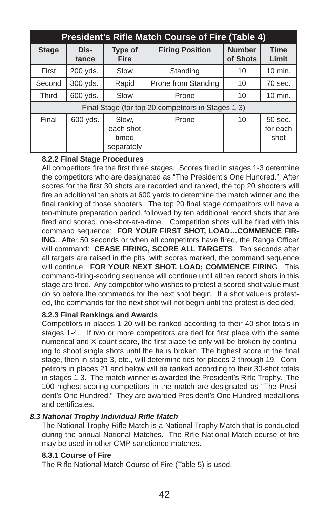| <b>President's Rifle Match Course of Fire (Table 4)</b> |                                                    |                                           |                        |                           |                             |  |  |
|---------------------------------------------------------|----------------------------------------------------|-------------------------------------------|------------------------|---------------------------|-----------------------------|--|--|
| <b>Stage</b>                                            | Dis-<br>tance                                      | <b>Type of</b><br><b>Fire</b>             | <b>Firing Position</b> | <b>Number</b><br>of Shots | <b>Time</b><br>Limit        |  |  |
| First                                                   | 200 yds.                                           | Slow                                      | Standing               | 10                        | 10 min.                     |  |  |
| Second                                                  | 300 yds.                                           | Rapid                                     | Prone from Standing    | 10                        | 70 sec.                     |  |  |
| <b>Third</b>                                            | 600 yds.                                           | Slow                                      | Prone                  | 10                        | 10 min.                     |  |  |
|                                                         | Final Stage (for top 20 competitors in Stages 1-3) |                                           |                        |                           |                             |  |  |
| Final                                                   | 600 yds.                                           | Slow,<br>each shot<br>timed<br>separately | Prone                  | 10                        | 50 sec.<br>for each<br>shot |  |  |

### **8.2.2 Final Stage Procedures**

All competitors fire the first three stages. Scores fired in stages 1-3 determine the competitors who are designated as "The President's One Hundred." After scores for the first 30 shots are recorded and ranked, the top 20 shooters will fire an additional ten shots at 600 yards to determine the match winner and the final ranking of those shooters. The top 20 final stage competitors will have a ten-minute preparation period, followed by ten additional record shots that are fired and scored, one-shot-at-a-time. Competition shots will be fired with this command sequence: **FOR YOUR FIRST SHOT, LOAD…COMMENCE FIR-ING**. After 50 seconds or when all competitors have fired, the Range Officer will command: **CEASE FIRING, SCORE ALL TARGETS**. Ten seconds after all targets are raised in the pits, with scores marked, the command sequence will continue: **FOR YOUR NEXT SHOT. LOAD; COMMENCE FIRIN**G. This command-firing-scoring sequence will continue until all ten record shots in this stage are fired. Any competitor who wishes to protest a scored shot value must do so before the commands for the next shot begin. If a shot value is protested, the commands for the next shot will not begin until the protest is decided.

#### **8.2.3 Final Rankings and Awards**

Competitors in places 1-20 will be ranked according to their 40-shot totals in stages 1-4. If two or more competitors are tied for first place with the same numerical and X-count score, the first place tie only will be broken by continuing to shoot single shots until the tie is broken. The highest score in the final stage, then in stage 3, etc., will determine ties for places 2 through 19. Competitors in places 21 and below will be ranked according to their 30-shot totals in stages 1-3. The match winner is awarded the President's Rifle Trophy. The 100 highest scoring competitors in the match are designated as "The President's One Hundred." They are awarded President's One Hundred medallions and certificates.

#### *8.3 National Trophy Individual Rifl e Match*

The National Trophy Rifle Match is a National Trophy Match that is conducted during the annual National Matches. The Rifle National Match course of fire may be used in other CMP-sanctioned matches.

#### **8.3.1 Course of Fire**

The Rifle National Match Course of Fire (Table 5) is used.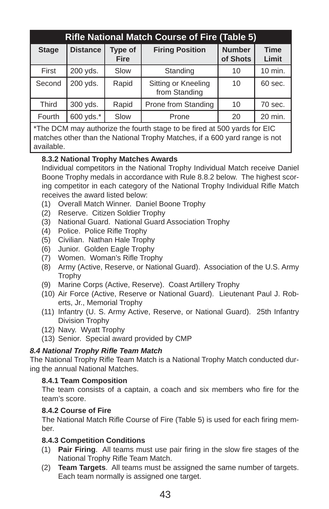| <b>Rifle National Match Course of Fire (Table 5)</b> |                 |                        |                                      |                           |                      |  |
|------------------------------------------------------|-----------------|------------------------|--------------------------------------|---------------------------|----------------------|--|
| <b>Stage</b>                                         | <b>Distance</b> | Type of<br><b>Fire</b> | <b>Firing Position</b>               | <b>Number</b><br>of Shots | <b>Time</b><br>Limit |  |
| First                                                | 200 yds.        | Slow                   | Standing                             | 10                        | 10 min.              |  |
| Second                                               | 200 yds.        | Rapid                  | Sitting or Kneeling<br>from Standing | 10                        | 60 sec.              |  |
| <b>Third</b>                                         | 300 yds.        | Rapid                  | Prone from Standing                  | 10                        | 70 sec.              |  |
| Fourth                                               | 600 yds.*       | Slow                   | Prone                                | 20                        | 20 min.              |  |

\*The DCM may authorize the fourth stage to be fired at 500 yards for EIC matches other than the National Trophy Matches, if a 600 yard range is not available.

## **8.3.2 National Trophy Matches Awards**

Individual competitors in the National Trophy Individual Match receive Daniel Boone Trophy medals in accordance with Rule 8.8.2 below. The highest scoring competitor in each category of the National Trophy Individual Rifle Match receives the award listed below:

- (1) Overall Match Winner. Daniel Boone Trophy
- (2) Reserve. Citizen Soldier Trophy
- (3) National Guard. National Guard Association Trophy
- (4) Police. Police Rifle Trophy
- (5) Civilian. Nathan Hale Trophy
- (6) Junior. Golden Eagle Trophy
- (7) Women. Woman's Rifle Trophy
- (8) Army (Active, Reserve, or National Guard). Association of the U.S. Army Trophy
- (9) Marine Corps (Active, Reserve). Coast Artillery Trophy
- (10) Air Force (Active, Reserve or National Guard). Lieutenant Paul J. Roberts, Jr., Memorial Trophy
- (11) Infantry (U. S. Army Active, Reserve, or National Guard). 25th Infantry Division Trophy
- (12) Navy. Wyatt Trophy
- (13) Senior. Special award provided by CMP

## **8.4 National Trophy Rifle Team Match**

The National Trophy Rifle Team Match is a National Trophy Match conducted during the annual National Matches.

#### **8.4.1 Team Composition**

The team consists of a captain, a coach and six members who fire for the team's score.

#### **8.4.2 Course of Fire**

The National Match Rifle Course of Fire (Table 5) is used for each firing member.

## **8.4.3 Competition Conditions**

- (1) **Pair Firing**. All teams must use pair firing in the slow fire stages of the National Trophy Rifle Team Match.
- (2) **Team Targets**. All teams must be assigned the same number of targets. Each team normally is assigned one target.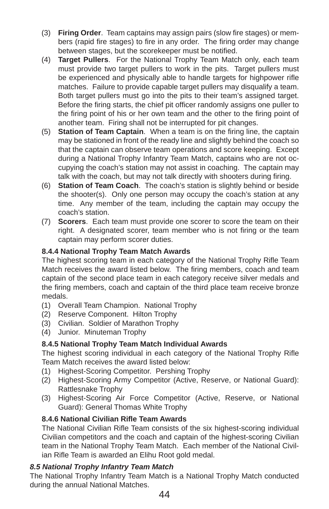- (3) **Firing Order**. Team captains may assign pairs (slow fire stages) or members (rapid fire stages) to fire in any order. The firing order may change between stages, but the scorekeeper must be notified.
- (4) **Target Pullers**. For the National Trophy Team Match only, each team must provide two target pullers to work in the pits. Target pullers must be experienced and physically able to handle targets for highpower rifle matches. Failure to provide capable target pullers may disqualify a team. Both target pullers must go into the pits to their team's assigned target. Before the firing starts, the chief pit officer randomly assigns one puller to the firing point of his or her own team and the other to the firing point of another team. Firing shall not be interrupted for pit changes.
- (5) **Station of Team Captain**. When a team is on the firing line, the captain may be stationed in front of the ready line and slightly behind the coach so that the captain can observe team operations and score keeping. Except during a National Trophy Infantry Team Match, captains who are not occupying the coach's station may not assist in coaching. The captain may talk with the coach, but may not talk directly with shooters during firing.
- (6) **Station of Team Coach**. The coach's station is slightly behind or beside the shooter(s). Only one person may occupy the coach's station at any time. Any member of the team, including the captain may occupy the coach's station.
- (7) **Scorers**. Each team must provide one scorer to score the team on their right. A designated scorer, team member who is not firing or the team captain may perform scorer duties.

# **8.4.4 National Trophy Team Match Awards**

The highest scoring team in each category of the National Trophy Rifle Team Match receives the award listed below. The firing members, coach and team captain of the second place team in each category receive silver medals and the firing members, coach and captain of the third place team receive bronze medals.

- (1) Overall Team Champion. National Trophy
- (2) Reserve Component. Hilton Trophy
- (3) Civilian. Soldier of Marathon Trophy
- (4) Junior. Minuteman Trophy

# **8.4.5 National Trophy Team Match Individual Awards**

The highest scoring individual in each category of the National Trophy Rifle Team Match receives the award listed below:

- (1) Highest-Scoring Competitor. Pershing Trophy
- (2) Highest-Scoring Army Competitor (Active, Reserve, or National Guard): Rattlesnake Trophy
- (3) Highest-Scoring Air Force Competitor (Active, Reserve, or National Guard): General Thomas White Trophy

# **8.4.6 National Civilian Rifle Team Awards**

The National Civilian Rifle Team consists of the six highest-scoring individual Civilian competitors and the coach and captain of the highest-scoring Civilian team in the National Trophy Team Match. Each member of the National Civilian Rifle Team is awarded an Elihu Root gold medal.

## *8.5 National Trophy Infantry Team Match*

The National Trophy Infantry Team Match is a National Trophy Match conducted during the annual National Matches.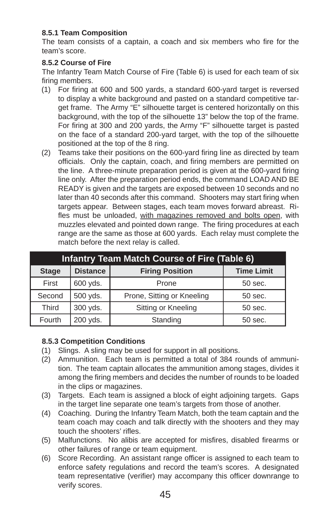## **8.5.1 Team Composition**

The team consists of a captain, a coach and six members who fire for the team's score.

#### **8.5.2 Course of Fire**

The Infantry Team Match Course of Fire (Table 6) is used for each team of six firing members.

- (1) For fi ring at 600 and 500 yards, a standard 600-yard target is reversed to display a white background and pasted on a standard competitive target frame. The Army "E" silhouette target is centered horizontally on this background, with the top of the silhouette 13" below the top of the frame. For firing at 300 and 200 yards, the Army "F" silhouette target is pasted on the face of a standard 200-yard target, with the top of the silhouette positioned at the top of the 8 ring.
- (2) Teams take their positions on the 600-yard firing line as directed by team officials. Only the captain, coach, and firing members are permitted on the line. A three-minute preparation period is given at the 600-yard firing line only. After the preparation period ends, the command LOAD AND BE READY is given and the targets are exposed between 10 seconds and no later than 40 seconds after this command. Shooters may start firing when targets appear. Between stages, each team moves forward abreast. Rifles must be unloaded, with magazines removed and bolts open, with muzzles elevated and pointed down range. The firing procedures at each range are the same as those at 600 yards. Each relay must complete the match before the next relay is called.

| <b>Infantry Team Match Course of Fire (Table 6)</b> |                   |                            |         |  |  |  |
|-----------------------------------------------------|-------------------|----------------------------|---------|--|--|--|
| <b>Stage</b>                                        | <b>Time Limit</b> |                            |         |  |  |  |
| First                                               | 600 yds.          | Prone                      | 50 sec. |  |  |  |
| Second                                              | 500 yds.          | Prone, Sitting or Kneeling | 50 sec. |  |  |  |
| Third                                               | 300 yds.          | Sitting or Kneeling        | 50 sec. |  |  |  |
| Fourth                                              | 200 yds.          | Standing                   | 50 sec. |  |  |  |

#### **8.5.3 Competition Conditions**

- (1) Slings. A sling may be used for support in all positions.
- (2) Ammunition. Each team is permitted a total of 384 rounds of ammunition. The team captain allocates the ammunition among stages, divides it among the firing members and decides the number of rounds to be loaded in the clips or magazines.
- (3) Targets. Each team is assigned a block of eight adjoining targets. Gaps in the target line separate one team's targets from those of another.
- (4) Coaching. During the Infantry Team Match, both the team captain and the team coach may coach and talk directly with the shooters and they may touch the shooters' rifles
- (5) Malfunctions. No alibis are accepted for misfires, disabled firearms or other failures of range or team equipment.
- (6) Score Recording. An assistant range officer is assigned to each team to enforce safety regulations and record the team's scores. A designated team representative (verifier) may accompany this officer downrange to verify scores.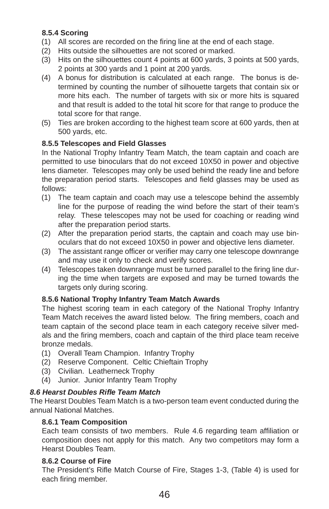# **8.5.4 Scoring**

- (1) All scores are recorded on the firing line at the end of each stage.
- (2) Hits outside the silhouettes are not scored or marked.
- (3) Hits on the silhouettes count 4 points at 600 yards, 3 points at 500 yards, 2 points at 300 yards and 1 point at 200 yards.
- (4) A bonus for distribution is calculated at each range. The bonus is determined by counting the number of silhouette targets that contain six or more hits each. The number of targets with six or more hits is squared and that result is added to the total hit score for that range to produce the total score for that range.
- (5) Ties are broken according to the highest team score at 600 yards, then at 500 yards, etc.

# **8.5.5 Telescopes and Field Glasses**

In the National Trophy Infantry Team Match, the team captain and coach are permitted to use binoculars that do not exceed 10X50 in power and objective lens diameter. Telescopes may only be used behind the ready line and before the preparation period starts. Telescopes and field glasses may be used as follows:

- (1) The team captain and coach may use a telescope behind the assembly line for the purpose of reading the wind before the start of their team's relay. These telescopes may not be used for coaching or reading wind after the preparation period starts.
- (2) After the preparation period starts, the captain and coach may use binoculars that do not exceed 10X50 in power and objective lens diameter.
- (3) The assistant range officer or verifier may carry one telescope downrange and may use it only to check and verify scores.
- (4) Telescopes taken downrange must be turned parallel to the firing line during the time when targets are exposed and may be turned towards the targets only during scoring.

## **8.5.6 National Trophy Infantry Team Match Awards**

The highest scoring team in each category of the National Trophy Infantry Team Match receives the award listed below. The firing members, coach and team captain of the second place team in each category receive silver medals and the firing members, coach and captain of the third place team receive bronze medals.

- (1) Overall Team Champion. Infantry Trophy
- (2) Reserve Component. Celtic Chieftain Trophy
- (3) Civilian. Leatherneck Trophy
- (4) Junior. Junior Infantry Team Trophy

## *8.6 Hearst Doubles Rifl e Team Match*

The Hearst Doubles Team Match is a two-person team event conducted during the annual National Matches.

## **8.6.1 Team Composition**

Each team consists of two members. Rule 4.6 regarding team affiliation or composition does not apply for this match. Any two competitors may form a Hearst Doubles Team.

## **8.6.2 Course of Fire**

The President's Rifle Match Course of Fire, Stages 1-3, (Table 4) is used for each firing member.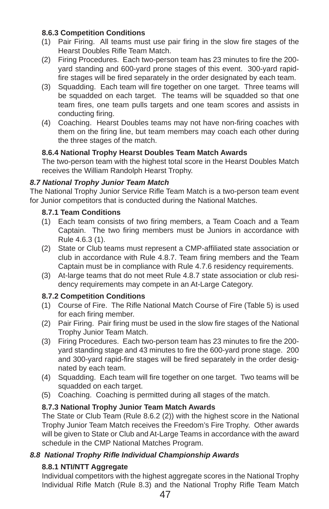## **8.6.3 Competition Conditions**

- (1) Pair Firing. All teams must use pair firing in the slow fire stages of the Hearst Doubles Rifle Team Match.
- (2) Firing Procedures. Each two-person team has 23 minutes to fire the 200yard standing and 600-yard prone stages of this event. 300-yard rapidfire stages will be fired separately in the order designated by each team.
- (3) Squadding. Each team will fire together on one target. Three teams will be squadded on each target. The teams will be squadded so that one team fires, one team pulls targets and one team scores and assists in conducting firing.
- (4) Coaching. Hearst Doubles teams may not have non-firing coaches with them on the firing line, but team members may coach each other during the three stages of the match.

### **8.6.4 National Trophy Hearst Doubles Team Match Awards**

The two-person team with the highest total score in the Hearst Doubles Match receives the William Randolph Hearst Trophy.

### *8.7 National Trophy Junior Team Match*

The National Trophy Junior Service Rifle Team Match is a two-person team event for Junior competitors that is conducted during the National Matches.

### **8.7.1 Team Conditions**

- (1) Each team consists of two firing members, a Team Coach and a Team Captain. The two firing members must be Juniors in accordance with Rule 4.6.3 (1).
- (2) State or Club teams must represent a CMP-affiliated state association or club in accordance with Rule 4.8.7. Team firing members and the Team Captain must be in compliance with Rule 4.7.6 residency requirements.
- (3) At-large teams that do not meet Rule 4.8.7 state association or club residency requirements may compete in an At-Large Category.

## **8.7.2 Competition Conditions**

- (1) Course of Fire. The Rifle National Match Course of Fire (Table 5) is used for each firing member.
- (2) Pair Firing. Pair firing must be used in the slow fire stages of the National Trophy Junior Team Match.
- (3) Firing Procedures. Each two-person team has 23 minutes to fire the 200yard standing stage and 43 minutes to fire the 600-yard prone stage. 200 and 300-yard rapid-fire stages will be fired separately in the order designated by each team.
- (4) Squadding. Each team will fire together on one target. Two teams will be squadded on each target.
- (5) Coaching. Coaching is permitted during all stages of the match.

## **8.7.3 National Trophy Junior Team Match Awards**

The State or Club Team (Rule 8.6.2 (2)) with the highest score in the National Trophy Junior Team Match receives the Freedom's Fire Trophy. Other awards will be given to State or Club and At-Large Teams in accordance with the award schedule in the CMP National Matches Program.

## *8.8 National Trophy Rifl e Individual Championship Awards*

## **8.8.1 NTI/NTT Aggregate**

Individual competitors with the highest aggregate scores in the National Trophy Individual Rifle Match (Rule 8.3) and the National Trophy Rifle Team Match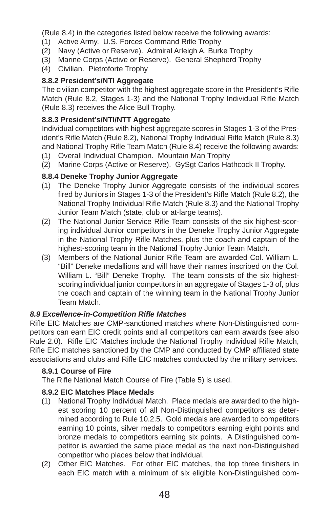(Rule 8.4) in the categories listed below receive the following awards:

- (1) Active Army. U.S. Forces Command Rifle Trophy
- (2) Navy (Active or Reserve). Admiral Arleigh A. Burke Trophy
- (3) Marine Corps (Active or Reserve). General Shepherd Trophy
- (4) Civilian. Pietroforte Trophy

## **8.8.2 President's/NTI Aggregate**

The civilian competitor with the highest aggregate score in the President's Rifle Match (Rule 8.2, Stages 1-3) and the National Trophy Individual Rifle Match (Rule 8.3) receives the Alice Bull Trophy.

## **8.8.3 President's/NTI/NTT Aggregate**

Individual competitors with highest aggregate scores in Stages 1-3 of the President's Rifle Match (Rule 8.2), National Trophy Individual Rifle Match (Rule 8.3) and National Trophy Rifle Team Match (Rule 8.4) receive the following awards:

- (1) Overall Individual Champion. Mountain Man Trophy
- (2) Marine Corps (Active or Reserve). GySgt Carlos Hathcock II Trophy.

## **8.8.4 Deneke Trophy Junior Aggregate**

- (1) The Deneke Trophy Junior Aggregate consists of the individual scores fired by Juniors in Stages 1-3 of the President's Rifle Match (Rule 8.2), the National Trophy Individual Rifle Match (Rule 8.3) and the National Trophy Junior Team Match (state, club or at-large teams).
- (2) The National Junior Service Rifle Team consists of the six highest-scoring individual Junior competitors in the Deneke Trophy Junior Aggregate in the National Trophy Rifle Matches, plus the coach and captain of the highest-scoring team in the National Trophy Junior Team Match.
- (3) Members of the National Junior Rifle Team are awarded Col. William L. "Bill" Deneke medallions and will have their names inscribed on the Col. William L. "Bill" Deneke Trophy. The team consists of the six highestscoring individual junior competitors in an aggregate of Stages 1-3 of, plus the coach and captain of the winning team in the National Trophy Junior Team Match.

#### *8.9 Excellence-in-Competition Rifl e Matches*

Rifle EIC Matches are CMP-sanctioned matches where Non-Distinguished competitors can earn EIC credit points and all competitors can earn awards (see also Rule 2.0). Rifle EIC Matches include the National Trophy Individual Rifle Match, Rifle EIC matches sanctioned by the CMP and conducted by CMP affiliated state associations and clubs and Rifle EIC matches conducted by the military services.

#### **8.9.1 Course of Fire**

The Rifle National Match Course of Fire (Table 5) is used.

## **8.9.2 EIC Matches Place Medals**

- (1) National Trophy Individual Match. Place medals are awarded to the highest scoring 10 percent of all Non-Distinguished competitors as determined according to Rule 10.2.5. Gold medals are awarded to competitors earning 10 points, silver medals to competitors earning eight points and bronze medals to competitors earning six points. A Distinguished competitor is awarded the same place medal as the next non-Distinguished competitor who places below that individual.
- (2) Other EIC Matches. For other EIC matches, the top three finishers in each EIC match with a minimum of six eligible Non-Distinguished com-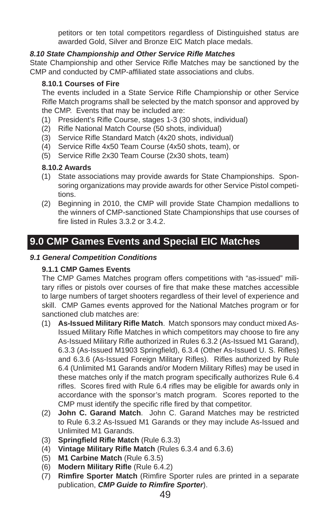petitors or ten total competitors regardless of Distinguished status are awarded Gold, Silver and Bronze EIC Match place medals.

## 8.10 State Championship and Other Service Rifle Matches

State Championship and other Service Rifle Matches may be sanctioned by the CMP and conducted by CMP-affiliated state associations and clubs.

## **8.10.1 Courses of Fire**

The events included in a State Service Rifle Championship or other Service Rifle Match programs shall be selected by the match sponsor and approved by the CMP. Events that may be included are:

- (1) President's Rifle Course, stages 1-3 (30 shots, individual)
- (2) Rifle National Match Course (50 shots, individual)
- (3) Service Rifle Standard Match (4x20 shots, individual)
- (4) Service Rifle 4x50 Team Course (4x50 shots, team), or
- (5) Service Rifle 2x30 Team Course (2x30 shots, team)

### **8.10.2 Awards**

- (1) State associations may provide awards for State Championships. Sponsoring organizations may provide awards for other Service Pistol competitions.
- (2) Beginning in 2010, the CMP will provide State Champion medallions to the winners of CMP-sanctioned State Championships that use courses of fire listed in Rules 3.3.2 or 3.4.2.

# **9.0 CMP Games Events and Special EIC Matches**

#### *9.1 General Competition Conditions*

#### **9.1.1 CMP Games Events**

The CMP Games Matches program offers competitions with "as-issued" military rifles or pistols over courses of fire that make these matches accessible to large numbers of target shooters regardless of their level of experience and skill. CMP Games events approved for the National Matches program or for sanctioned club matches are:

- (1) **As-Issued Military Rifl e Match**. Match sponsors may conduct mixed As-Issued Military Rifle Matches in which competitors may choose to fire any As-Issued Military Rifle authorized in Rules 6.3.2 (As-Issued M1 Garand), 6.3.3 (As-Issued M1903 Springfield), 6.3.4 (Other As-Issued U. S. Rifles) and 6.3.6 (As-Issued Foreign Military Rifles). Rifles authorized by Rule 6.4 (Unlimited M1 Garands and/or Modern Military Rifles) may be used in these matches only if the match program specifically authorizes Rule 6.4 rifles. Scores fired with Rule 6.4 rifles may be eligible for awards only in accordance with the sponsor's match program. Scores reported to the CMP must identify the specific rifle fired by that competitor.
- (2) **John C. Garand Match**. John C. Garand Matches may be restricted to Rule 6.3.2 As-Issued M1 Garands or they may include As-Issued and Unlimited M1 Garands.
- (3) **Springfi eld Rifl e Match** (Rule 6.3.3)
- (4) **Vintage Military Rifl e Match** (Rules 6.3.4 and 6.3.6)
- (5) **M1 Carbine Match** (Rule 6.3.5)
- (6) **Modern Military Rifl e** (Rule 6.4.2)
- (7) **Rimfire Sporter Match** (Rimfire Sporter rules are printed in a separate publication, **CMP Guide to Rimfire Sporter**).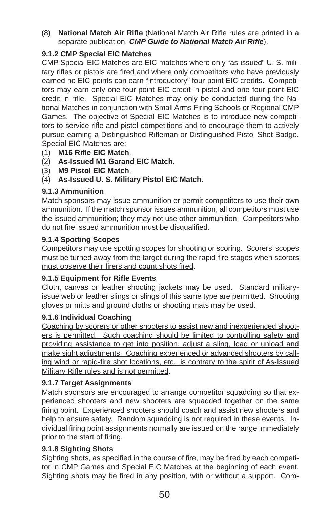(8) National Match Air Rifle (National Match Air Rifle rules are printed in a separate publication, *CMP Guide to National Match Air Rifle*).

# **9.1.2 CMP Special EIC Matches**

CMP Special EIC Matches are EIC matches where only "as-issued" U. S. military rifles or pistols are fired and where only competitors who have previously earned no EIC points can earn "introductory" four-point EIC credits. Competitors may earn only one four-point EIC credit in pistol and one four-point EIC credit in rifle. Special EIC Matches may only be conducted during the National Matches in conjunction with Small Arms Firing Schools or Regional CMP Games. The objective of Special EIC Matches is to introduce new competitors to service rifle and pistol competitions and to encourage them to actively pursue earning a Distinguished Rifleman or Distinguished Pistol Shot Badge. Special EIC Matches are:

- (1) **M16 Rifl e EIC Match**.
- (2) **As-Issued M1 Garand EIC Match**.
- (3) **M9 Pistol EIC Match**.
- (4) **As-Issued U. S. Military Pistol EIC Match**.

### **9.1.3 Ammunition**

Match sponsors may issue ammunition or permit competitors to use their own ammunition. If the match sponsor issues ammunition, all competitors must use the issued ammunition; they may not use other ammunition. Competitors who do not fire issued ammunition must be disqualified.

### **9.1.4 Spotting Scopes**

Competitors may use spotting scopes for shooting or scoring. Scorers' scopes must be turned away from the target during the rapid-fire stages when scorers must observe their firers and count shots fired.

#### **9.1.5 Equipment for Rifle Events**

Cloth, canvas or leather shooting jackets may be used. Standard militaryissue web or leather slings or slings of this same type are permitted. Shooting gloves or mitts and ground cloths or shooting mats may be used.

#### **9.1.6 Individual Coaching**

Coaching by scorers or other shooters to assist new and inexperienced shooters is permitted. Such coaching should be limited to controlling safety and providing assistance to get into position, adjust a sling, load or unload and make sight adjustments. Coaching experienced or advanced shooters by calling wind or rapid-fire shot locations, etc., is contrary to the spirit of As-Issued Military Rifle rules and is not permitted.

## **9.1.7 Target Assignments**

Match sponsors are encouraged to arrange competitor squadding so that experienced shooters and new shooters are squadded together on the same firing point. Experienced shooters should coach and assist new shooters and help to ensure safety. Random squadding is not required in these events. Individual firing point assignments normally are issued on the range immediately prior to the start of firing.

#### **9.1.8 Sighting Shots**

Sighting shots, as specified in the course of fire, may be fired by each competitor in CMP Games and Special EIC Matches at the beginning of each event. Sighting shots may be fired in any position, with or without a support. Com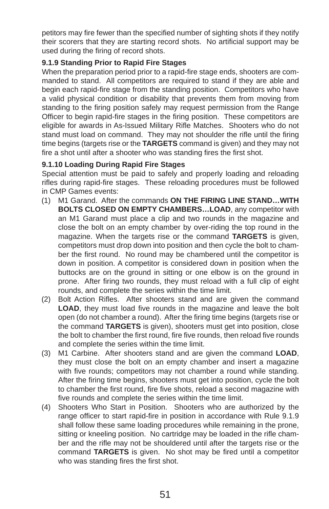petitors may fire fewer than the specified number of sighting shots if they notify their scorers that they are starting record shots. No artificial support may be used during the firing of record shots.

## **9.1.9 Standing Prior to Rapid Fire Stages**

When the preparation period prior to a rapid-fire stage ends, shooters are commanded to stand. All competitors are required to stand if they are able and begin each rapid-fire stage from the standing position. Competitors who have a valid physical condition or disability that prevents them from moving from standing to the firing position safely may request permission from the Range Officer to begin rapid-fire stages in the firing position. These competitors are eligible for awards in As-Issued Military Rifle Matches. Shooters who do not stand must load on command. They may not shoulder the rifle until the firing time begins (targets rise or the **TARGETS** command is given) and they may not fire a shot until after a shooter who was standing fires the first shot.

### **9.1.10 Loading During Rapid Fire Stages**

Special attention must be paid to safely and properly loading and reloading rifles during rapid-fire stages. These reloading procedures must be followed in CMP Games events:

- (1) M1 Garand. After the commands **ON THE FIRING LINE STAND…WITH BOLTS CLOSED ON EMPTY CHAMBERS…LOAD**, any competitor with an M1 Garand must place a clip and two rounds in the magazine and close the bolt on an empty chamber by over-riding the top round in the magazine. When the targets rise or the command **TARGETS** is given, competitors must drop down into position and then cycle the bolt to chamber the first round. No round may be chambered until the competitor is down in position. A competitor is considered down in position when the buttocks are on the ground in sitting or one elbow is on the ground in prone. After firing two rounds, they must reload with a full clip of eight rounds, and complete the series within the time limit.
- (2) Bolt Action Rifles. After shooters stand and are given the command **LOAD**, they must load five rounds in the magazine and leave the bolt open (do not chamber a round). After the firing time begins (targets rise or the command **TARGETS** is given), shooters must get into position, close the bolt to chamber the first round, fire five rounds, then reload five rounds and complete the series within the time limit.
- (3) M1 Carbine. After shooters stand and are given the command **LOAD**, they must close the bolt on an empty chamber and insert a magazine with five rounds; competitors may not chamber a round while standing. After the firing time begins, shooters must get into position, cycle the bolt to chamber the first round, fire five shots, reload a second magazine with five rounds and complete the series within the time limit.
- (4) Shooters Who Start in Position. Shooters who are authorized by the range officer to start rapid-fire in position in accordance with Rule 9.1.9 shall follow these same loading procedures while remaining in the prone, sitting or kneeling position. No cartridge may be loaded in the rifle chamber and the rifle may not be shouldered until after the targets rise or the command **TARGETS** is given. No shot may be fired until a competitor who was standing fires the first shot.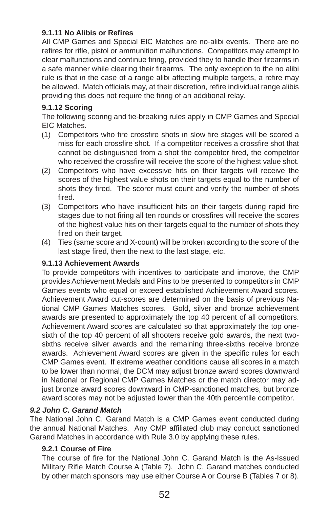## **9.1.11 No Alibis or Refi res**

All CMP Games and Special EIC Matches are no-alibi events. There are no refires for rifle, pistol or ammunition malfunctions. Competitors may attempt to clear malfunctions and continue firing, provided they to handle their firearms in a safe manner while clearing their firearms. The only exception to the no alibi rule is that in the case of a range alibi affecting multiple targets, a refire may be allowed. Match officials may, at their discretion, refire individual range alibis providing this does not require the firing of an additional relay.

#### **9.1.12 Scoring**

The following scoring and tie-breaking rules apply in CMP Games and Special EIC Matches.

- (1) Competitors who fire crossfire shots in slow fire stages will be scored a miss for each crossfire shot. If a competitor receives a crossfire shot that cannot be distinguished from a shot the competitor fired, the competitor who received the crossfire will receive the score of the highest value shot.
- (2) Competitors who have excessive hits on their targets will receive the scores of the highest value shots on their targets equal to the number of shots they fired. The scorer must count and verify the number of shots fired.
- (3) Competitors who have insufficient hits on their targets during rapid fire stages due to not firing all ten rounds or crossfires will receive the scores of the highest value hits on their targets equal to the number of shots they fired on their target.
- (4) Ties (same score and X-count) will be broken according to the score of the last stage fired, then the next to the last stage, etc.

#### **9.1.13 Achievement Awards**

To provide competitors with incentives to participate and improve, the CMP provides Achievement Medals and Pins to be presented to competitors in CMP Games events who equal or exceed established Achievement Award scores. Achievement Award cut-scores are determined on the basis of previous National CMP Games Matches scores. Gold, silver and bronze achievement awards are presented to approximately the top 40 percent of all competitors. Achievement Award scores are calculated so that approximately the top onesixth of the top 40 percent of all shooters receive gold awards, the next twosixths receive silver awards and the remaining three-sixths receive bronze awards. Achievement Award scores are given in the specific rules for each CMP Games event. If extreme weather conditions cause all scores in a match to be lower than normal, the DCM may adjust bronze award scores downward in National or Regional CMP Games Matches or the match director may adjust bronze award scores downward in CMP-sanctioned matches, but bronze award scores may not be adjusted lower than the 40th percentile competitor.

#### *9.2 John C. Garand Match*

The National John C. Garand Match is a CMP Games event conducted during the annual National Matches. Any CMP affiliated club may conduct sanctioned Garand Matches in accordance with Rule 3.0 by applying these rules.

#### **9.2.1 Course of Fire**

The course of fire for the National John C. Garand Match is the As-Issued Military Rifle Match Course A (Table 7). John C. Garand matches conducted by other match sponsors may use either Course A or Course B (Tables 7 or 8).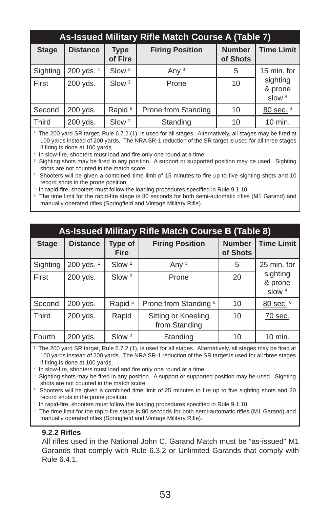|              | As-Issued Military Rifle Match Course A (Table 7) |                        |                        |                           |                                    |  |  |
|--------------|---------------------------------------------------|------------------------|------------------------|---------------------------|------------------------------------|--|--|
| <b>Stage</b> | <b>Distance</b>                                   | <b>Type</b><br>of Fire | <b>Firing Position</b> | <b>Number</b><br>of Shots | <b>Time Limit</b>                  |  |  |
| Sighting     | 200 yds. <sup>1</sup>                             | Slow <sup>2</sup>      | Any $3$                | 5                         | 15 min. for                        |  |  |
| First        | 200 yds.                                          | Slow <sup>2</sup>      | Prone                  | 10                        | sighting<br>& prone<br>$s$ low $4$ |  |  |
| Second       | 200 yds.                                          | Rapid <sup>5</sup>     | Prone from Standing    | 10                        | 80 sec. 6                          |  |  |
| <b>Third</b> | 200 yds.                                          | Slow <sup>2</sup>      | Standing               | 10                        | 10 min.                            |  |  |

<sup>1</sup> The 200 yard SR target, Rule 6.7.2 (1), is used for all stages. Alternatively, all stages may be fired at 100 yards instead of 200 yards. The NRA SR-1 reduction of the SR target is used for all three stages if firing is done at 100 vards.

<sup>2</sup> In slow-fire, shooters must load and fire only one round at a time.

<sup>3</sup> Sighting shots may be fired in any position. A support or supported position may be used. Sighting shots are not counted in the match score.

- <sup>4</sup> Shooters will be given a combined time limit of 15 minutes to fire up to five sighting shots and 10 record shots in the prone position.
- <sup>5</sup> In rapid-fire, shooters must follow the loading procedures specified in Rule 9.1.10.
- <sup>6</sup> The time limit for the rapid-fire stage is 80 seconds for both semi-automatic rifles (M1 Garand) and manually operated rifles (Springfield and Vintage Military Rifle).

| As-Issued Military Rifle Match Course B (Table 8) |                 |                        |                                      |                           |                                 |  |
|---------------------------------------------------|-----------------|------------------------|--------------------------------------|---------------------------|---------------------------------|--|
| <b>Stage</b>                                      | <b>Distance</b> | Type of<br><b>Fire</b> | <b>Firing Position</b>               | <b>Number</b><br>of Shots | <b>Time Limit</b>               |  |
| Sighting                                          | 200 yds. $1$    | Slow <sup>2</sup>      | Any $3$                              | 5                         | 25 min. for                     |  |
| First                                             | 200 yds.        | Slow <sup>2</sup>      | Prone                                | 20                        | sighting<br>& prone<br>slow $4$ |  |
| Second                                            | 200 yds.        | Rapid <sup>5</sup>     | Prone from Standing <sup>6</sup>     | 10                        | 80 sec. 6                       |  |
| <b>Third</b>                                      | 200 yds.        | Rapid                  | Sitting or Kneeling<br>from Standing | 10                        | 70 sec.                         |  |
| Fourth                                            | 200 yds.        | Slow <sup>2</sup>      | Standing                             | 10                        | 10 min.                         |  |

<sup>1</sup> The 200 yard SR target, Rule 6.7.2 (1), is used for all stages. Alternatively, all stages may be fired at 100 yards instead of 200 yards. The NRA SR-1 reduction of the SR target is used for all three stages if firing is done at 100 yards.

<sup>2</sup> In slow-fire, shooters must load and fire only one round at a time.

<sup>3</sup> Sighting shots may be fired in any position. A support or supported position may be used. Sighting shots are not counted in the match score.

<sup>4</sup> Shooters will be given a combined time limit of 25 minutes to fire up to five sighting shots and 20 record shots in the prone position.

<sup>5</sup> In rapid-fire, shooters must follow the loading procedures specified in Rule 9.1.10.

<sup>6</sup> The time limit for the rapid-fire stage is 80 seconds for both semi-automatic rifles (M1 Garand) and manually operated rifles (Springfield and Vintage Military Rifle).

#### **9.2.2 Rifl es**

All rifles used in the National John C. Garand Match must be "as-issued" M1 Garands that comply with Rule 6.3.2 or Unlimited Garands that comply with Rule 6.4.1.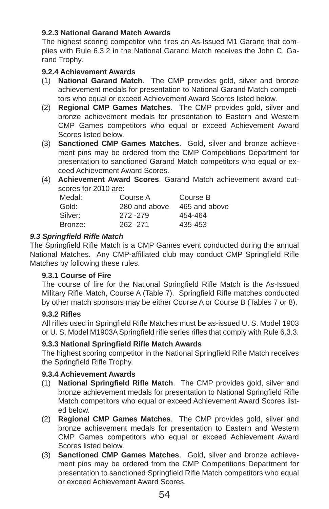## **9.2.3 National Garand Match Awards**

The highest scoring competitor who fires an As-Issued M1 Garand that complies with Rule 6.3.2 in the National Garand Match receives the John C. Garand Trophy.

## **9.2.4 Achievement Awards**

- (1) **National Garand Match**. The CMP provides gold, silver and bronze achievement medals for presentation to National Garand Match competitors who equal or exceed Achievement Award Scores listed below.
- (2) **Regional CMP Games Matches**. The CMP provides gold, silver and bronze achievement medals for presentation to Eastern and Western CMP Games competitors who equal or exceed Achievement Award Scores listed below.
- (3) **Sanctioned CMP Games Matches**. Gold, silver and bronze achievement pins may be ordered from the CMP Competitions Department for presentation to sanctioned Garand Match competitors who equal or exceed Achievement Award Scores.
- (4) **Achievement Award Scores**. Garand Match achievement award cutscores for 2010 are:

| Medal:  | Course A      | Course B      |
|---------|---------------|---------------|
| Gold:   | 280 and above | 465 and above |
| Silver: | 272 - 279     | 454-464       |
| Bronze: | 262 - 271     | 435-453       |

### *9.3 Springfi eld Rifl e Match*

The Springfield Rifle Match is a CMP Games event conducted during the annual National Matches. Any CMP-affiliated club may conduct CMP Springfield Rifle Matches by following these rules.

#### **9.3.1 Course of Fire**

The course of fire for the National Springfield Rifle Match is the As-Issued Military Rifle Match, Course A (Table 7). Springfield Rifle matches conducted by other match sponsors may be either Course A or Course B (Tables 7 or 8).

## **9.3.2 Rifl es**

All rifles used in Springfield Rifle Matches must be as-issued U. S. Model 1903 or U. S. Model M1903A Springfield rifle series rifles that comply with Rule 6.3.3.

## **9.3.3 National Springfi eld Rifl e Match Awards**

The highest scoring competitor in the National Springfield Rifle Match receives the Springfield Rifle Trophy.

#### **9.3.4 Achievement Awards**

- (1) **National Springfi eld Rifl e Match**. The CMP provides gold, silver and bronze achievement medals for presentation to National Springfield Rifle Match competitors who equal or exceed Achievement Award Scores listed below.
- (2) **Regional CMP Games Matches**. The CMP provides gold, silver and bronze achievement medals for presentation to Eastern and Western CMP Games competitors who equal or exceed Achievement Award Scores listed below.
- (3) **Sanctioned CMP Games Matches**. Gold, silver and bronze achievement pins may be ordered from the CMP Competitions Department for presentation to sanctioned Springfield Rifle Match competitors who equal or exceed Achievement Award Scores.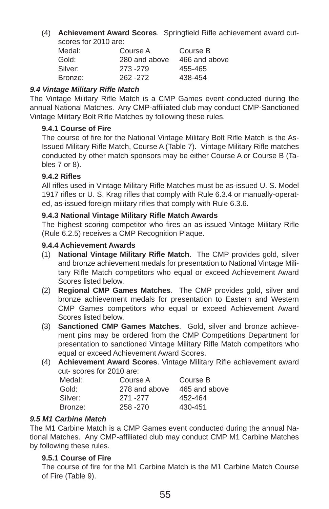(4) **Achievement Award Scores**. Springfield Rifle achievement award cutscores for 2010 are:

| Medal:  | Course A      | Course B      |
|---------|---------------|---------------|
| Gold:   | 280 and above | 466 and above |
| Silver: | 273-279       | 455-465       |
| Bronze: | 262 - 272     | 438-454       |

## *9.4 Vintage Military Rifl e Match*

The Vintage Military Rifle Match is a CMP Games event conducted during the annual National Matches. Any CMP-affiliated club may conduct CMP-Sanctioned Vintage Military Bolt Rifle Matches by following these rules.

## **9.4.1 Course of Fire**

The course of fire for the National Vintage Military Bolt Rifle Match is the As-Issued Military Rifle Match, Course A (Table 7). Vintage Military Rifle matches conducted by other match sponsors may be either Course A or Course B (Tables 7 or 8).

### **9.4.2 Rifl es**

All rifles used in Vintage Military Rifle Matches must be as-issued U. S. Model 1917 rifles or U. S. Krag rifles that comply with Rule 6.3.4 or manually-operated, as-issued foreign military rifles that comply with Rule 6.3.6.

### **9.4.3 National Vintage Military Rifl e Match Awards**

The highest scoring competitor who fires an as-issued Vintage Military Rifle (Rule 6.2.5) receives a CMP Recognition Plaque.

### **9.4.4 Achievement Awards**

- (1) **National Vintage Military Rifl e Match**. The CMP provides gold, silver and bronze achievement medals for presentation to National Vintage Military Rifle Match competitors who equal or exceed Achievement Award Scores listed below.
- (2) **Regional CMP Games Matches**. The CMP provides gold, silver and bronze achievement medals for presentation to Eastern and Western CMP Games competitors who equal or exceed Achievement Award Scores listed below.
- (3) **Sanctioned CMP Games Matches**. Gold, silver and bronze achievement pins may be ordered from the CMP Competitions Department for presentation to sanctioned Vintage Military Rifle Match competitors who equal or exceed Achievement Award Scores.
- (4) **Achievement Award Scores**. Vintage Military Rifle achievement award cut- scores for 2010 are:

| Medal:  | Course A      | Course B      |
|---------|---------------|---------------|
| Gold:   | 278 and above | 465 and above |
| Silver: | 271 - 277     | 452-464       |
| Bronze: | 258 - 270     | 430-451       |
|         |               |               |

# *9.5 M1 Carbine Match*

The M1 Carbine Match is a CMP Games event conducted during the annual National Matches. Any CMP-affiliated club may conduct CMP M1 Carbine Matches by following these rules.

#### **9.5.1 Course of Fire**

The course of fire for the M1 Carbine Match is the M1 Carbine Match Course of Fire (Table 9).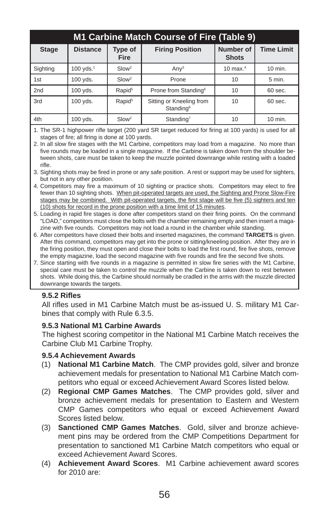| M1 Carbine Match Course of Fire (Table 9) |                 |                               |                                                   |                                  |                   |  |  |
|-------------------------------------------|-----------------|-------------------------------|---------------------------------------------------|----------------------------------|-------------------|--|--|
| <b>Stage</b>                              | <b>Distance</b> | <b>Type of</b><br><b>Fire</b> | <b>Firing Position</b>                            | <b>Number of</b><br><b>Shots</b> | <b>Time Limit</b> |  |  |
| Sighting                                  | 100 $yds.1$     | Slow <sup>2</sup>             | Any <sup>3</sup>                                  | 10 max. $4$                      | 10 min.           |  |  |
| 1st                                       | 100 yds.        | Slow <sup>2</sup>             | Prone                                             | 10                               | 5 min.            |  |  |
| 2 <sub>nd</sub>                           | 100 yds.        | Rapid <sup>5</sup>            | Prone from Standing <sup>6</sup>                  | 10                               | 60 sec.           |  |  |
| 3rd                                       | 100 yds.        | Rapid <sup>5</sup>            | Sitting or Kneeling from<br>Standing <sup>6</sup> | 10                               | 60 sec.           |  |  |
| 4th                                       | $100$ yds.      | Slow <sup>2</sup>             | Standing <sup>7</sup>                             | 10                               | 10 min.           |  |  |

1. The SR-1 highpower rifle target (200 yard SR target reduced for firing at 100 yards) is used for all stages of fire; all firing is done at 100 yards.

2. In all slow fire stages with the M1 Carbine, competitors may load from a magazine. No more than five rounds may be loaded in a single magazine. If the Carbine is taken down from the shoulder between shots, care must be taken to keep the muzzle pointed downrange while resting with a loaded rifle.

3. Sighting shots may be fired in prone or any safe position. A rest or support may be used for sighters, but not in any other position.

- 4. Competitors may fire a maximum of 10 sighting or practice shots. Competitors may elect to fire fewer than 10 sighting shots. When pit-operated targets are used, the Sighting and Prone Slow-Fire stages may be combined. With pit-operated targets, the first stage will be five (5) sighters and ten (10) shots for record in the prone position with a time limit of 15 minutes.
- 5. Loading in rapid fire stages is done after competitors stand on their firing points. On the command "LOAD," competitors must close the bolts with the chamber remaining empty and then insert a magazine with five rounds. Competitors may not load a round in the chamber while standing.
- 6. After competitors have closed their bolts and inserted magazines, the command **TARGETS** is given. After this command, competitors may get into the prone or sitting/kneeling position. After they are in the firing position, they must open and close their bolts to load the first round, fire five shots, remove the empty magazine, load the second magazine with five rounds and fire the second five shots.
- 7. Since starting with five rounds in a magazine is permitted in slow fire series with the M1 Carbine, special care must be taken to control the muzzle when the Carbine is taken down to rest between shots. While doing this, the Carbine should normally be cradled in the arms with the muzzle directed downrange towards the targets.

## **9.5.2 Rifl es**

All rifl es used in M1 Carbine Match must be as-issued U. S. military M1 Carbines that comply with Rule 6.3.5.

## **9.5.3 National M1 Carbine Awards**

The highest scoring competitor in the National M1 Carbine Match receives the Carbine Club M1 Carbine Trophy.

## **9.5.4 Achievement Awards**

- (1) **National M1 Carbine Match**. The CMP provides gold, silver and bronze achievement medals for presentation to National M1 Carbine Match competitors who equal or exceed Achievement Award Scores listed below.
- (2) **Regional CMP Games Matches**. The CMP provides gold, silver and bronze achievement medals for presentation to Eastern and Western CMP Games competitors who equal or exceed Achievement Award Scores listed below.
- (3) **Sanctioned CMP Games Matches**. Gold, silver and bronze achievement pins may be ordered from the CMP Competitions Department for presentation to sanctioned M1 Carbine Match competitors who equal or exceed Achievement Award Scores.
- (4) **Achievement Award Scores**. M1 Carbine achievement award scores for 2010 are: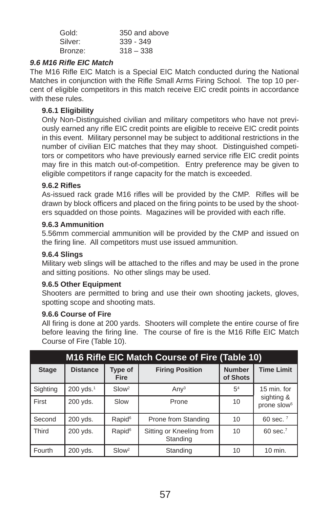| Gold:   | 350 and above |
|---------|---------------|
| Silver: | $339 - 349$   |
| Bronze: | $318 - 338$   |

#### *9.6 M16 Rifl e EIC Match*

The M16 Rifle EIC Match is a Special EIC Match conducted during the National Matches in conjunction with the Rifle Small Arms Firing School. The top 10 percent of eligible competitors in this match receive EIC credit points in accordance with these rules

#### **9.6.1 Eligibility**

Only Non-Distinguished civilian and military competitors who have not previously earned any rifle EIC credit points are eligible to receive EIC credit points in this event. Military personnel may be subject to additional restrictions in the number of civilian EIC matches that they may shoot. Distinguished competitors or competitors who have previously earned service rifle EIC credit points may fire in this match out-of-competition. Entry preference may be given to eligible competitors if range capacity for the match is exceeded.

#### **9.6.2 Rifl es**

As-issued rack grade M16 rifles will be provided by the CMP. Rifles will be drawn by block officers and placed on the firing points to be used by the shooters squadded on those points. Magazines will be provided with each rifle.

#### **9.6.3 Ammunition**

5.56mm commercial ammunition will be provided by the CMP and issued on the firing line. All competitors must use issued ammunition.

#### **9.6.4 Slings**

Military web slings will be attached to the rifles and may be used in the prone and sitting positions. No other slings may be used.

#### **9.6.5 Other Equipment**

Shooters are permitted to bring and use their own shooting jackets, gloves, spotting scope and shooting mats.

#### **9.6.6 Course of Fire**

All firing is done at 200 yards. Shooters will complete the entire course of fire before leaving the firing line. The course of fire is the M16 Rifle EIC Match Course of Fire (Table 10).

| M16 Rifle EIC Match Course of Fire (Table 10) |                       |                        |                                      |                           |                                       |  |
|-----------------------------------------------|-----------------------|------------------------|--------------------------------------|---------------------------|---------------------------------------|--|
| <b>Stage</b>                                  | <b>Distance</b>       | Type of<br><b>Fire</b> | <b>Firing Position</b>               | <b>Number</b><br>of Shots | <b>Time Limit</b>                     |  |
| Sighting                                      | 200 yds. <sup>1</sup> | Slow <sup>2</sup>      | Any <sup>3</sup>                     | 5 <sup>4</sup>            | 15 min. for                           |  |
| First                                         | 200 yds.              | Slow                   | Prone                                | 10                        | sighting &<br>prone slow <sup>5</sup> |  |
| Second                                        | 200 yds.              | Rapid <sup>6</sup>     | Prone from Standing                  | 10                        | 60 sec. $7$                           |  |
| <b>Third</b>                                  | 200 yds.              | Rapid <sup>6</sup>     | Sitting or Kneeling from<br>Standing | 10                        | $60$ sec. <sup>7</sup>                |  |
| Fourth                                        | 200 yds.              | Slow <sup>2</sup>      | Standing                             | 10                        | 10 min.                               |  |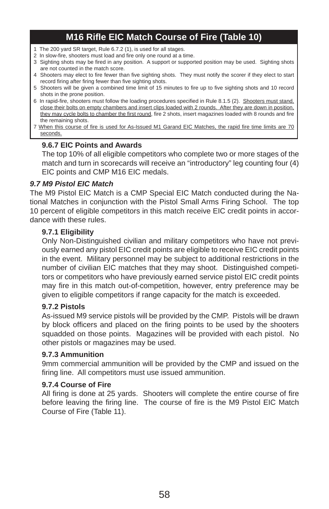# **M16 Rifl e EIC Match Course of Fire (Table 10)**

- 1 The 200 yard SR target, Rule 6.7.2 (1), is used for all stages.
- 2 In slow-fire, shooters must load and fire only one round at a time.
- 3 Sighting shots may be fired in any position. A support or supported position may be used. Sighting shots are not counted in the match score.
- 4 Shooters may elect to fire fewer than five sighting shots. They must notify the scorer if they elect to start record firing after firing fewer than five sighting shots.
- 5 Shooters will be given a combined time limit of 15 minutes to fire up to five sighting shots and 10 record shots in the prone position.
- 6 In rapid-fire, shooters must follow the loading procedures specified in Rule 8.1.5 (2). Shooters must stand, close their bolts on empty chambers and insert clips loaded with 2 rounds. After they are down in position, they may cycle bolts to chamber the first round, fire 2 shots, insert magazines loaded with 8 rounds and fire the remaining shots.
- 7 When this course of fire is used for As-Issued M1 Garand EIC Matches, the rapid fire time limits are 70 seconds.

#### **9.6.7 EIC Points and Awards**

The top 10% of all eligible competitors who complete two or more stages of the match and turn in scorecards will receive an "introductory" leg counting four (4) EIC points and CMP M16 EIC medals.

#### *9.7 M9 Pistol EIC Match*

The M9 Pistol EIC Match is a CMP Special EIC Match conducted during the National Matches in conjunction with the Pistol Small Arms Firing School. The top 10 percent of eligible competitors in this match receive EIC credit points in accordance with these rules.

#### **9.7.1 Eligibility**

Only Non-Distinguished civilian and military competitors who have not previously earned any pistol EIC credit points are eligible to receive EIC credit points in the event. Military personnel may be subject to additional restrictions in the number of civilian EIC matches that they may shoot. Distinguished competitors or competitors who have previously earned service pistol EIC credit points may fire in this match out-of-competition, however, entry preference may be given to eligible competitors if range capacity for the match is exceeded.

#### **9.7.2 Pistols**

As-issued M9 service pistols will be provided by the CMP. Pistols will be drawn by block officers and placed on the firing points to be used by the shooters squadded on those points. Magazines will be provided with each pistol. No other pistols or magazines may be used.

#### **9.7.3 Ammunition**

9mm commercial ammunition will be provided by the CMP and issued on the firing line. All competitors must use issued ammunition.

#### **9.7.4 Course of Fire**

All firing is done at 25 yards. Shooters will complete the entire course of fire before leaving the firing line. The course of fire is the M9 Pistol EIC Match Course of Fire (Table 11).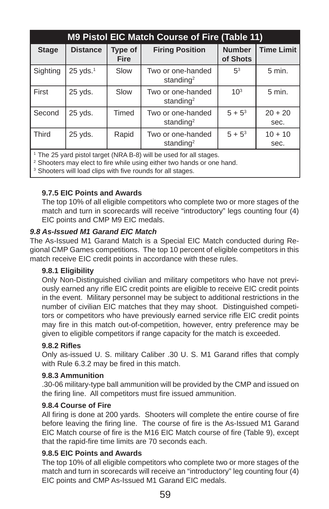| <b>M9 Pistol EIC Match Course of Fire (Table 11)</b> |                 |                        |                                                                                |                           |                   |  |
|------------------------------------------------------|-----------------|------------------------|--------------------------------------------------------------------------------|---------------------------|-------------------|--|
| <b>Stage</b>                                         | <b>Distance</b> | Type of<br><b>Fire</b> | <b>Firing Position</b>                                                         | <b>Number</b><br>of Shots | <b>Time Limit</b> |  |
| Sighting                                             | $25$ yds. $1$   | Slow                   | Two or one-handed<br>standing <sup>2</sup>                                     | 5 <sup>3</sup>            | $5$ min.          |  |
| First                                                | 25 yds.         | Slow                   | Two or one-handed<br>standing <sup>2</sup>                                     | $10^{3}$                  | 5 min.            |  |
| Second                                               | 25 yds.         | Timed                  | Two or one-handed<br>standing <sup>2</sup>                                     | $5 + 5^3$                 | $20 + 20$<br>sec. |  |
| <b>Third</b>                                         | 25 yds.         | Rapid                  | Two or one-handed<br>standing <sup>2</sup>                                     | $5 + 5^3$                 | $10 + 10$<br>sec. |  |
|                                                      |                 |                        | $\overline{A}$ The OF could chatch to see (AIDA D.O) with a considered between |                           |                   |  |

The 25 yard pistol target (NRA B-8) will be used for all stages.

 $2$  Shooters may elect to fire while using either two hands or one hand.

<sup>3</sup> Shooters will load clips with five rounds for all stages.

### **9.7.5 EIC Points and Awards**

The top 10% of all eligible competitors who complete two or more stages of the match and turn in scorecards will receive "introductory" legs counting four (4) EIC points and CMP M9 EIC medals.

#### *9.8 As-Issued M1 Garand EIC Match*

The As-Issued M1 Garand Match is a Special EIC Match conducted during Regional CMP Games competitions. The top 10 percent of eligible competitors in this match receive EIC credit points in accordance with these rules.

#### **9.8.1 Eligibility**

Only Non-Distinguished civilian and military competitors who have not previously earned any rifle EIC credit points are eligible to receive EIC credit points in the event. Military personnel may be subject to additional restrictions in the number of civilian EIC matches that they may shoot. Distinguished competitors or competitors who have previously earned service rifle EIC credit points may fire in this match out-of-competition, however, entry preference may be given to eligible competitors if range capacity for the match is exceeded.

#### **9.8.2 Rifl es**

Only as-issued U. S. military Caliber .30 U. S. M1 Garand rifles that comply with Rule 6.3.2 may be fired in this match.

#### **9.8.3 Ammunition**

.30-06 military-type ball ammunition will be provided by the CMP and issued on the firing line. All competitors must fire issued ammunition.

#### **9.8.4 Course of Fire**

All firing is done at 200 yards. Shooters will complete the entire course of fire before leaving the firing line. The course of fire is the As-Issued M1 Garand EIC Match course of fire is the M16 EIC Match course of fire (Table 9), except that the rapid-fire time limits are 70 seconds each.

#### **9.8.5 EIC Points and Awards**

The top 10% of all eligible competitors who complete two or more stages of the match and turn in scorecards will receive an "introductory" leg counting four (4) EIC points and CMP As-Issued M1 Garand EIC medals.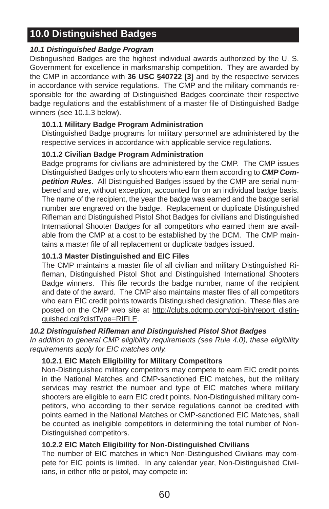# **10.0 Distinguished Badges**

# *10.1 Distinguished Badge Program*

Distinguished Badges are the highest individual awards authorized by the U. S. Government for excellence in marksmanship competition. They are awarded by the CMP in accordance with **36 USC §40722 [3]** and by the respective services in accordance with service regulations. The CMP and the military commands responsible for the awarding of Distinguished Badges coordinate their respective badge regulations and the establishment of a master file of Distinguished Badge winners (see 10.1.3 below).

# **10.1.1 Military Badge Program Administration**

Distinguished Badge programs for military personnel are administered by the respective services in accordance with applicable service regulations.

## **10.1.2 Civilian Badge Program Administration**

Badge programs for civilians are administered by the CMP. The CMP issues Distinguished Badges only to shooters who earn them according to *CMP Competition Rules*. All Distinguished Badges issued by the CMP are serial numbered and are, without exception, accounted for on an individual badge basis. The name of the recipient, the year the badge was earned and the badge serial number are engraved on the badge. Replacement or duplicate Distinguished Rifleman and Distinguished Pistol Shot Badges for civilians and Distinguished International Shooter Badges for all competitors who earned them are available from the CMP at a cost to be established by the DCM. The CMP maintains a master file of all replacement or duplicate badges issued.

## **10.1.3 Master Distinguished and EIC Files**

The CMP maintains a master file of all civilian and military Distinguished Rifleman, Distinguished Pistol Shot and Distinguished International Shooters Badge winners. This file records the badge number, name of the recipient and date of the award. The CMP also maintains master files of all competitors who earn EIC credit points towards Distinguished designation. These files are posted on the CMP web site at http://clubs.odcmp.com/cgi-bin/report\_distinguished.cgi?distType=RIFLE.

## *10.2 Distinguished Rifl eman and Distinguished Pistol Shot Badges*

*In addition to general CMP eligibility requirements (see Rule 4.0), these eligibility requirements apply for EIC matches only.*

## **10.2.1 EIC Match Eligibility for Military Competitors**

Non-Distinguished military competitors may compete to earn EIC credit points in the National Matches and CMP-sanctioned EIC matches, but the military services may restrict the number and type of EIC matches where military shooters are eligible to earn EIC credit points. Non-Distinguished military competitors, who according to their service regulations cannot be credited with points earned in the National Matches or CMP-sanctioned EIC Matches, shall be counted as ineligible competitors in determining the total number of Non-Distinguished competitors.

## **10.2.2 EIC Match Eligibility for Non-Distinguished Civilians**

The number of EIC matches in which Non-Distinguished Civilians may compete for EIC points is limited. In any calendar year, Non-Distinguished Civilians, in either rifle or pistol, may compete in: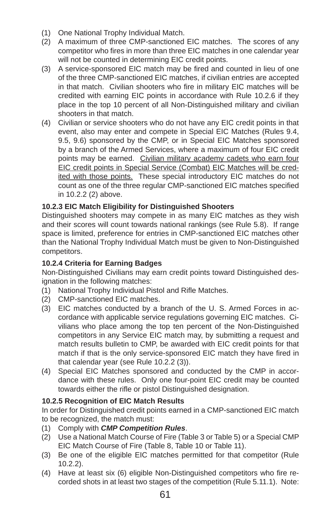- (1) One National Trophy Individual Match.
- (2) A maximum of three CMP-sanctioned EIC matches. The scores of any competitor who fires in more than three EIC matches in one calendar year will not be counted in determining EIC credit points.
- (3) A service-sponsored EIC match may be fired and counted in lieu of one of the three CMP-sanctioned EIC matches, if civilian entries are accepted in that match. Civilian shooters who fire in military EIC matches will be credited with earning EIC points in accordance with Rule 10.2.6 if they place in the top 10 percent of all Non-Distinguished military and civilian shooters in that match.
- (4) Civilian or service shooters who do not have any EIC credit points in that event, also may enter and compete in Special EIC Matches (Rules 9.4, 9.5, 9.6) sponsored by the CMP, or in Special EIC Matches sponsored by a branch of the Armed Services, where a maximum of four EIC credit points may be earned. Civilian military academy cadets who earn four EIC credit points in Special Service (Combat) EIC Matches will be credited with those points. These special introductory EIC matches do not count as one of the three regular CMP-sanctioned EIC matches specified in 10.2.2 (2) above.

# **10.2.3 EIC Match Eligibility for Distinguished Shooters**

Distinguished shooters may compete in as many EIC matches as they wish and their scores will count towards national rankings (see Rule 5.8). If range space is limited, preference for entries in CMP-sanctioned EIC matches other than the National Trophy Individual Match must be given to Non-Distinguished competitors.

## **10.2.4 Criteria for Earning Badges**

Non-Distinguished Civilians may earn credit points toward Distinguished designation in the following matches:

- (1) National Trophy Individual Pistol and Rifle Matches.
- (2) CMP-sanctioned EIC matches.
- (3) EIC matches conducted by a branch of the U. S. Armed Forces in accordance with applicable service regulations governing EIC matches. Civilians who place among the top ten percent of the Non-Distinguished competitors in any Service EIC match may, by submitting a request and match results bulletin to CMP, be awarded with EIC credit points for that match if that is the only service-sponsored EIC match they have fired in that calendar year (see Rule 10.2.2 (3)).
- (4) Special EIC Matches sponsored and conducted by the CMP in accordance with these rules. Only one four-point EIC credit may be counted towards either the rifle or pistol Distinguished designation.

## **10.2.5 Recognition of EIC Match Results**

In order for Distinguished credit points earned in a CMP-sanctioned EIC match to be recognized, the match must:

- (1) Comply with *CMP Competition Rules*.
- (2) Use a National Match Course of Fire (Table 3 or Table 5) or a Special CMP EIC Match Course of Fire (Table 8, Table 10 or Table 11).
- (3) Be one of the eligible EIC matches permitted for that competitor (Rule 10.2.2).
- $(4)$  Have at least six  $(6)$  eligible Non-Distinguished competitors who fire recorded shots in at least two stages of the competition (Rule 5.11.1). Note: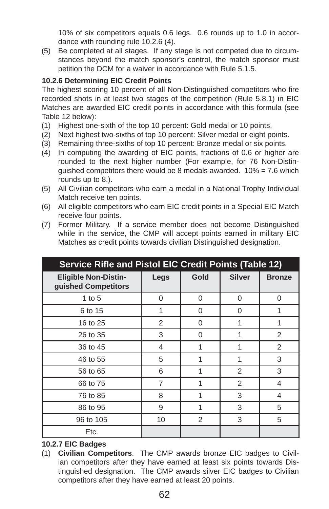10% of six competitors equals 0.6 legs. 0.6 rounds up to 1.0 in accordance with rounding rule 10.2.6 (4).

(5) Be completed at all stages. If any stage is not competed due to circumstances beyond the match sponsor's control, the match sponsor must petition the DCM for a waiver in accordance with Rule 5.1.5.

## **10.2.6 Determining EIC Credit Points**

The highest scoring 10 percent of all Non-Distinguished competitors who fire recorded shots in at least two stages of the competition (Rule 5.8.1) in EIC Matches are awarded EIC credit points in accordance with this formula (see Table 12 below):

- (1) Highest one-sixth of the top 10 percent: Gold medal or 10 points.
- (2) Next highest two-sixths of top 10 percent: Silver medal or eight points.
- (3) Remaining three-sixths of top 10 percent: Bronze medal or six points.
- (4) In computing the awarding of EIC points, fractions of 0.6 or higher are rounded to the next higher number (For example, for 76 Non-Distinquished competitors there would be 8 medals awarded.  $10\% = 7.6$  which rounds up to 8.).
- (5) All Civilian competitors who earn a medal in a National Trophy Individual Match receive ten points.
- (6) All eligible competitors who earn EIC credit points in a Special EIC Match receive four points.
- (7) Former Military. If a service member does not become Distinguished while in the service, the CMP will accept points earned in military EIC Matches as credit points towards civilian Distinguished designation.

| <b>Service Rifle and Pistol EIC Credit Points (Table 12)</b> |                |          |                |                |  |
|--------------------------------------------------------------|----------------|----------|----------------|----------------|--|
| <b>Eligible Non-Distin-</b><br>guished Competitors           | Legs           | Gold     | <b>Silver</b>  | <b>Bronze</b>  |  |
| 1 to $5$                                                     | 0              | $\Omega$ | 0              | $\Omega$       |  |
| 6 to 15                                                      | 1              | $\Omega$ | 0              | 1              |  |
| 16 to 25                                                     | $\overline{2}$ | 0        |                | 1              |  |
| 26 to 35                                                     | 3              | 0        |                | 2              |  |
| 36 to 45                                                     | 4              | 1        |                | 2              |  |
| 46 to 55                                                     | 5              | 1        | 1              | 3              |  |
| 56 to 65                                                     | 6              |          | 2              | 3              |  |
| 66 to 75                                                     | $\overline{7}$ |          | $\mathfrak{p}$ | 4              |  |
| 76 to 85                                                     | 8              | 1        | 3              | $\overline{4}$ |  |
| 86 to 95                                                     | 9              | 1        | 3              | 5              |  |
| 96 to 105                                                    | 10             | 2        | 3              | 5              |  |
| Etc.                                                         |                |          |                |                |  |

## **10.2.7 EIC Badges**

(1) **Civilian Competitors**. The CMP awards bronze EIC badges to Civilian competitors after they have earned at least six points towards Distinguished designation. The CMP awards silver EIC badges to Civilian competitors after they have earned at least 20 points.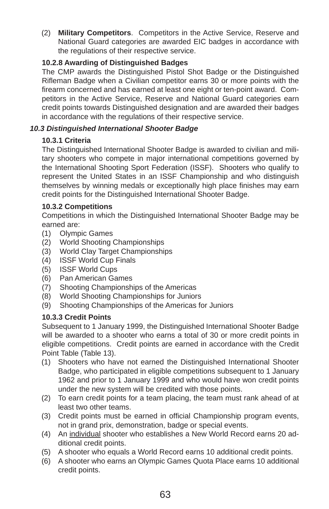(2) **Military Competitors**. Competitors in the Active Service, Reserve and National Guard categories are awarded EIC badges in accordance with the regulations of their respective service.

## **10.2.8 Awarding of Distinguished Badges**

The CMP awards the Distinguished Pistol Shot Badge or the Distinguished Rifleman Badge when a Civilian competitor earns 30 or more points with the firearm concerned and has earned at least one eight or ten-point award. Competitors in the Active Service, Reserve and National Guard categories earn credit points towards Distinguished designation and are awarded their badges in accordance with the regulations of their respective service.

# *10.3 Distinguished International Shooter Badge*

# **10.3.1 Criteria**

The Distinguished International Shooter Badge is awarded to civilian and military shooters who compete in major international competitions governed by the International Shooting Sport Federation (ISSF). Shooters who qualify to represent the United States in an ISSF Championship and who distinguish themselves by winning medals or exceptionally high place finishes may earn credit points for the Distinguished International Shooter Badge.

# **10.3.2 Competitions**

Competitions in which the Distinguished International Shooter Badge may be earned are:

- (1) Olympic Games
- (2) World Shooting Championships
- (3) World Clay Target Championships
- (4) ISSF World Cup Finals
- (5) ISSF World Cups
- (6) Pan American Games
- (7) Shooting Championships of the Americas
- (8) World Shooting Championships for Juniors
- (9) Shooting Championships of the Americas for Juniors

# **10.3.3 Credit Points**

Subsequent to 1 January 1999, the Distinguished International Shooter Badge will be awarded to a shooter who earns a total of 30 or more credit points in eligible competitions. Credit points are earned in accordance with the Credit Point Table (Table 13).

- (1) Shooters who have not earned the Distinguished International Shooter Badge, who participated in eligible competitions subsequent to 1 January 1962 and prior to 1 January 1999 and who would have won credit points under the new system will be credited with those points.
- (2) To earn credit points for a team placing, the team must rank ahead of at least two other teams.
- (3) Credit points must be earned in official Championship program events, not in grand prix, demonstration, badge or special events.
- (4) An individual shooter who establishes a New World Record earns 20 additional credit points.
- (5) A shooter who equals a World Record earns 10 additional credit points.
- (6) A shooter who earns an Olympic Games Quota Place earns 10 additional credit points.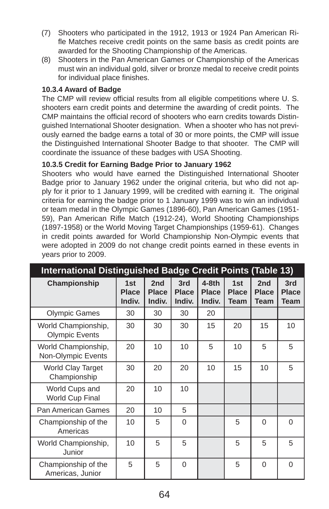- (7) Shooters who participated in the 1912, 1913 or 1924 Pan American Rifle Matches receive credit points on the same basis as credit points are awarded for the Shooting Championship of the Americas.
- (8) Shooters in the Pan American Games or Championship of the Americas must win an individual gold, silver or bronze medal to receive credit points for individual place finishes.

#### **10.3.4 Award of Badge**

The CMP will review official results from all eligible competitions where U.S. shooters earn credit points and determine the awarding of credit points. The CMP maintains the official record of shooters who earn credits towards Distinguished International Shooter designation. When a shooter who has not previously earned the badge earns a total of 30 or more points, the CMP will issue the Distinguished International Shooter Badge to that shooter. The CMP will coordinate the issuance of these badges with USA Shooting.

#### **10.3.5 Credit for Earning Badge Prior to January 1962**

Shooters who would have earned the Distinguished International Shooter Badge prior to January 1962 under the original criteria, but who did not apply for it prior to 1 January 1999, will be credited with earning it. The original criteria for earning the badge prior to 1 January 1999 was to win an individual or team medal in the Olympic Games (1896-60), Pan American Games (1951- 59), Pan American Rifle Match (1912-24), World Shooting Championships (1897-1958) or the World Moving Target Championships (1959-61). Changes in credit points awarded for World Championship Non-Olympic events that were adopted in 2009 do not change credit points earned in these events in years prior to 2009.

| <b>International Distinguished Badge Credit Points (Table 13)</b> |                               |                               |                               |                                   |                                    |                                    |                             |
|-------------------------------------------------------------------|-------------------------------|-------------------------------|-------------------------------|-----------------------------------|------------------------------------|------------------------------------|-----------------------------|
| Championship                                                      | 1st<br><b>Place</b><br>Indiv. | 2nd<br><b>Place</b><br>Indiv. | 3rd<br><b>Place</b><br>Indiv. | $4-8th$<br><b>Place</b><br>Indiv. | 1st<br><b>Place</b><br><b>Team</b> | 2nd<br><b>Place</b><br><b>Team</b> | 3rd<br><b>Place</b><br>Team |
| <b>Olympic Games</b>                                              | 30                            | 30                            | 30                            | 20                                |                                    |                                    |                             |
| World Championship,<br><b>Olympic Events</b>                      | 30                            | 30                            | 30                            | 15                                | 20                                 | 15                                 | 10                          |
| World Championship,<br>Non-Olympic Events                         | 20                            | 10                            | 10                            | 5                                 | 10                                 | 5                                  | 5                           |
| <b>World Clay Target</b><br>Championship                          | 30                            | 20                            | 20                            | 10                                | 15                                 | 10                                 | 5                           |
| World Cups and<br><b>World Cup Final</b>                          | 20                            | 10                            | 10                            |                                   |                                    |                                    |                             |
| <b>Pan American Games</b>                                         | 20                            | 10                            | 5                             |                                   |                                    |                                    |                             |
| Championship of the<br>Americas                                   | 10                            | 5                             | 0                             |                                   | 5                                  | $\Omega$                           | $\Omega$                    |
| World Championship,<br>Junior                                     | 10                            | 5                             | 5                             |                                   | 5                                  | 5                                  | 5                           |
| Championship of the<br>Americas, Junior                           | 5                             | 5                             | $\Omega$                      |                                   | 5                                  | $\Omega$                           | $\Omega$                    |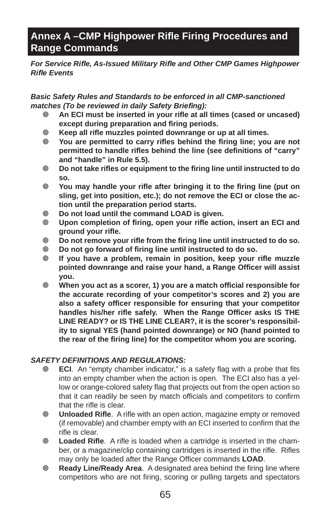# Annex A –CMP Highpower Rifle Firing Procedures and **Range Commands**

*For Service Rifl e, As-Issued Military Rifl e and Other CMP Games Highpower Rifl e Events*

#### *Basic Safety Rules and Standards to be enforced in all CMP-sanctioned matches (To be reviewed in daily Safety Briefing):*

- An ECI must be inserted in your rifle at all times (cased or uncased) **except during preparation and firing periods.**
- **Keep all rifl e muzzles pointed downrange or up at all times.**
- You are permitted to carry rifles behind the firing line; you are not **permitted to handle rifles behind the line (see definitions of "carry" and "handle" in Rule 5.5).**
- $\circ$  Do not take rifles or equipment to the firing line until instructed to do **so.**
- **You may handle your rifl e after bringing it to the fi ring line (put on sling, get into position, etc.); do not remove the ECI or close the action until the preparation period starts.**
- **Do not load until the command LOAD is given.**
- **Upon completion of fi ring, open your rifl e action, insert an ECI and ground your rifl e.**
- $\circ$  Do not remove your rifle from the firing line until instructed to do so.
- **Do not go forward of fi ring line until instructed to do so.**
- **If you have a problem, remain in position, keep your rifl e muzzle pointed downrange and raise your hand, a Range Offi cer will assist you.**
- $\circ$  **When you act as a scorer, 1) you are a match official responsible for the accurate recording of your competitor's scores and 2) you are also a safety offi cer responsible for ensuring that your competitor**  handles his/her rifle safely. When the Range Officer asks IS THE **LINE READY? or IS THE LINE CLEAR?, it is the scorer's responsibility to signal YES (hand pointed downrange) or NO (hand pointed to the rear of the fi ring line) for the competitor whom you are scoring.**

## *SAFETY DEFINITIONS AND REGULATIONS:*

- **ECI.** An "empty chamber indicator," is a safety flag with a probe that fits into an empty chamber when the action is open. The ECI also has a yellow or orange-colored safety flag that projects out from the open action so that it can readily be seen by match officials and competitors to confirm that the rifle is clear.
- *<b>Unloaded Rifle.* A rifle with an open action, magazine empty or removed (if removable) and chamber empty with an ECI inserted to confirm that the rifle is clear.
- **Examble Rifle.** A rifle is loaded when a cartridge is inserted in the chamber, or a magazine/clip containing cartridges is inserted in the rifle. Rifles may only be loaded after the Range Officer commands **LOAD**.
- **<sup>®</sup> Ready Line/Ready Area.** A designated area behind the firing line where competitors who are not firing, scoring or pulling targets and spectators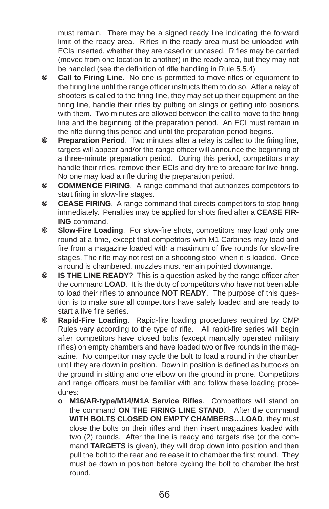must remain. There may be a signed ready line indicating the forward limit of the ready area. Rifles in the ready area must be unloaded with ECIs inserted, whether they are cased or uncased. Rifles may be carried (moved from one location to another) in the ready area, but they may not be handled (see the definition of rifle handling in Rule 5.5.4)

- **Call to Firing Line**. No one is permitted to move rifles or equipment to the firing line until the range officer instructs them to do so. After a relay of shooters is called to the firing line, they may set up their equipment on the firing line, handle their rifles by putting on slings or getting into positions with them. Two minutes are allowed between the call to move to the firing line and the beginning of the preparation period. An ECI must remain in the rifle during this period and until the preparation period begins.
- **E** Preparation Period. Two minutes after a relay is called to the firing line, targets will appear and/or the range officer will announce the beginning of a three-minute preparation period. During this period, competitors may handle their rifles, remove their ECIs and dry fire to prepare for live-firing. No one may load a rifle during the preparation period.
- **COMMENCE FIRING**. A range command that authorizes competitors to start firing in slow-fire stages.
- **© CEASE FIRING**. A range command that directs competitors to stop firing immediately. Penalties may be applied for shots fired after a CEASE FIR-**ING** command.
- **8 Slow-Fire Loading**. For slow-fire shots, competitors may load only one round at a time, except that competitors with M1 Carbines may load and fire from a magazine loaded with a maximum of five rounds for slow-fire stages. The rifle may not rest on a shooting stool when it is loaded. Once a round is chambered, muzzles must remain pointed downrange.
- **IS THE LINE READY**? This is a question asked by the range officer after the command **LOAD**. It is the duty of competitors who have not been able to load their rifles to announce **NOT READY**. The purpose of this question is to make sure all competitors have safely loaded and are ready to start a live fire series.
- **<sup>®</sup>** Rapid-Fire Loading. Rapid-fire loading procedures required by CMP Rules vary according to the type of rifle. All rapid-fire series will begin after competitors have closed bolts (except manually operated military rifles) on empty chambers and have loaded two or five rounds in the magazine. No competitor may cycle the bolt to load a round in the chamber until they are down in position. Down in position is defined as buttocks on the ground in sitting and one elbow on the ground in prone. Competitors and range officers must be familiar with and follow these loading procedures:
	- **o** M16/AR-type/M14/M1A Service Rifles. Competitors will stand on the command **ON THE FIRING LINE STAND**. After the command **WITH BOLTS CLOSED ON EMPTY CHAMBERS…LOAD**, they must close the bolts on their rifles and then insert magazines loaded with two (2) rounds. After the line is ready and targets rise (or the command **TARGETS** is given), they will drop down into position and then pull the bolt to the rear and release it to chamber the first round. They must be down in position before cycling the bolt to chamber the first round.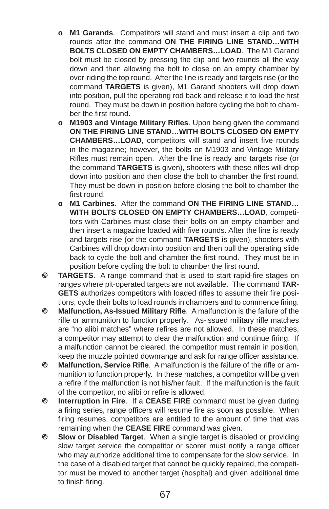- **o M1 Garands**. Competitors will stand and must insert a clip and two rounds after the command **ON THE FIRING LINE STAND…WITH BOLTS CLOSED ON EMPTY CHAMBERS…LOAD**. The M1 Garand bolt must be closed by pressing the clip and two rounds all the way down and then allowing the bolt to close on an empty chamber by over-riding the top round. After the line is ready and targets rise (or the command **TARGETS** is given), M1 Garand shooters will drop down into position, pull the operating rod back and release it to load the first round. They must be down in position before cycling the bolt to chamber the first round.
- **o** M1903 and Vintage Military Rifles. Upon being given the command **ON THE FIRING LINE STAND…WITH BOLTS CLOSED ON EMPTY CHAMBERS...LOAD, competitors will stand and insert five rounds** in the magazine; however, the bolts on M1903 and Vintage Military Rifles must remain open. After the line is ready and targets rise (or the command **TARGETS** is given), shooters with these rifles will drop down into position and then close the bolt to chamber the first round. They must be down in position before closing the bolt to chamber the first round.
- **o M1 Carbines**. After the command **ON THE FIRING LINE STAND… WITH BOLTS CLOSED ON EMPTY CHAMBERS…LOAD**, competitors with Carbines must close their bolts on an empty chamber and then insert a magazine loaded with five rounds. After the line is ready and targets rise (or the command **TARGETS** is given), shooters with Carbines will drop down into position and then pull the operating slide back to cycle the bolt and chamber the first round. They must be in position before cycling the bolt to chamber the first round.
- **TARGETS.** A range command that is used to start rapid-fire stages on ranges where pit-operated targets are not available. The command **TAR-GETS** authorizes competitors with loaded rifles to assume their fire positions, cycle their bolts to load rounds in chambers and to commence firing.
- **Malfunction, As-Issued Military Rifl e**. A malfunction is the failure of the rifle or ammunition to function properly. As-issued military rifle matches are "no alibi matches" where refires are not allowed. In these matches, a competitor may attempt to clear the malfunction and continue firing. If a malfunction cannot be cleared, the competitor must remain in position, keep the muzzle pointed downrange and ask for range officer assistance.
- **Malfunction, Service Rifle.** A malfunction is the failure of the rifle or ammunition to function properly. In these matches, a competitor will be given a refire if the malfunction is not his/her fault. If the malfunction is the fault of the competitor, no alibi or refire is allowed.
- **Interruption in Fire**. If a **CEASE FIRE** command must be given during a firing series, range officers will resume fire as soon as possible. When firing resumes, competitors are entitled to the amount of time that was remaining when the **CEASE FIRE** command was given.
- **Slow or Disabled Target**. When a single target is disabled or providing slow target service the competitor or scorer must notify a range officer who may authorize additional time to compensate for the slow service. In the case of a disabled target that cannot be quickly repaired, the competitor must be moved to another target (hospital) and given additional time to finish firing.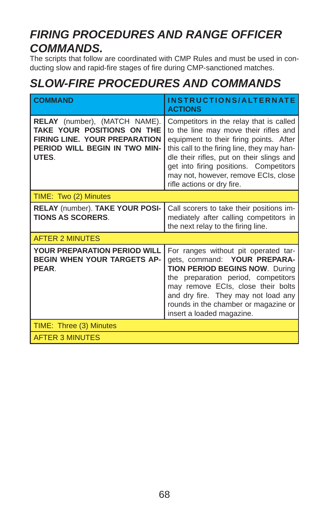## *FIRING PROCEDURES AND RANGE OFFICER COMMANDS.*

The scripts that follow are coordinated with CMP Rules and must be used in conducting slow and rapid-fire stages of fire during CMP-sanctioned matches.

## *SLOW-FIRE PROCEDURES AND COMMANDS*

| <b>COMMAND</b>                                                                                                                                       | INSTRUCTIONS/ALTERNATE<br><b>ACTIONS</b>                                                                                                                                                                                                                                                                                                |
|------------------------------------------------------------------------------------------------------------------------------------------------------|-----------------------------------------------------------------------------------------------------------------------------------------------------------------------------------------------------------------------------------------------------------------------------------------------------------------------------------------|
| <b>RELAY</b> (number), (MATCH NAME).<br>TAKE YOUR POSITIONS ON THE<br><b>FIRING LINE. YOUR PREPARATION</b><br>PERIOD WILL BEGIN IN TWO MIN-<br>UTES. | Competitors in the relay that is called<br>to the line may move their rifles and<br>equipment to their firing points. After<br>this call to the firing line, they may han-<br>dle their rifles, put on their slings and<br>get into firing positions. Competitors<br>may not, however, remove ECIs, close<br>rifle actions or dry fire. |
| TIME: Two (2) Minutes                                                                                                                                |                                                                                                                                                                                                                                                                                                                                         |
| RELAY (number). TAKE YOUR POSI-<br><b>TIONS AS SCORERS.</b>                                                                                          | Call scorers to take their positions im-<br>mediately after calling competitors in<br>the next relay to the firing line.                                                                                                                                                                                                                |
| <b>AFTER 2 MINUTES</b>                                                                                                                               |                                                                                                                                                                                                                                                                                                                                         |
| <b>YOUR PREPARATION PERIOD WILL</b><br><b>BEGIN WHEN YOUR TARGETS AP-</b><br>PEAR.                                                                   | For ranges without pit operated tar-<br>gets, command: YOUR PREPARA-<br><b>TION PERIOD BEGINS NOW. During</b><br>the preparation period, competitors<br>may remove ECIs, close their bolts<br>and dry fire. They may not load any<br>rounds in the chamber or magazine or<br>insert a loaded magazine.                                  |
| TIME: Three (3) Minutes                                                                                                                              |                                                                                                                                                                                                                                                                                                                                         |
| <b>AFTER 3 MINUTES</b>                                                                                                                               |                                                                                                                                                                                                                                                                                                                                         |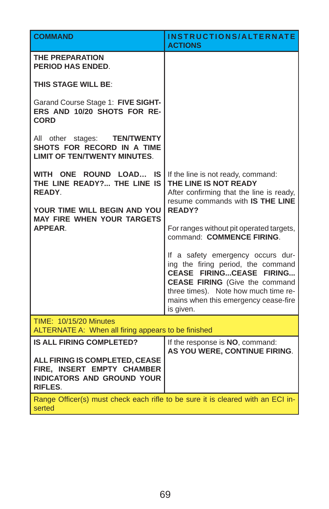| <b>COMMAND</b>                                                                                               | INSTRUCTIONS/ALTERNATE<br><b>ACTIONS</b>                                                                                                                                                                                                  |
|--------------------------------------------------------------------------------------------------------------|-------------------------------------------------------------------------------------------------------------------------------------------------------------------------------------------------------------------------------------------|
| <b>THE PREPARATION</b><br>PERIOD HAS ENDED.                                                                  |                                                                                                                                                                                                                                           |
| <b>THIS STAGE WILL BE:</b>                                                                                   |                                                                                                                                                                                                                                           |
| Garand Course Stage 1: FIVE SIGHT-<br>ERS AND 10/20 SHOTS FOR RE-<br><b>CORD</b>                             |                                                                                                                                                                                                                                           |
| All other stages: <b>TEN/TWENTY</b><br>SHOTS FOR RECORD IN A TIME<br><b>LIMIT OF TEN/TWENTY MINUTES.</b>     |                                                                                                                                                                                                                                           |
| WITH ONE ROUND LOAD IS<br>THE LINE READY? THE LINE IS<br><b>READY</b>                                        | If the line is not ready, command:<br>THE LINE IS NOT READY<br>After confirming that the line is ready,<br>resume commands with IS THE LINE                                                                                               |
| YOUR TIME WILL BEGIN AND YOU<br><b>MAY FIRE WHEN YOUR TARGETS</b>                                            | <b>READY?</b>                                                                                                                                                                                                                             |
| <b>APPFAR</b>                                                                                                | For ranges without pit operated targets,<br>command: COMMENCE FIRING.                                                                                                                                                                     |
|                                                                                                              | If a safety emergency occurs dur-<br>ing the firing period, the command<br>CEASE FIRINGCEASE FIRING<br><b>CEASE FIRING</b> (Give the command<br>three times). Note how much time re-<br>mains when this emergency cease-fire<br>is given. |
| <b>TIME: 10/15/20 Minutes</b><br>ALTERNATE A: When all firing appears to be finished                         |                                                                                                                                                                                                                                           |
| <b>IS ALL FIRING COMPLETED?</b>                                                                              | If the response is NO, command:<br>AS YOU WERE, CONTINUE FIRING.                                                                                                                                                                          |
| ALL FIRING IS COMPLETED, CEASE<br>FIRE, INSERT EMPTY CHAMBER<br>INDICATORS AND GROUND YOUR<br><b>RIFLES.</b> |                                                                                                                                                                                                                                           |
| Range Officer(s) must check each rifle to be sure it is cleared with an ECI in-<br>serted                    |                                                                                                                                                                                                                                           |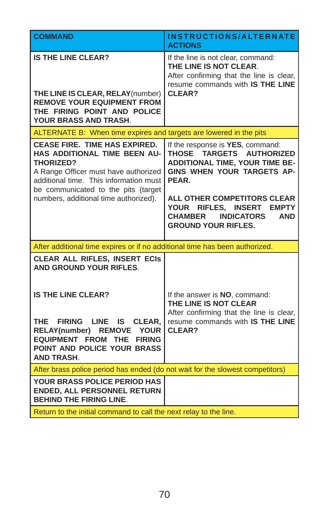| <b>COMMAND</b>                                                                                                                                                                                                                                             | <b>INSTRUCTIONS/ALTERNATE</b><br><b>ACTIONS</b>                                                                                                                                                                                                                                                                           |
|------------------------------------------------------------------------------------------------------------------------------------------------------------------------------------------------------------------------------------------------------------|---------------------------------------------------------------------------------------------------------------------------------------------------------------------------------------------------------------------------------------------------------------------------------------------------------------------------|
| <b>IS THE LINE CLEAR?</b><br>THE LINE IS CLEAR, RELAY(number)<br><b>REMOVE YOUR EQUIPMENT FROM</b><br>THE FIRING POINT AND POLICE<br><b>YOUR BRASS AND TRASH.</b>                                                                                          | If the line is not clear, command:<br>THE LINE IS NOT CLEAR.<br>After confirming that the line is clear,<br>resume commands with IS THE LINE<br>CLEAR?                                                                                                                                                                    |
| ALTERNATE B: When time expires and targets are lowered in the pits                                                                                                                                                                                         |                                                                                                                                                                                                                                                                                                                           |
| <b>CEASE FIRE. TIME HAS EXPIRED.</b><br>HAS ADDITIONAL TIME BEEN AU-<br><b>THORIZED?</b><br>A Range Officer must have authorized<br>additional time. This information must<br>be communicated to the pits (target<br>numbers, additional time authorized). | If the response is YES, command:<br><b>THOSE</b><br>TARGETS AUTHORIZED<br><b>ADDITIONAL TIME, YOUR TIME BE-</b><br>GINS WHEN YOUR TARGETS AP-<br>PEAR.<br><b>ALL OTHER COMPETITORS CLEAR</b><br>RIFLES, INSERT<br>YOUR<br><b>EMPTY</b><br><b>CHAMBER</b><br><b>INDICATORS</b><br><b>AND</b><br><b>GROUND YOUR RIFLES.</b> |
| After additional time expires or if no additional time has been authorized.                                                                                                                                                                                |                                                                                                                                                                                                                                                                                                                           |
| <b>CLEAR ALL RIFLES, INSERT ECIS</b><br><b>AND GROUND YOUR RIFLES.</b><br><b>IS THE LINE CLEAR?</b><br><b>THE</b><br><b>FIRING</b><br>LINE IS<br>CLEAR,                                                                                                    | If the answer is <b>NO</b> , command:<br>THE LINE IS NOT CLEAR<br>After confirming that the line is clear,<br>resume commands with IS THE LINE                                                                                                                                                                            |
| RELAY(number) REMOVE YOUR<br><b>EQUIPMENT FROM THE FIRING</b><br>POINT AND POLICE YOUR BRASS<br><b>AND TRASH.</b>                                                                                                                                          | CLEAR?                                                                                                                                                                                                                                                                                                                    |
| After brass police period has ended (do not wait for the slowest competitors)                                                                                                                                                                              |                                                                                                                                                                                                                                                                                                                           |
| YOUR BRASS POLICE PERIOD HAS<br><b>ENDED, ALL PERSONNEL RETURN</b><br><b>BEHIND THE FIRING LINE.</b>                                                                                                                                                       |                                                                                                                                                                                                                                                                                                                           |
| Return to the initial command to call the next relay to the line.                                                                                                                                                                                          |                                                                                                                                                                                                                                                                                                                           |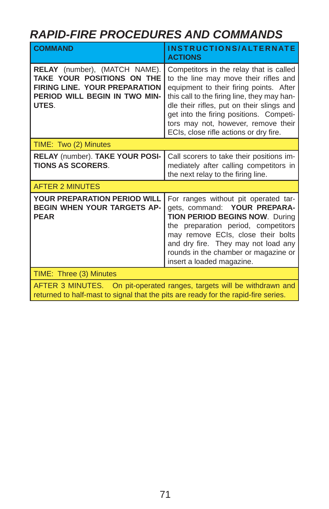## *RAPID-FIRE PROCEDURES AND COMMANDS*

| <b>COMMAND</b>                                                                                                                                               | INSTRUCTIONS/ALTERNATE<br><b>ACTIONS</b>                                                                                                                                                                                                                                                                                                            |
|--------------------------------------------------------------------------------------------------------------------------------------------------------------|-----------------------------------------------------------------------------------------------------------------------------------------------------------------------------------------------------------------------------------------------------------------------------------------------------------------------------------------------------|
| <b>RELAY</b> (number), (MATCH NAME).<br>TAKE YOUR POSITIONS ON THE<br><b>FIRING LINE. YOUR PREPARATION</b><br><b>PERIOD WILL BEGIN IN TWO MIN-</b><br>UTES.  | Competitors in the relay that is called<br>to the line may move their rifles and<br>equipment to their firing points. After<br>this call to the firing line, they may han-<br>dle their rifles, put on their slings and<br>get into the firing positions. Competi-<br>tors may not, however, remove their<br>ECIs, close rifle actions or dry fire. |
| TIME: Two (2) Minutes                                                                                                                                        |                                                                                                                                                                                                                                                                                                                                                     |
| RELAY (number). TAKE YOUR POSI-<br><b>TIONS AS SCORERS.</b>                                                                                                  | Call scorers to take their positions im-<br>mediately after calling competitors in<br>the next relay to the firing line.                                                                                                                                                                                                                            |
| <b>AFTER 2 MINUTES</b>                                                                                                                                       |                                                                                                                                                                                                                                                                                                                                                     |
| <b>YOUR PREPARATION PERIOD WILL</b><br><b>BEGIN WHEN YOUR TARGETS AP-</b><br><b>PEAR</b>                                                                     | For ranges without pit operated tar-<br>gets, command: YOUR PREPARA-<br><b>TION PERIOD BEGINS NOW. During</b><br>the preparation period, competitors<br>may remove ECIs, close their bolts<br>and dry fire. They may not load any<br>rounds in the chamber or magazine or<br>insert a loaded magazine.                                              |
| TIME: Three (3) Minutes                                                                                                                                      |                                                                                                                                                                                                                                                                                                                                                     |
| AFTER 3 MINUTES. On pit-operated ranges, targets will be withdrawn and<br>returned to half-mast to signal that the pits are ready for the rapid-fire series. |                                                                                                                                                                                                                                                                                                                                                     |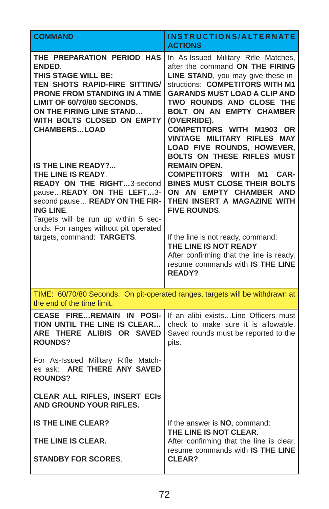| <b>COMMAND</b>                                                                                                                                                                                                                                                                                                                                                                                                                                                                                                                                      | <b>INSTRUCTIONS/ALTERNATE</b><br><b>ACTIONS</b>                                                                                                                                                                                                                                                                                                                                                                                                                                                                                                                                                                                                                                                                                                                         |
|-----------------------------------------------------------------------------------------------------------------------------------------------------------------------------------------------------------------------------------------------------------------------------------------------------------------------------------------------------------------------------------------------------------------------------------------------------------------------------------------------------------------------------------------------------|-------------------------------------------------------------------------------------------------------------------------------------------------------------------------------------------------------------------------------------------------------------------------------------------------------------------------------------------------------------------------------------------------------------------------------------------------------------------------------------------------------------------------------------------------------------------------------------------------------------------------------------------------------------------------------------------------------------------------------------------------------------------------|
| THE PREPARATION PERIOD HAS<br>ENDED.<br><b>THIS STAGE WILL BE:</b><br>TEN SHOTS RAPID-FIRE SITTING/<br><b>PRONE FROM STANDING IN A TIME</b><br>LIMIT OF 60/70/80 SECONDS.<br>ON THE FIRING LINE STAND<br>WITH BOLTS CLOSED ON EMPTY<br><b>CHAMBERSLOAD</b><br><b>IS THE LINE READY?</b><br>THE LINE IS READY.<br><b>READY ON THE RIGHT3-second</b><br>pauseREADY ON THE LEFT3-<br>second pause READY ON THE FIR-<br><b>ING LINE.</b><br>Targets will be run up within 5 sec-<br>onds. For ranges without pit operated<br>targets, command: TARGETS. | In As-Issued Military Rifle Matches,<br>after the command ON THE FIRING<br>LINE STAND, you may give these in-<br>structions: COMPETITORS WITH M1<br><b>GARANDS MUST LOAD A CLIP AND</b><br>TWO ROUNDS AND CLOSE THE<br><b>BOLT ON AN EMPTY CHAMBER</b><br>(OVERRIDE).<br><b>COMPETITORS WITH M1903 OR</b><br>VINTAGE MILITARY RIFLES MAY<br>LOAD FIVE ROUNDS, HOWEVER,<br><b>BOLTS ON THESE RIFLES MUST</b><br><b>REMAIN OPEN.</b><br><b>COMPETITORS</b><br>WITH<br>CAR-<br>M1.<br><b>BINES MUST CLOSE THEIR BOLTS</b><br>ON AN EMPTY CHAMBER AND<br>THEN INSERT A MAGAZINE WITH<br><b>FIVE ROUNDS.</b><br>If the line is not ready, command:<br>THE LINE IS NOT READY<br>After confirming that the line is ready,<br>resume commands with IS THE LINE<br><b>READY?</b> |
| the end of the time limit.                                                                                                                                                                                                                                                                                                                                                                                                                                                                                                                          | TIME: 60/70/80 Seconds. On pit-operated ranges, targets will be withdrawn at                                                                                                                                                                                                                                                                                                                                                                                                                                                                                                                                                                                                                                                                                            |
| <b>CEASE FIREREMAIN IN POSI-</b><br>TION UNTIL THE LINE IS CLEAR<br>ARE THERE ALIBIS OR SAVED<br><b>ROUNDS?</b><br>For As-Issued Military Rifle Match-<br>es ask: ARE THERE ANY SAVED<br><b>ROUNDS?</b>                                                                                                                                                                                                                                                                                                                                             | If an alibi existsLine Officers must<br>check to make sure it is allowable.<br>Saved rounds must be reported to the<br>pits.                                                                                                                                                                                                                                                                                                                                                                                                                                                                                                                                                                                                                                            |
| <b>CLEAR ALL RIFLES, INSERT ECIS</b><br><b>AND GROUND YOUR RIFLES.</b>                                                                                                                                                                                                                                                                                                                                                                                                                                                                              |                                                                                                                                                                                                                                                                                                                                                                                                                                                                                                                                                                                                                                                                                                                                                                         |
| <b>IS THE LINE CLEAR?</b>                                                                                                                                                                                                                                                                                                                                                                                                                                                                                                                           | If the answer is NO, command:<br>THE LINE IS NOT CLEAR.                                                                                                                                                                                                                                                                                                                                                                                                                                                                                                                                                                                                                                                                                                                 |
| THE LINE IS CLEAR.                                                                                                                                                                                                                                                                                                                                                                                                                                                                                                                                  | After confirming that the line is clear,<br>resume commands with IS THE LINE                                                                                                                                                                                                                                                                                                                                                                                                                                                                                                                                                                                                                                                                                            |
| <b>STANDBY FOR SCORES.</b>                                                                                                                                                                                                                                                                                                                                                                                                                                                                                                                          | CLEAR?                                                                                                                                                                                                                                                                                                                                                                                                                                                                                                                                                                                                                                                                                                                                                                  |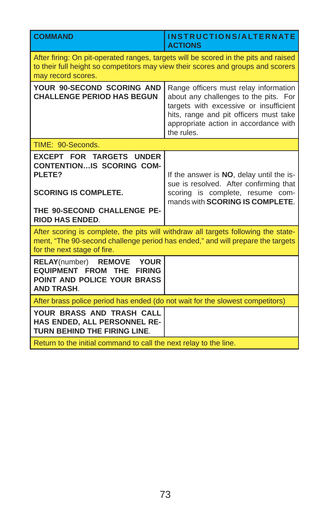| <b>COMMAND</b>                                                                                                                                                                                      | INSTRUCTIONS/ALTERNATE<br><b>ACTIONS</b>                                                                                                                                                                                  |
|-----------------------------------------------------------------------------------------------------------------------------------------------------------------------------------------------------|---------------------------------------------------------------------------------------------------------------------------------------------------------------------------------------------------------------------------|
| After firing: On pit-operated ranges, targets will be scored in the pits and raised<br>to their full height so competitors may view their scores and groups and scorers<br>may record scores.       |                                                                                                                                                                                                                           |
| YOUR 90-SECOND SCORING AND<br><b>CHALLENGE PERIOD HAS BEGUN</b>                                                                                                                                     | Range officers must relay information<br>about any challenges to the pits. For<br>targets with excessive or insufficient<br>hits, range and pit officers must take<br>appropriate action in accordance with<br>the rules. |
| TIME: 90-Seconds.                                                                                                                                                                                   |                                                                                                                                                                                                                           |
| <b>EXCEPT FOR TARGETS UNDER</b><br><b>CONTENTIONIS SCORING COM-</b><br>PLETE?<br><b>SCORING IS COMPLETE.</b><br>THE 90-SECOND CHALLENGE PE-<br><b>RIOD HAS ENDED.</b>                               | If the answer is NO, delay until the is-<br>sue is resolved. After confirming that<br>scoring is complete, resume com-<br>mands with <b>SCORING IS COMPLETE.</b>                                                          |
| After scoring is complete, the pits will withdraw all targets following the state-<br>ment, "The 90-second challenge period has ended," and will prepare the targets<br>for the next stage of fire. |                                                                                                                                                                                                                           |
| RELAY(number) REMOVE YOUR<br><b>EQUIPMENT FROM THE</b><br><b>FIRING</b><br>POINT AND POLICE YOUR BRASS<br><b>AND TRASH.</b>                                                                         |                                                                                                                                                                                                                           |
| After brass police period has ended (do not wait for the slowest competitors)                                                                                                                       |                                                                                                                                                                                                                           |
| YOUR BRASS AND TRASH CALL<br><b>HAS ENDED. ALL PERSONNEL RE-</b><br><b>TURN BEHIND THE FIRING LINE.</b>                                                                                             |                                                                                                                                                                                                                           |
| Return to the initial command to call the next relay to the line.                                                                                                                                   |                                                                                                                                                                                                                           |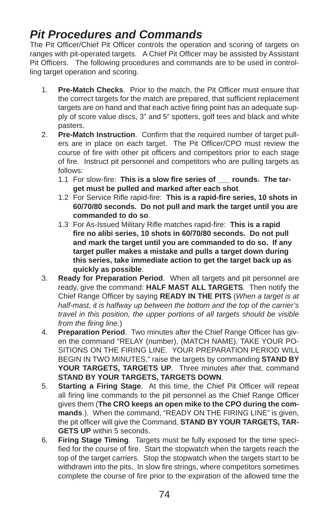## *Pit Procedures and Commands*

The Pit Officer/Chief Pit Officer controls the operation and scoring of targets on ranges with pit-operated targets. A Chief Pit Officer may be assisted by Assistant Pit Officers. The following procedures and commands are to be used in controlling target operation and scoring.

- 1. **Pre-Match Checks**. Prior to the match, the Pit Officer must ensure that the correct targets for the match are prepared, that sufficient replacement targets are on hand and that each active firing point has an adequate supply of score value discs, 3" and 5" spotters, golf tees and black and white pasters.
- 2. **Pre-Match Instruction**. Confirm that the required number of target pullers are in place on each target. The Pit Officer/CPO must review the course of fire with other pit officers and competitors prior to each stage of fire. Instruct pit personnel and competitors who are pulling targets as follows:
	- 1.1 For slow-fire: This is a slow fire series of <u>counds</u>. The tar**get must be pulled and marked after each shot**.
	- 1.2 For Service Rifle rapid-fire: This is a rapid-fire series, 10 shots in **60/70/80 seconds. Do not pull and mark the target until you are commanded to do so**.
	- 1.3 For As-Issued Military Rifle matches rapid-fire: This is a rapid **fi re no alibi series, 10 shots in 60/70/80 seconds. Do not pull and mark the target until you are commanded to do so. If any target puller makes a mistake and pulls a target down during this series, take immediate action to get the target back up as quickly as possible**.
- 3. **Ready for Preparation Period**. When all targets and pit personnel are ready, give the command: **HALF MAST ALL TARGETS**. Then notify the Chief Range Officer by saying **READY IN THE PITS** (*When a target is at half-mast, it is halfway up between the bottom and the top of the carrier's travel in this position, the upper portions of all targets should be visible from the firing line.*)
- 4. **Preparation Period.** Two minutes after the Chief Range Officer has given the command "RELAY (number), (MATCH NAME). TAKE YOUR PO-SITIONS ON THE FIRING LINE. YOUR PREPARATION PERIOD WILL BEGIN IN TWO MINUTES," raise the targets by commanding **STAND BY YOUR TARGETS, TARGETS UP**. Three minutes after that, command **STAND BY YOUR TARGETS, TARGETS DOWN**.
- 5. **Starting a Firing Stage**. At this time, the Chief Pit Officer will repeat all firing line commands to the pit personnel as the Chief Range Officer gives them (**The CRO keeps an open mike to the CPO during the commands**.). When the command, "READY ON THE FIRING LINE" is given, the pit officer will give the Command, **STAND BY YOUR TARGETS, TAR-GETS UP** within 5 seconds.
- 6. **Firing Stage Timing**. Targets must be fully exposed for the time specified for the course of fire. Start the stopwatch when the targets reach the top of the target carriers. Stop the stopwatch when the targets start to be withdrawn into the pits. In slow fire strings, where competitors sometimes complete the course of fire prior to the expiration of the allowed time the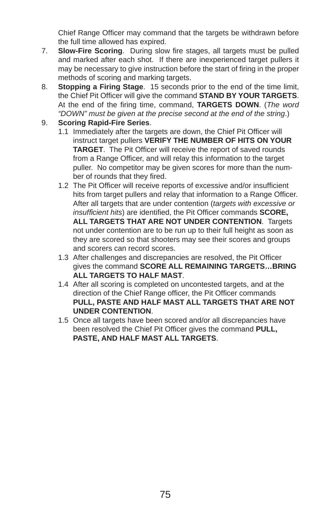Chief Range Officer may command that the targets be withdrawn before the full time allowed has expired.

- 7. **Slow-Fire Scoring**. During slow fire stages, all targets must be pulled and marked after each shot. If there are inexperienced target pullers it may be necessary to give instruction before the start of firing in the proper methods of scoring and marking targets.
- 8. **Stopping a Firing Stage**. 15 seconds prior to the end of the time limit, the Chief Pit Officer will give the command **STAND BY YOUR TARGETS**. At the end of the firing time, command, TARGETS DOWN. (*The word "DOWN" must be given at the precise second at the end of the string*.)
- 9. **Scoring Rapid-Fire Series**.
	- 1.1 Immediately after the targets are down, the Chief Pit Officer will instruct target pullers **VERIFY THE NUMBER OF HITS ON YOUR TARGET**. The Pit Officer will receive the report of saved rounds from a Range Officer, and will relay this information to the target puller. No competitor may be given scores for more than the number of rounds that they fired.
	- 1.2 The Pit Officer will receive reports of excessive and/or insufficient hits from target pullers and relay that information to a Range Officer. After all targets that are under contention (*targets with excessive or insufficient hits*) are identified, the Pit Officer commands **SCORE**, **ALL TARGETS THAT ARE NOT UNDER CONTENTION**. Targets not under contention are to be run up to their full height as soon as they are scored so that shooters may see their scores and groups and scorers can record scores.
	- 1.3 After challenges and discrepancies are resolved, the Pit Officer gives the command **SCORE ALL REMAINING TARGETS…BRING ALL TARGETS TO HALF MAST**.
	- 1.4 After all scoring is completed on uncontested targets, and at the direction of the Chief Range officer, the Pit Officer commands **PULL, PASTE AND HALF MAST ALL TARGETS THAT ARE NOT UNDER CONTENTION**.
	- 1.5 Once all targets have been scored and/or all discrepancies have been resolved the Chief Pit Officer gives the command PULL, **PASTE, AND HALF MAST ALL TARGETS**.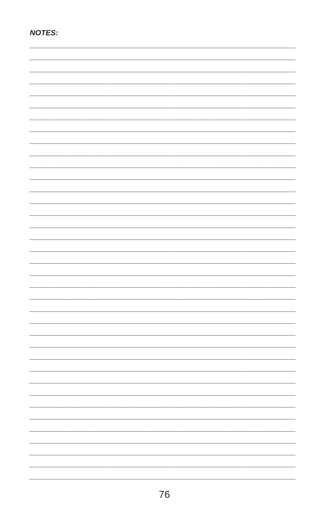| <b>NOTES:</b> |
|---------------|
|               |
|               |
|               |
|               |
|               |
|               |
|               |
|               |
|               |
|               |
|               |
|               |
|               |
|               |
|               |
|               |
|               |
|               |
|               |
|               |
|               |
|               |
|               |
|               |
|               |
|               |
|               |
|               |
|               |
|               |
|               |
|               |
|               |
|               |
|               |
|               |
|               |
|               |
|               |
|               |
|               |
|               |
|               |
|               |
|               |
|               |
|               |
|               |
|               |
|               |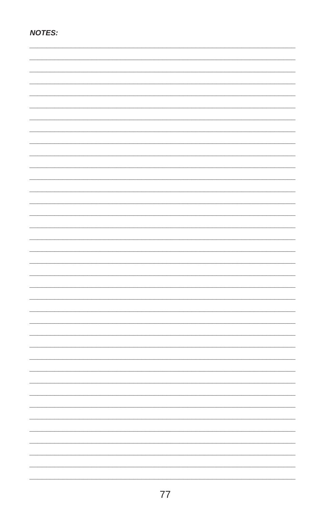| <b>NOTES:</b> |
|---------------|
|               |
|               |
|               |
|               |
|               |
|               |
|               |
|               |
|               |
|               |
|               |
|               |
|               |
|               |
|               |
|               |
|               |
|               |
|               |
|               |
|               |
|               |
|               |
|               |
|               |
|               |
|               |
|               |
|               |
|               |
|               |
|               |
|               |
|               |